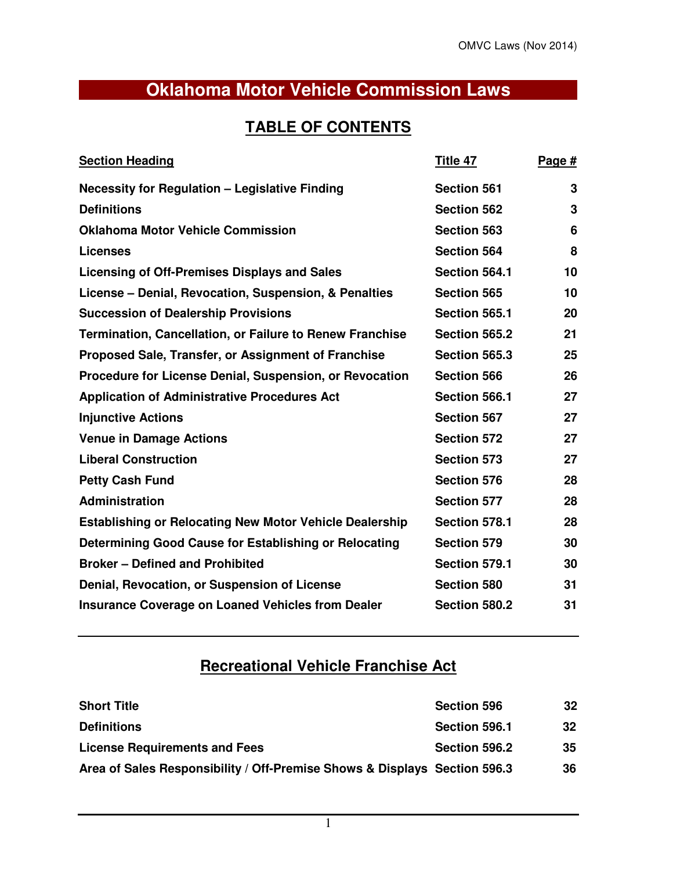# **Oklahoma Motor Vehicle Commission Laws**

# **TABLE OF CONTENTS**

| <b>Section Heading</b>                                          | Title 47           | Page # |
|-----------------------------------------------------------------|--------------------|--------|
| <b>Necessity for Regulation - Legislative Finding</b>           | <b>Section 561</b> | 3      |
| <b>Definitions</b>                                              | <b>Section 562</b> | 3      |
| <b>Oklahoma Motor Vehicle Commission</b>                        | <b>Section 563</b> | 6      |
| <b>Licenses</b>                                                 | <b>Section 564</b> | 8      |
| Licensing of Off-Premises Displays and Sales                    | Section 564.1      | 10     |
| License – Denial, Revocation, Suspension, & Penalties           | <b>Section 565</b> | 10     |
| <b>Succession of Dealership Provisions</b>                      | Section 565.1      | 20     |
| <b>Termination, Cancellation, or Failure to Renew Franchise</b> | Section 565.2      | 21     |
| Proposed Sale, Transfer, or Assignment of Franchise             | Section 565.3      | 25     |
| Procedure for License Denial, Suspension, or Revocation         | <b>Section 566</b> | 26     |
| <b>Application of Administrative Procedures Act</b>             | Section 566.1      | 27     |
| <b>Injunctive Actions</b>                                       | <b>Section 567</b> | 27     |
| <b>Venue in Damage Actions</b>                                  | <b>Section 572</b> | 27     |
| <b>Liberal Construction</b>                                     | <b>Section 573</b> | 27     |
| <b>Petty Cash Fund</b>                                          | <b>Section 576</b> | 28     |
| Administration                                                  | <b>Section 577</b> | 28     |
| <b>Establishing or Relocating New Motor Vehicle Dealership</b>  | Section 578.1      | 28     |
| Determining Good Cause for Establishing or Relocating           | <b>Section 579</b> | 30     |
| <b>Broker - Defined and Prohibited</b>                          | Section 579.1      | 30     |
| Denial, Revocation, or Suspension of License                    | <b>Section 580</b> | 31     |
| <b>Insurance Coverage on Loaned Vehicles from Dealer</b>        | Section 580.2      | 31     |

# **Recreational Vehicle Franchise Act**

| <b>Short Title</b>                                                        | <b>Section 596</b> | 32 |
|---------------------------------------------------------------------------|--------------------|----|
| <b>Definitions</b>                                                        | Section 596.1      | 32 |
| <b>License Requirements and Fees</b>                                      | Section 596.2      | 35 |
| Area of Sales Responsibility / Off-Premise Shows & Displays Section 596.3 |                    | 36 |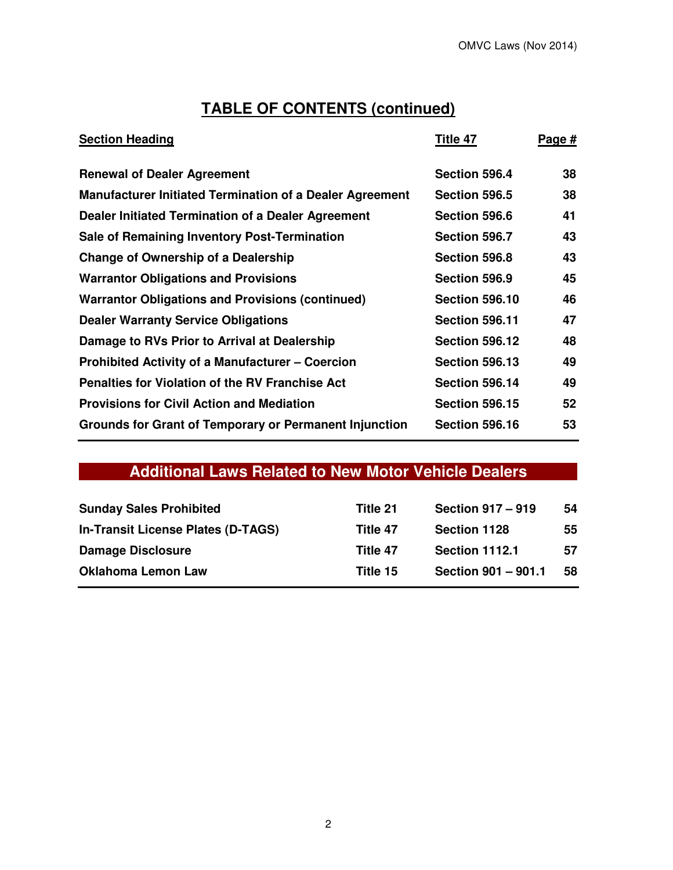# **TABLE OF CONTENTS (continued)**

| <b>Section Heading</b>                                          | Title 47              | Page # |
|-----------------------------------------------------------------|-----------------------|--------|
| <b>Renewal of Dealer Agreement</b>                              | Section 596.4         | 38     |
| <b>Manufacturer Initiated Termination of a Dealer Agreement</b> | Section 596.5         | 38     |
| Dealer Initiated Termination of a Dealer Agreement              | Section 596.6         | 41     |
| Sale of Remaining Inventory Post-Termination                    | Section 596.7         | 43     |
| <b>Change of Ownership of a Dealership</b>                      | Section 596.8         | 43     |
| <b>Warrantor Obligations and Provisions</b>                     | Section 596.9         | 45     |
| <b>Warrantor Obligations and Provisions (continued)</b>         | <b>Section 596.10</b> | 46     |
| <b>Dealer Warranty Service Obligations</b>                      | <b>Section 596.11</b> | 47     |
| Damage to RVs Prior to Arrival at Dealership                    | <b>Section 596.12</b> | 48     |
| <b>Prohibited Activity of a Manufacturer – Coercion</b>         | <b>Section 596.13</b> | 49     |
| <b>Penalties for Violation of the RV Franchise Act</b>          | <b>Section 596.14</b> | 49     |
| <b>Provisions for Civil Action and Mediation</b>                | <b>Section 596.15</b> | 52     |
| <b>Grounds for Grant of Temporary or Permanent Injunction</b>   | <b>Section 596.16</b> | 53     |

# **Additional Laws Related to New Motor Vehicle Dealers**

| <b>Sunday Sales Prohibited</b>     | Title 21 | <b>Section 917 - 919</b> | 54 |
|------------------------------------|----------|--------------------------|----|
| In-Transit License Plates (D-TAGS) | Title 47 | Section 1128             | 55 |
| <b>Damage Disclosure</b>           | Title 47 | <b>Section 1112.1</b>    | 57 |
| <b>Oklahoma Lemon Law</b>          | Title 15 | Section 901 - 901.1      | 58 |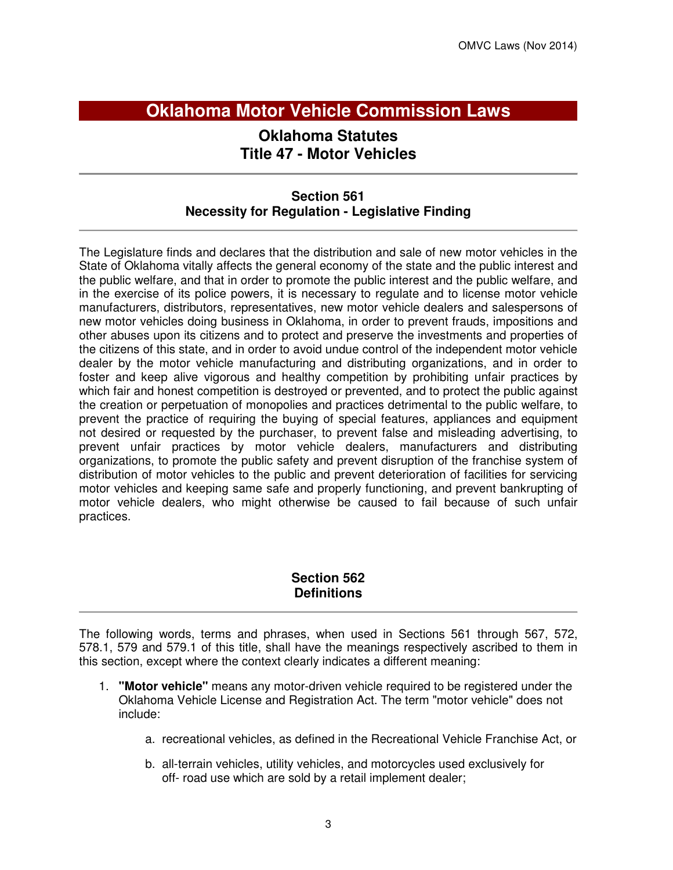# **Oklahoma Motor Vehicle Commission Laws**

# **Oklahoma Statutes Title 47 - Motor Vehicles**

# **Section 561 Necessity for Regulation - Legislative Finding**

The Legislature finds and declares that the distribution and sale of new motor vehicles in the State of Oklahoma vitally affects the general economy of the state and the public interest and the public welfare, and that in order to promote the public interest and the public welfare, and in the exercise of its police powers, it is necessary to regulate and to license motor vehicle manufacturers, distributors, representatives, new motor vehicle dealers and salespersons of new motor vehicles doing business in Oklahoma, in order to prevent frauds, impositions and other abuses upon its citizens and to protect and preserve the investments and properties of the citizens of this state, and in order to avoid undue control of the independent motor vehicle dealer by the motor vehicle manufacturing and distributing organizations, and in order to foster and keep alive vigorous and healthy competition by prohibiting unfair practices by which fair and honest competition is destroyed or prevented, and to protect the public against the creation or perpetuation of monopolies and practices detrimental to the public welfare, to prevent the practice of requiring the buying of special features, appliances and equipment not desired or requested by the purchaser, to prevent false and misleading advertising, to prevent unfair practices by motor vehicle dealers, manufacturers and distributing organizations, to promote the public safety and prevent disruption of the franchise system of distribution of motor vehicles to the public and prevent deterioration of facilities for servicing motor vehicles and keeping same safe and properly functioning, and prevent bankrupting of motor vehicle dealers, who might otherwise be caused to fail because of such unfair practices.

# **Section 562 Definitions**

The following words, terms and phrases, when used in Sections 561 through 567, 572, 578.1, 579 and 579.1 of this title, shall have the meanings respectively ascribed to them in this section, except where the context clearly indicates a different meaning:

- 1. **"Motor vehicle"** means any motor-driven vehicle required to be registered under the Oklahoma Vehicle License and Registration Act. The term "motor vehicle" does not include:
	- a. recreational vehicles, as defined in the Recreational Vehicle Franchise Act, or
	- b. all-terrain vehicles, utility vehicles, and motorcycles used exclusively for off- road use which are sold by a retail implement dealer;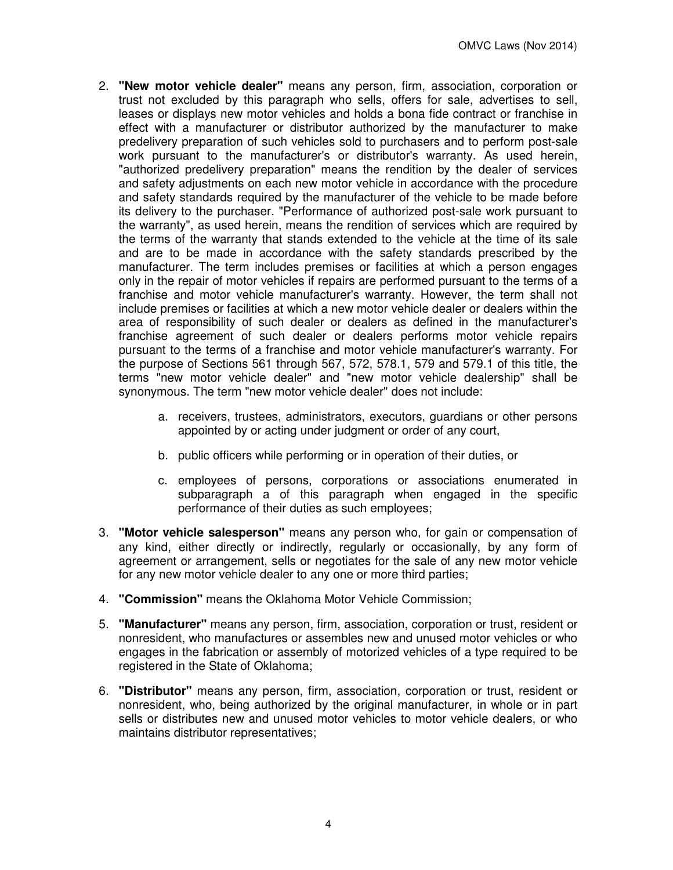- 2. **"New motor vehicle dealer"** means any person, firm, association, corporation or trust not excluded by this paragraph who sells, offers for sale, advertises to sell, leases or displays new motor vehicles and holds a bona fide contract or franchise in effect with a manufacturer or distributor authorized by the manufacturer to make predelivery preparation of such vehicles sold to purchasers and to perform post-sale work pursuant to the manufacturer's or distributor's warranty. As used herein, "authorized predelivery preparation" means the rendition by the dealer of services and safety adjustments on each new motor vehicle in accordance with the procedure and safety standards required by the manufacturer of the vehicle to be made before its delivery to the purchaser. "Performance of authorized post-sale work pursuant to the warranty", as used herein, means the rendition of services which are required by the terms of the warranty that stands extended to the vehicle at the time of its sale and are to be made in accordance with the safety standards prescribed by the manufacturer. The term includes premises or facilities at which a person engages only in the repair of motor vehicles if repairs are performed pursuant to the terms of a franchise and motor vehicle manufacturer's warranty. However, the term shall not include premises or facilities at which a new motor vehicle dealer or dealers within the area of responsibility of such dealer or dealers as defined in the manufacturer's franchise agreement of such dealer or dealers performs motor vehicle repairs pursuant to the terms of a franchise and motor vehicle manufacturer's warranty. For the purpose of Sections 561 through 567, 572, 578.1, 579 and 579.1 of this title, the terms "new motor vehicle dealer" and "new motor vehicle dealership" shall be synonymous. The term "new motor vehicle dealer" does not include:
	- a. receivers, trustees, administrators, executors, guardians or other persons appointed by or acting under judgment or order of any court,
	- b. public officers while performing or in operation of their duties, or
	- c. employees of persons, corporations or associations enumerated in subparagraph a of this paragraph when engaged in the specific performance of their duties as such employees;
- 3. **"Motor vehicle salesperson"** means any person who, for gain or compensation of any kind, either directly or indirectly, regularly or occasionally, by any form of agreement or arrangement, sells or negotiates for the sale of any new motor vehicle for any new motor vehicle dealer to any one or more third parties;
- 4. **"Commission"** means the Oklahoma Motor Vehicle Commission;
- 5. **"Manufacturer"** means any person, firm, association, corporation or trust, resident or nonresident, who manufactures or assembles new and unused motor vehicles or who engages in the fabrication or assembly of motorized vehicles of a type required to be registered in the State of Oklahoma;
- 6. **"Distributor"** means any person, firm, association, corporation or trust, resident or nonresident, who, being authorized by the original manufacturer, in whole or in part sells or distributes new and unused motor vehicles to motor vehicle dealers, or who maintains distributor representatives;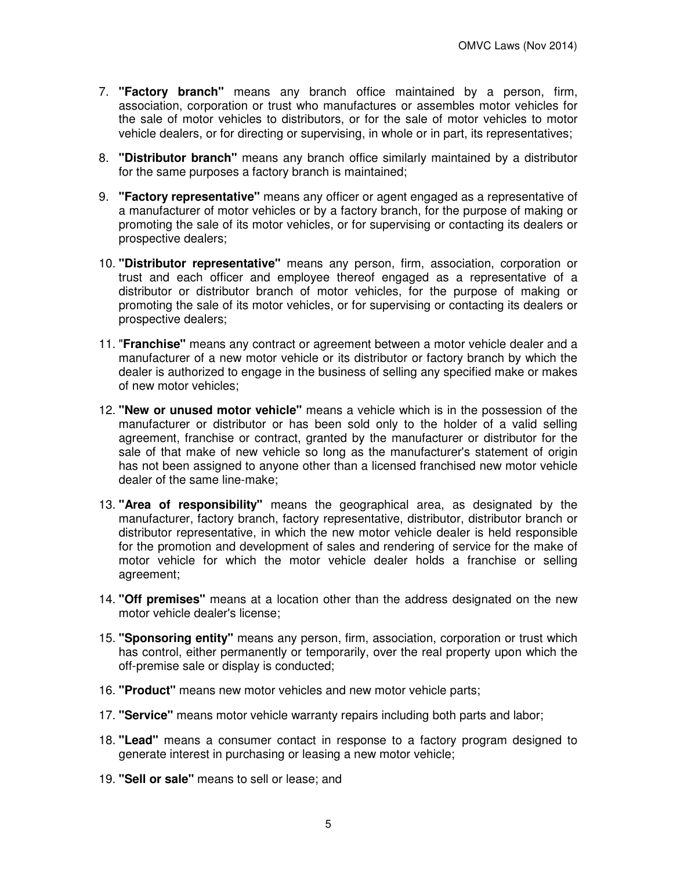- 7. **"Factory branch"** means any branch office maintained by a person, firm, association, corporation or trust who manufactures or assembles motor vehicles for the sale of motor vehicles to distributors, or for the sale of motor vehicles to motor vehicle dealers, or for directing or supervising, in whole or in part, its representatives;
- 8. **"Distributor branch"** means any branch office similarly maintained by a distributor for the same purposes a factory branch is maintained;
- 9. **"Factory representative"** means any officer or agent engaged as a representative of a manufacturer of motor vehicles or by a factory branch, for the purpose of making or promoting the sale of its motor vehicles, or for supervising or contacting its dealers or prospective dealers;
- 10. **"Distributor representative"** means any person, firm, association, corporation or trust and each officer and employee thereof engaged as a representative of a distributor or distributor branch of motor vehicles, for the purpose of making or promoting the sale of its motor vehicles, or for supervising or contacting its dealers or prospective dealers;
- 11. "**Franchise"** means any contract or agreement between a motor vehicle dealer and a manufacturer of a new motor vehicle or its distributor or factory branch by which the dealer is authorized to engage in the business of selling any specified make or makes of new motor vehicles;
- 12. **"New or unused motor vehicle"** means a vehicle which is in the possession of the manufacturer or distributor or has been sold only to the holder of a valid selling agreement, franchise or contract, granted by the manufacturer or distributor for the sale of that make of new vehicle so long as the manufacturer's statement of origin has not been assigned to anyone other than a licensed franchised new motor vehicle dealer of the same line-make;
- 13. **"Area of responsibility"** means the geographical area, as designated by the manufacturer, factory branch, factory representative, distributor, distributor branch or distributor representative, in which the new motor vehicle dealer is held responsible for the promotion and development of sales and rendering of service for the make of motor vehicle for which the motor vehicle dealer holds a franchise or selling agreement;
- 14. **"Off premises"** means at a location other than the address designated on the new motor vehicle dealer's license;
- 15. **"Sponsoring entity"** means any person, firm, association, corporation or trust which has control, either permanently or temporarily, over the real property upon which the off-premise sale or display is conducted;
- 16. **"Product"** means new motor vehicles and new motor vehicle parts;
- 17. **"Service"** means motor vehicle warranty repairs including both parts and labor;
- 18. **"Lead"** means a consumer contact in response to a factory program designed to generate interest in purchasing or leasing a new motor vehicle;
- 19. **"Sell or sale"** means to sell or lease; and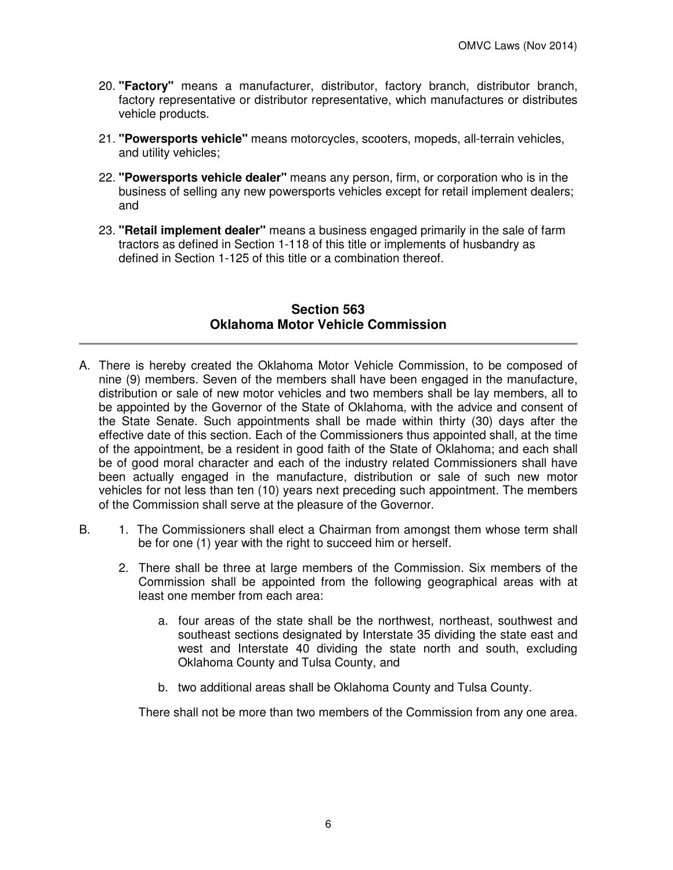- 20. **"Factory"** means a manufacturer, distributor, factory branch, distributor branch, factory representative or distributor representative, which manufactures or distributes vehicle products.
- 21. **"Powersports vehicle"** means motorcycles, scooters, mopeds, all-terrain vehicles, and utility vehicles;
- 22. **"Powersports vehicle dealer"** means any person, firm, or corporation who is in the business of selling any new powersports vehicles except for retail implement dealers; and
- 23. **"Retail implement dealer"** means a business engaged primarily in the sale of farm tractors as defined in Section 1-118 of this title or implements of husbandry as defined in Section 1-125 of this title or a combination thereof.

# **Section 563 Oklahoma Motor Vehicle Commission**

- A. There is hereby created the Oklahoma Motor Vehicle Commission, to be composed of nine (9) members. Seven of the members shall have been engaged in the manufacture, distribution or sale of new motor vehicles and two members shall be lay members, all to be appointed by the Governor of the State of Oklahoma, with the advice and consent of the State Senate. Such appointments shall be made within thirty (30) days after the effective date of this section. Each of the Commissioners thus appointed shall, at the time of the appointment, be a resident in good faith of the State of Oklahoma; and each shall be of good moral character and each of the industry related Commissioners shall have been actually engaged in the manufacture, distribution or sale of such new motor vehicles for not less than ten (10) years next preceding such appointment. The members of the Commission shall serve at the pleasure of the Governor.
- B. 1. The Commissioners shall elect a Chairman from amongst them whose term shall be for one (1) year with the right to succeed him or herself.
	- 2. There shall be three at large members of the Commission. Six members of the Commission shall be appointed from the following geographical areas with at least one member from each area:
		- a. four areas of the state shall be the northwest, northeast, southwest and southeast sections designated by Interstate 35 dividing the state east and west and Interstate 40 dividing the state north and south, excluding Oklahoma County and Tulsa County, and
		- b. two additional areas shall be Oklahoma County and Tulsa County.

There shall not be more than two members of the Commission from any one area.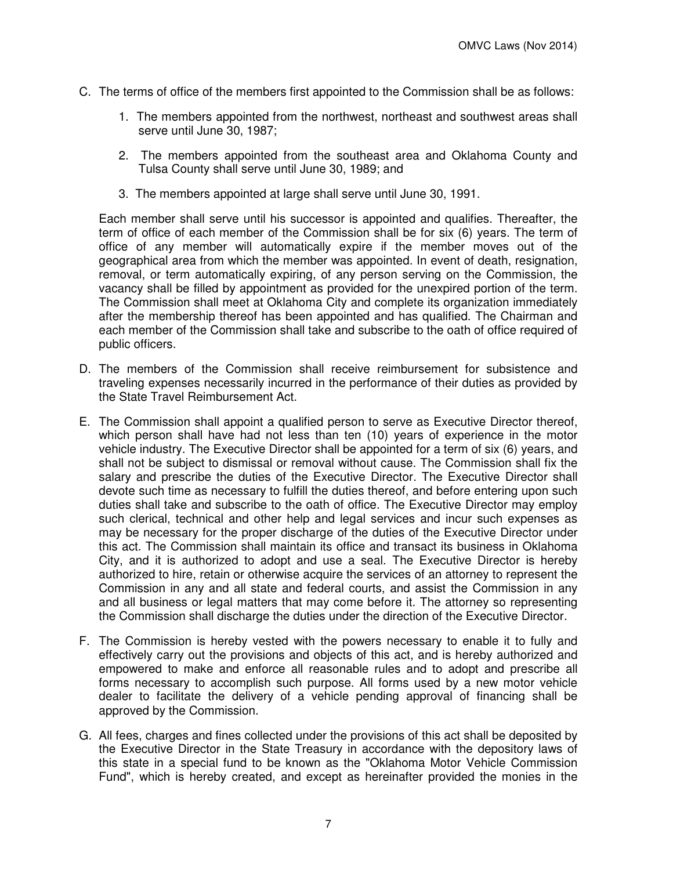- C. The terms of office of the members first appointed to the Commission shall be as follows:
	- 1. The members appointed from the northwest, northeast and southwest areas shall serve until June 30, 1987;
	- 2. The members appointed from the southeast area and Oklahoma County and Tulsa County shall serve until June 30, 1989; and
	- 3. The members appointed at large shall serve until June 30, 1991.

Each member shall serve until his successor is appointed and qualifies. Thereafter, the term of office of each member of the Commission shall be for six (6) years. The term of office of any member will automatically expire if the member moves out of the geographical area from which the member was appointed. In event of death, resignation, removal, or term automatically expiring, of any person serving on the Commission, the vacancy shall be filled by appointment as provided for the unexpired portion of the term. The Commission shall meet at Oklahoma City and complete its organization immediately after the membership thereof has been appointed and has qualified. The Chairman and each member of the Commission shall take and subscribe to the oath of office required of public officers.

- D. The members of the Commission shall receive reimbursement for subsistence and traveling expenses necessarily incurred in the performance of their duties as provided by the State Travel Reimbursement Act.
- E. The Commission shall appoint a qualified person to serve as Executive Director thereof, which person shall have had not less than ten (10) years of experience in the motor vehicle industry. The Executive Director shall be appointed for a term of six (6) years, and shall not be subject to dismissal or removal without cause. The Commission shall fix the salary and prescribe the duties of the Executive Director. The Executive Director shall devote such time as necessary to fulfill the duties thereof, and before entering upon such duties shall take and subscribe to the oath of office. The Executive Director may employ such clerical, technical and other help and legal services and incur such expenses as may be necessary for the proper discharge of the duties of the Executive Director under this act. The Commission shall maintain its office and transact its business in Oklahoma City, and it is authorized to adopt and use a seal. The Executive Director is hereby authorized to hire, retain or otherwise acquire the services of an attorney to represent the Commission in any and all state and federal courts, and assist the Commission in any and all business or legal matters that may come before it. The attorney so representing the Commission shall discharge the duties under the direction of the Executive Director.
- F. The Commission is hereby vested with the powers necessary to enable it to fully and effectively carry out the provisions and objects of this act, and is hereby authorized and empowered to make and enforce all reasonable rules and to adopt and prescribe all forms necessary to accomplish such purpose. All forms used by a new motor vehicle dealer to facilitate the delivery of a vehicle pending approval of financing shall be approved by the Commission.
- G. All fees, charges and fines collected under the provisions of this act shall be deposited by the Executive Director in the State Treasury in accordance with the depository laws of this state in a special fund to be known as the "Oklahoma Motor Vehicle Commission Fund", which is hereby created, and except as hereinafter provided the monies in the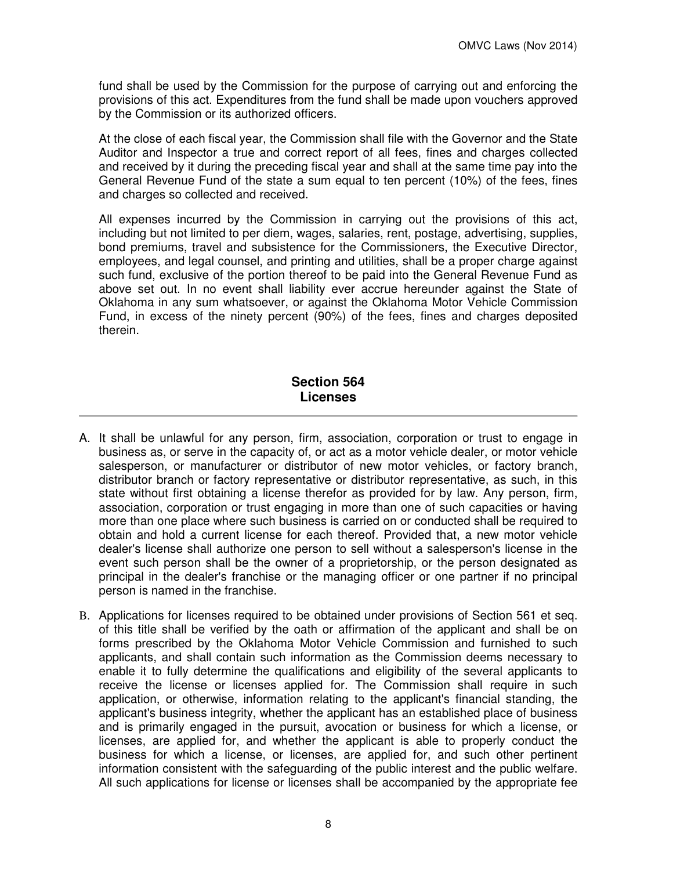fund shall be used by the Commission for the purpose of carrying out and enforcing the provisions of this act. Expenditures from the fund shall be made upon vouchers approved by the Commission or its authorized officers.

At the close of each fiscal year, the Commission shall file with the Governor and the State Auditor and Inspector a true and correct report of all fees, fines and charges collected and received by it during the preceding fiscal year and shall at the same time pay into the General Revenue Fund of the state a sum equal to ten percent (10%) of the fees, fines and charges so collected and received.

All expenses incurred by the Commission in carrying out the provisions of this act, including but not limited to per diem, wages, salaries, rent, postage, advertising, supplies, bond premiums, travel and subsistence for the Commissioners, the Executive Director, employees, and legal counsel, and printing and utilities, shall be a proper charge against such fund, exclusive of the portion thereof to be paid into the General Revenue Fund as above set out. In no event shall liability ever accrue hereunder against the State of Oklahoma in any sum whatsoever, or against the Oklahoma Motor Vehicle Commission Fund, in excess of the ninety percent (90%) of the fees, fines and charges deposited therein.

# **Section 564 Licenses**

- A. It shall be unlawful for any person, firm, association, corporation or trust to engage in business as, or serve in the capacity of, or act as a motor vehicle dealer, or motor vehicle salesperson, or manufacturer or distributor of new motor vehicles, or factory branch, distributor branch or factory representative or distributor representative, as such, in this state without first obtaining a license therefor as provided for by law. Any person, firm, association, corporation or trust engaging in more than one of such capacities or having more than one place where such business is carried on or conducted shall be required to obtain and hold a current license for each thereof. Provided that, a new motor vehicle dealer's license shall authorize one person to sell without a salesperson's license in the event such person shall be the owner of a proprietorship, or the person designated as principal in the dealer's franchise or the managing officer or one partner if no principal person is named in the franchise.
- B. Applications for licenses required to be obtained under provisions of Section 561 et seq. of this title shall be verified by the oath or affirmation of the applicant and shall be on forms prescribed by the Oklahoma Motor Vehicle Commission and furnished to such applicants, and shall contain such information as the Commission deems necessary to enable it to fully determine the qualifications and eligibility of the several applicants to receive the license or licenses applied for. The Commission shall require in such application, or otherwise, information relating to the applicant's financial standing, the applicant's business integrity, whether the applicant has an established place of business and is primarily engaged in the pursuit, avocation or business for which a license, or licenses, are applied for, and whether the applicant is able to properly conduct the business for which a license, or licenses, are applied for, and such other pertinent information consistent with the safeguarding of the public interest and the public welfare. All such applications for license or licenses shall be accompanied by the appropriate fee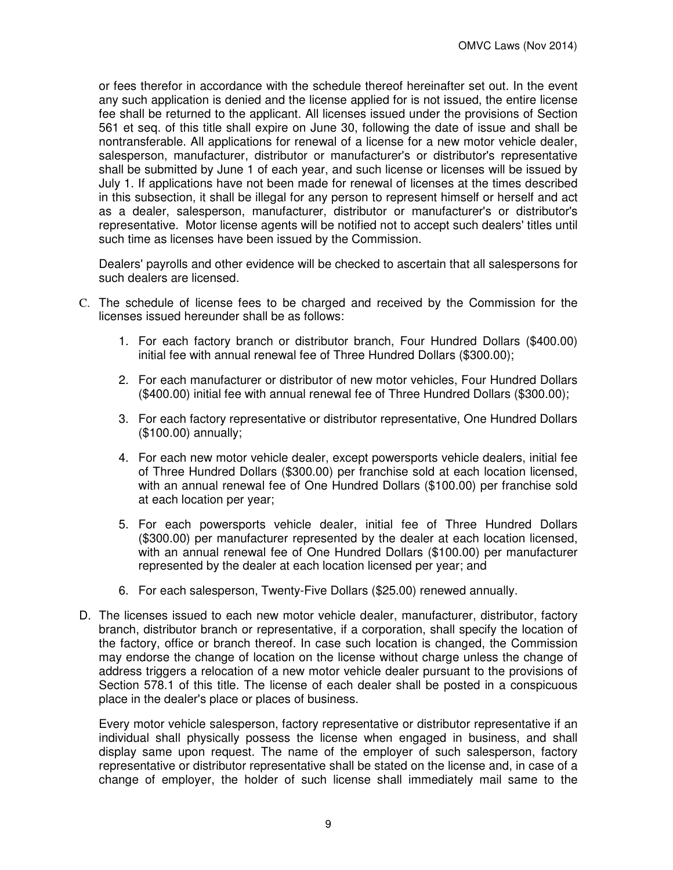or fees therefor in accordance with the schedule thereof hereinafter set out. In the event any such application is denied and the license applied for is not issued, the entire license fee shall be returned to the applicant. All licenses issued under the provisions of Section 561 et seq. of this title shall expire on June 30, following the date of issue and shall be nontransferable. All applications for renewal of a license for a new motor vehicle dealer, salesperson, manufacturer, distributor or manufacturer's or distributor's representative shall be submitted by June 1 of each year, and such license or licenses will be issued by July 1. If applications have not been made for renewal of licenses at the times described in this subsection, it shall be illegal for any person to represent himself or herself and act as a dealer, salesperson, manufacturer, distributor or manufacturer's or distributor's representative. Motor license agents will be notified not to accept such dealers' titles until such time as licenses have been issued by the Commission.

Dealers' payrolls and other evidence will be checked to ascertain that all salespersons for such dealers are licensed.

- C. The schedule of license fees to be charged and received by the Commission for the licenses issued hereunder shall be as follows:
	- 1. For each factory branch or distributor branch, Four Hundred Dollars (\$400.00) initial fee with annual renewal fee of Three Hundred Dollars (\$300.00);
	- 2. For each manufacturer or distributor of new motor vehicles, Four Hundred Dollars (\$400.00) initial fee with annual renewal fee of Three Hundred Dollars (\$300.00);
	- 3. For each factory representative or distributor representative, One Hundred Dollars (\$100.00) annually;
	- 4. For each new motor vehicle dealer, except powersports vehicle dealers, initial fee of Three Hundred Dollars (\$300.00) per franchise sold at each location licensed, with an annual renewal fee of One Hundred Dollars (\$100.00) per franchise sold at each location per year;
	- 5. For each powersports vehicle dealer, initial fee of Three Hundred Dollars (\$300.00) per manufacturer represented by the dealer at each location licensed, with an annual renewal fee of One Hundred Dollars (\$100.00) per manufacturer represented by the dealer at each location licensed per year; and
	- 6. For each salesperson, Twenty-Five Dollars (\$25.00) renewed annually.
- D. The licenses issued to each new motor vehicle dealer, manufacturer, distributor, factory branch, distributor branch or representative, if a corporation, shall specify the location of the factory, office or branch thereof. In case such location is changed, the Commission may endorse the change of location on the license without charge unless the change of address triggers a relocation of a new motor vehicle dealer pursuant to the provisions of Section 578.1 of this title. The license of each dealer shall be posted in a conspicuous place in the dealer's place or places of business.

Every motor vehicle salesperson, factory representative or distributor representative if an individual shall physically possess the license when engaged in business, and shall display same upon request. The name of the employer of such salesperson, factory representative or distributor representative shall be stated on the license and, in case of a change of employer, the holder of such license shall immediately mail same to the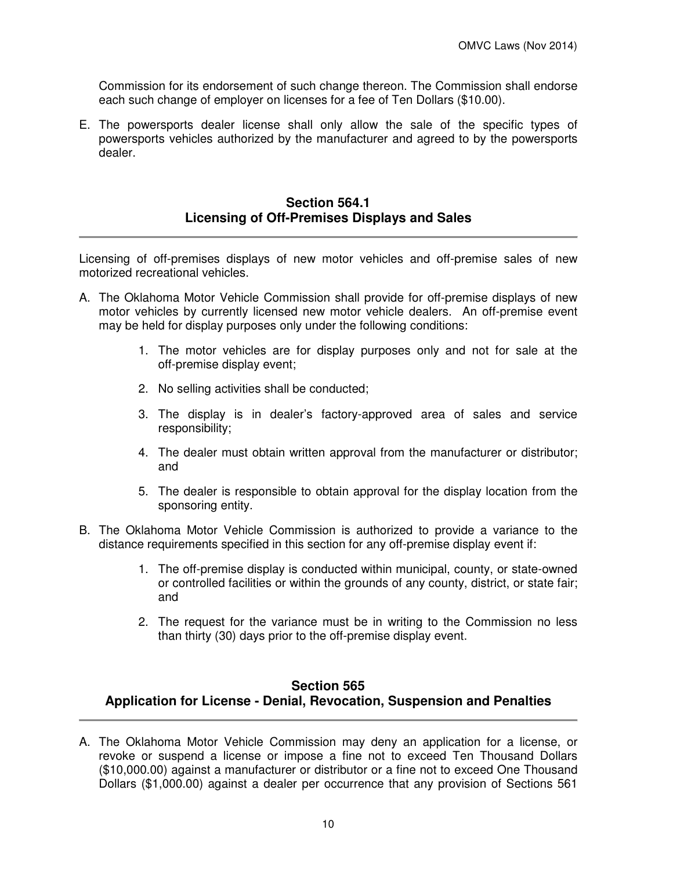Commission for its endorsement of such change thereon. The Commission shall endorse each such change of employer on licenses for a fee of Ten Dollars (\$10.00).

E. The powersports dealer license shall only allow the sale of the specific types of powersports vehicles authorized by the manufacturer and agreed to by the powersports dealer.

## **Section 564.1 Licensing of Off-Premises Displays and Sales**

Licensing of off-premises displays of new motor vehicles and off-premise sales of new motorized recreational vehicles.

- A. The Oklahoma Motor Vehicle Commission shall provide for off-premise displays of new motor vehicles by currently licensed new motor vehicle dealers. An off-premise event may be held for display purposes only under the following conditions:
	- 1. The motor vehicles are for display purposes only and not for sale at the off-premise display event;
	- 2. No selling activities shall be conducted;
	- 3. The display is in dealer's factory-approved area of sales and service responsibility;
	- 4. The dealer must obtain written approval from the manufacturer or distributor; and
	- 5. The dealer is responsible to obtain approval for the display location from the sponsoring entity.
- B. The Oklahoma Motor Vehicle Commission is authorized to provide a variance to the distance requirements specified in this section for any off-premise display event if:
	- 1. The off-premise display is conducted within municipal, county, or state-owned or controlled facilities or within the grounds of any county, district, or state fair; and
	- 2. The request for the variance must be in writing to the Commission no less than thirty (30) days prior to the off-premise display event.

# **Section 565 Application for License - Denial, Revocation, Suspension and Penalties**

A. The Oklahoma Motor Vehicle Commission may deny an application for a license, or revoke or suspend a license or impose a fine not to exceed Ten Thousand Dollars (\$10,000.00) against a manufacturer or distributor or a fine not to exceed One Thousand Dollars (\$1,000.00) against a dealer per occurrence that any provision of Sections 561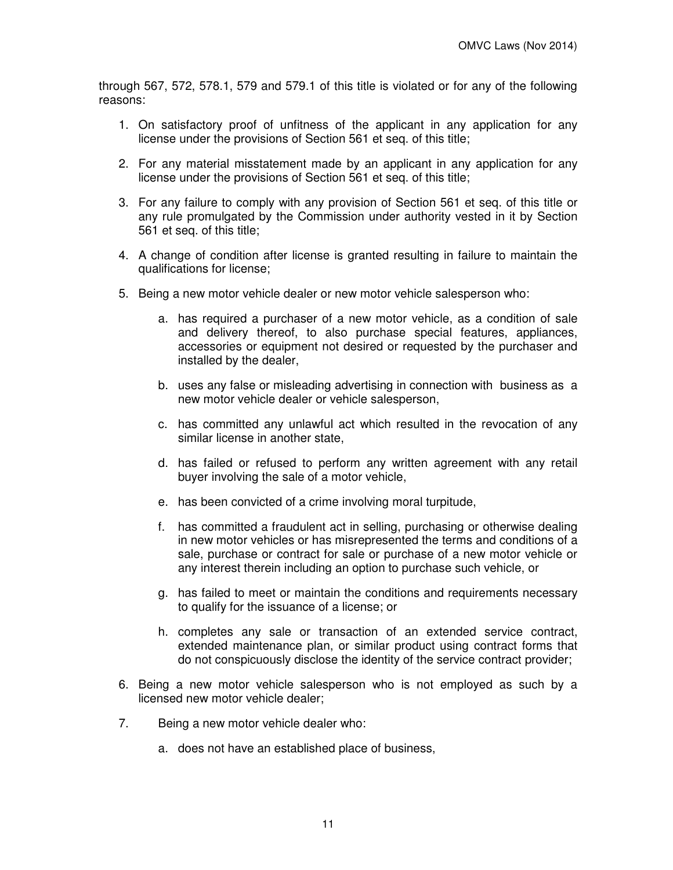through 567, 572, 578.1, 579 and 579.1 of this title is violated or for any of the following reasons:

- 1. On satisfactory proof of unfitness of the applicant in any application for any license under the provisions of Section 561 et seq. of this title;
- 2. For any material misstatement made by an applicant in any application for any license under the provisions of Section 561 et seq. of this title;
- 3. For any failure to comply with any provision of Section 561 et seq. of this title or any rule promulgated by the Commission under authority vested in it by Section 561 et seq. of this title;
- 4. A change of condition after license is granted resulting in failure to maintain the qualifications for license;
- 5. Being a new motor vehicle dealer or new motor vehicle salesperson who:
	- a. has required a purchaser of a new motor vehicle, as a condition of sale and delivery thereof, to also purchase special features, appliances, accessories or equipment not desired or requested by the purchaser and installed by the dealer,
	- b. uses any false or misleading advertising in connection with business as a new motor vehicle dealer or vehicle salesperson,
	- c. has committed any unlawful act which resulted in the revocation of any similar license in another state,
	- d. has failed or refused to perform any written agreement with any retail buyer involving the sale of a motor vehicle,
	- e. has been convicted of a crime involving moral turpitude,
	- f. has committed a fraudulent act in selling, purchasing or otherwise dealing in new motor vehicles or has misrepresented the terms and conditions of a sale, purchase or contract for sale or purchase of a new motor vehicle or any interest therein including an option to purchase such vehicle, or
	- g. has failed to meet or maintain the conditions and requirements necessary to qualify for the issuance of a license; or
	- h. completes any sale or transaction of an extended service contract, extended maintenance plan, or similar product using contract forms that do not conspicuously disclose the identity of the service contract provider;
- 6. Being a new motor vehicle salesperson who is not employed as such by a licensed new motor vehicle dealer;
- 7. Being a new motor vehicle dealer who:
	- a. does not have an established place of business,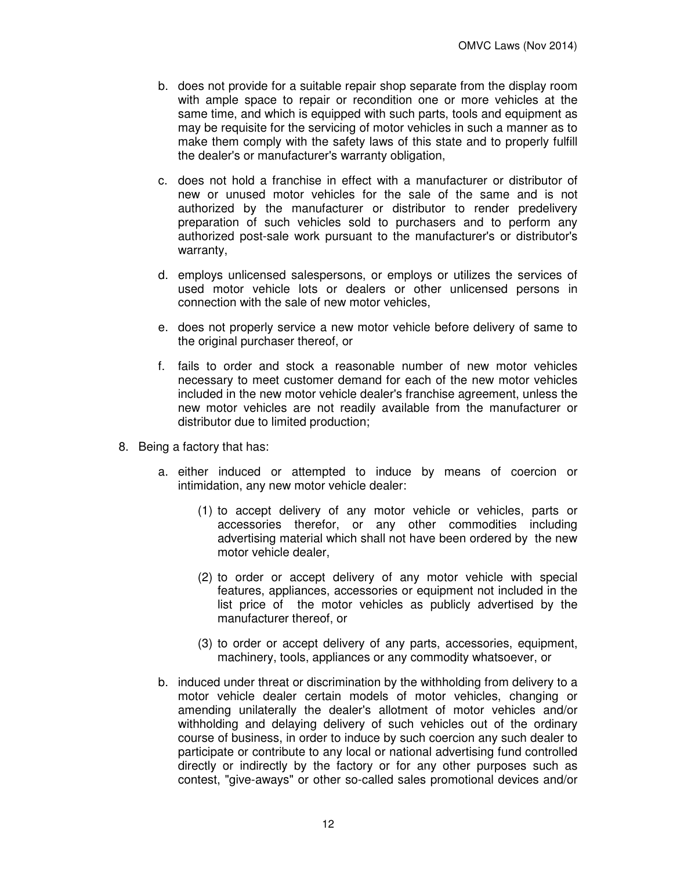- b. does not provide for a suitable repair shop separate from the display room with ample space to repair or recondition one or more vehicles at the same time, and which is equipped with such parts, tools and equipment as may be requisite for the servicing of motor vehicles in such a manner as to make them comply with the safety laws of this state and to properly fulfill the dealer's or manufacturer's warranty obligation,
- c. does not hold a franchise in effect with a manufacturer or distributor of new or unused motor vehicles for the sale of the same and is not authorized by the manufacturer or distributor to render predelivery preparation of such vehicles sold to purchasers and to perform any authorized post-sale work pursuant to the manufacturer's or distributor's warranty,
- d. employs unlicensed salespersons, or employs or utilizes the services of used motor vehicle lots or dealers or other unlicensed persons in connection with the sale of new motor vehicles,
- e. does not properly service a new motor vehicle before delivery of same to the original purchaser thereof, or
- f. fails to order and stock a reasonable number of new motor vehicles necessary to meet customer demand for each of the new motor vehicles included in the new motor vehicle dealer's franchise agreement, unless the new motor vehicles are not readily available from the manufacturer or distributor due to limited production;
- 8. Being a factory that has:
	- a. either induced or attempted to induce by means of coercion or intimidation, any new motor vehicle dealer:
		- (1) to accept delivery of any motor vehicle or vehicles, parts or accessories therefor, or any other commodities including advertising material which shall not have been ordered by the new motor vehicle dealer,
		- (2) to order or accept delivery of any motor vehicle with special features, appliances, accessories or equipment not included in the list price of the motor vehicles as publicly advertised by the manufacturer thereof, or
		- (3) to order or accept delivery of any parts, accessories, equipment, machinery, tools, appliances or any commodity whatsoever, or
	- b. induced under threat or discrimination by the withholding from delivery to a motor vehicle dealer certain models of motor vehicles, changing or amending unilaterally the dealer's allotment of motor vehicles and/or withholding and delaying delivery of such vehicles out of the ordinary course of business, in order to induce by such coercion any such dealer to participate or contribute to any local or national advertising fund controlled directly or indirectly by the factory or for any other purposes such as contest, "give-aways" or other so-called sales promotional devices and/or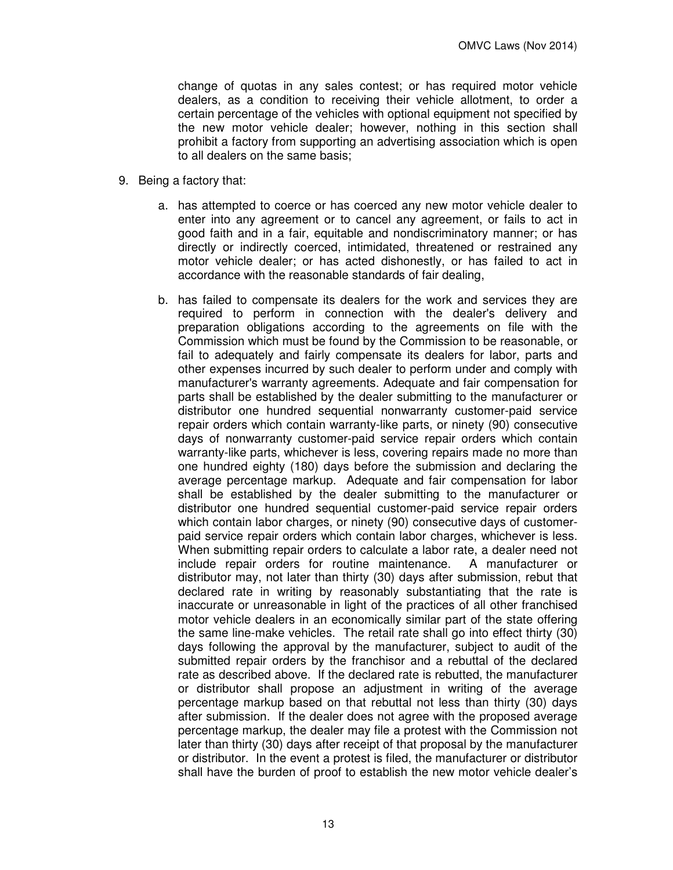change of quotas in any sales contest; or has required motor vehicle dealers, as a condition to receiving their vehicle allotment, to order a certain percentage of the vehicles with optional equipment not specified by the new motor vehicle dealer; however, nothing in this section shall prohibit a factory from supporting an advertising association which is open to all dealers on the same basis;

- 9. Being a factory that:
	- a. has attempted to coerce or has coerced any new motor vehicle dealer to enter into any agreement or to cancel any agreement, or fails to act in good faith and in a fair, equitable and nondiscriminatory manner; or has directly or indirectly coerced, intimidated, threatened or restrained any motor vehicle dealer; or has acted dishonestly, or has failed to act in accordance with the reasonable standards of fair dealing,
	- b. has failed to compensate its dealers for the work and services they are required to perform in connection with the dealer's delivery and preparation obligations according to the agreements on file with the Commission which must be found by the Commission to be reasonable, or fail to adequately and fairly compensate its dealers for labor, parts and other expenses incurred by such dealer to perform under and comply with manufacturer's warranty agreements. Adequate and fair compensation for parts shall be established by the dealer submitting to the manufacturer or distributor one hundred sequential nonwarranty customer-paid service repair orders which contain warranty-like parts, or ninety (90) consecutive days of nonwarranty customer-paid service repair orders which contain warranty-like parts, whichever is less, covering repairs made no more than one hundred eighty (180) days before the submission and declaring the average percentage markup. Adequate and fair compensation for labor shall be established by the dealer submitting to the manufacturer or distributor one hundred sequential customer-paid service repair orders which contain labor charges, or ninety (90) consecutive days of customerpaid service repair orders which contain labor charges, whichever is less. When submitting repair orders to calculate a labor rate, a dealer need not include repair orders for routine maintenance. A manufacturer or distributor may, not later than thirty (30) days after submission, rebut that declared rate in writing by reasonably substantiating that the rate is inaccurate or unreasonable in light of the practices of all other franchised motor vehicle dealers in an economically similar part of the state offering the same line-make vehicles. The retail rate shall go into effect thirty (30) days following the approval by the manufacturer, subject to audit of the submitted repair orders by the franchisor and a rebuttal of the declared rate as described above. If the declared rate is rebutted, the manufacturer or distributor shall propose an adjustment in writing of the average percentage markup based on that rebuttal not less than thirty (30) days after submission. If the dealer does not agree with the proposed average percentage markup, the dealer may file a protest with the Commission not later than thirty (30) days after receipt of that proposal by the manufacturer or distributor. In the event a protest is filed, the manufacturer or distributor shall have the burden of proof to establish the new motor vehicle dealer's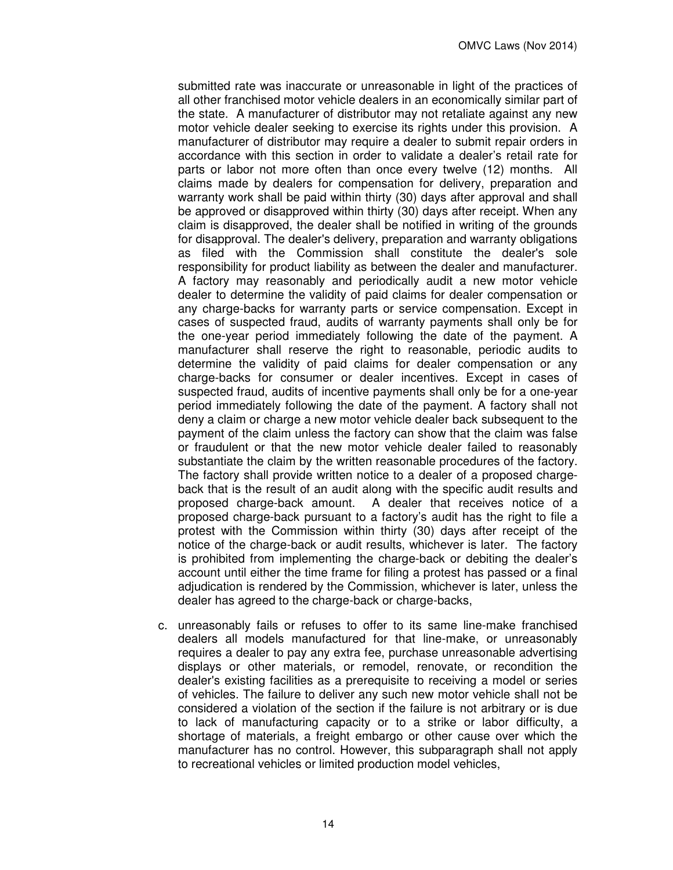submitted rate was inaccurate or unreasonable in light of the practices of all other franchised motor vehicle dealers in an economically similar part of the state. A manufacturer of distributor may not retaliate against any new motor vehicle dealer seeking to exercise its rights under this provision. A manufacturer of distributor may require a dealer to submit repair orders in accordance with this section in order to validate a dealer's retail rate for parts or labor not more often than once every twelve (12) months. All claims made by dealers for compensation for delivery, preparation and warranty work shall be paid within thirty (30) days after approval and shall be approved or disapproved within thirty (30) days after receipt. When any claim is disapproved, the dealer shall be notified in writing of the grounds for disapproval. The dealer's delivery, preparation and warranty obligations as filed with the Commission shall constitute the dealer's sole responsibility for product liability as between the dealer and manufacturer. A factory may reasonably and periodically audit a new motor vehicle dealer to determine the validity of paid claims for dealer compensation or any charge-backs for warranty parts or service compensation. Except in cases of suspected fraud, audits of warranty payments shall only be for the one-year period immediately following the date of the payment. A manufacturer shall reserve the right to reasonable, periodic audits to determine the validity of paid claims for dealer compensation or any charge-backs for consumer or dealer incentives. Except in cases of suspected fraud, audits of incentive payments shall only be for a one-year period immediately following the date of the payment. A factory shall not deny a claim or charge a new motor vehicle dealer back subsequent to the payment of the claim unless the factory can show that the claim was false or fraudulent or that the new motor vehicle dealer failed to reasonably substantiate the claim by the written reasonable procedures of the factory. The factory shall provide written notice to a dealer of a proposed chargeback that is the result of an audit along with the specific audit results and proposed charge-back amount. A dealer that receives notice of a proposed charge-back pursuant to a factory's audit has the right to file a protest with the Commission within thirty (30) days after receipt of the notice of the charge-back or audit results, whichever is later. The factory is prohibited from implementing the charge-back or debiting the dealer's account until either the time frame for filing a protest has passed or a final adjudication is rendered by the Commission, whichever is later, unless the dealer has agreed to the charge-back or charge-backs,

c. unreasonably fails or refuses to offer to its same line-make franchised dealers all models manufactured for that line-make, or unreasonably requires a dealer to pay any extra fee, purchase unreasonable advertising displays or other materials, or remodel, renovate, or recondition the dealer's existing facilities as a prerequisite to receiving a model or series of vehicles. The failure to deliver any such new motor vehicle shall not be considered a violation of the section if the failure is not arbitrary or is due to lack of manufacturing capacity or to a strike or labor difficulty, a shortage of materials, a freight embargo or other cause over which the manufacturer has no control. However, this subparagraph shall not apply to recreational vehicles or limited production model vehicles,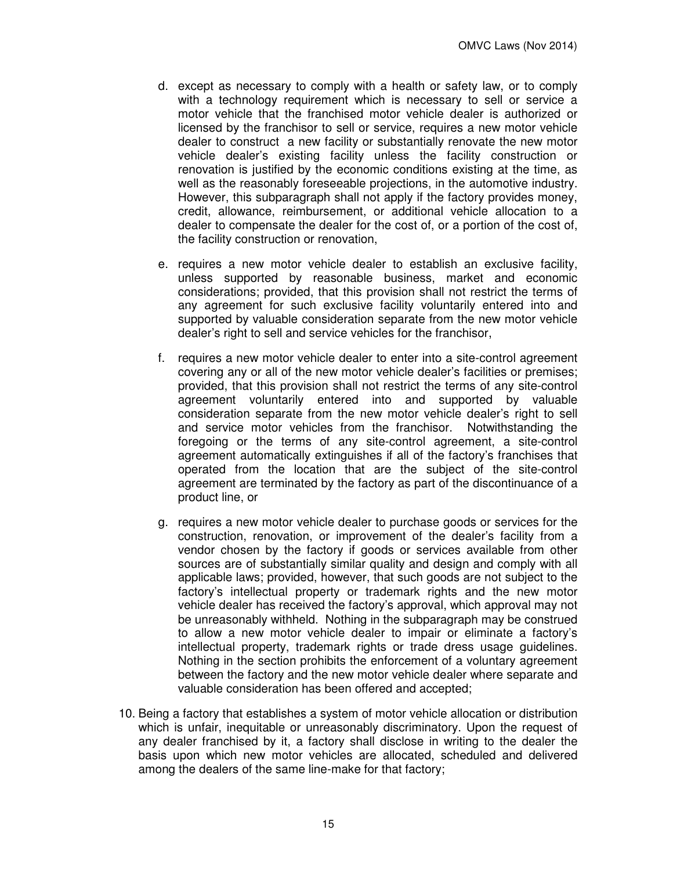- d. except as necessary to comply with a health or safety law, or to comply with a technology requirement which is necessary to sell or service a motor vehicle that the franchised motor vehicle dealer is authorized or licensed by the franchisor to sell or service, requires a new motor vehicle dealer to construct a new facility or substantially renovate the new motor vehicle dealer's existing facility unless the facility construction or renovation is justified by the economic conditions existing at the time, as well as the reasonably foreseeable projections, in the automotive industry. However, this subparagraph shall not apply if the factory provides money, credit, allowance, reimbursement, or additional vehicle allocation to a dealer to compensate the dealer for the cost of, or a portion of the cost of, the facility construction or renovation,
- e. requires a new motor vehicle dealer to establish an exclusive facility, unless supported by reasonable business, market and economic considerations; provided, that this provision shall not restrict the terms of any agreement for such exclusive facility voluntarily entered into and supported by valuable consideration separate from the new motor vehicle dealer's right to sell and service vehicles for the franchisor,
- f. requires a new motor vehicle dealer to enter into a site-control agreement covering any or all of the new motor vehicle dealer's facilities or premises; provided, that this provision shall not restrict the terms of any site-control agreement voluntarily entered into and supported by valuable consideration separate from the new motor vehicle dealer's right to sell and service motor vehicles from the franchisor. Notwithstanding the foregoing or the terms of any site-control agreement, a site-control agreement automatically extinguishes if all of the factory's franchises that operated from the location that are the subject of the site-control agreement are terminated by the factory as part of the discontinuance of a product line, or
- g. requires a new motor vehicle dealer to purchase goods or services for the construction, renovation, or improvement of the dealer's facility from a vendor chosen by the factory if goods or services available from other sources are of substantially similar quality and design and comply with all applicable laws; provided, however, that such goods are not subject to the factory's intellectual property or trademark rights and the new motor vehicle dealer has received the factory's approval, which approval may not be unreasonably withheld. Nothing in the subparagraph may be construed to allow a new motor vehicle dealer to impair or eliminate a factory's intellectual property, trademark rights or trade dress usage guidelines. Nothing in the section prohibits the enforcement of a voluntary agreement between the factory and the new motor vehicle dealer where separate and valuable consideration has been offered and accepted;
- 10. Being a factory that establishes a system of motor vehicle allocation or distribution which is unfair, inequitable or unreasonably discriminatory. Upon the request of any dealer franchised by it, a factory shall disclose in writing to the dealer the basis upon which new motor vehicles are allocated, scheduled and delivered among the dealers of the same line-make for that factory;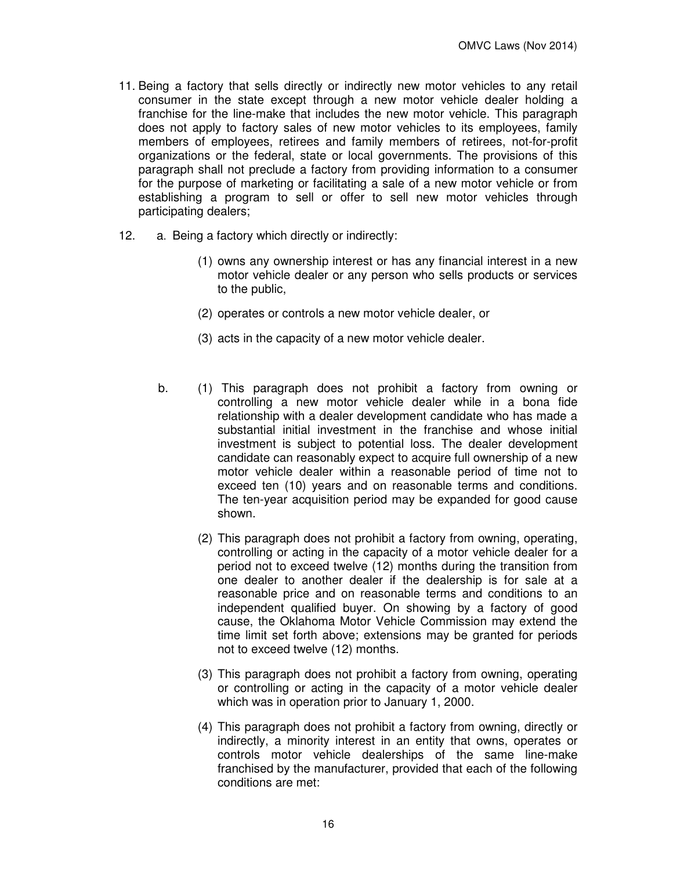- 11. Being a factory that sells directly or indirectly new motor vehicles to any retail consumer in the state except through a new motor vehicle dealer holding a franchise for the line-make that includes the new motor vehicle. This paragraph does not apply to factory sales of new motor vehicles to its employees, family members of employees, retirees and family members of retirees, not-for-profit organizations or the federal, state or local governments. The provisions of this paragraph shall not preclude a factory from providing information to a consumer for the purpose of marketing or facilitating a sale of a new motor vehicle or from establishing a program to sell or offer to sell new motor vehicles through participating dealers;
- 12. a. Being a factory which directly or indirectly:
	- (1) owns any ownership interest or has any financial interest in a new motor vehicle dealer or any person who sells products or services to the public,
	- (2) operates or controls a new motor vehicle dealer, or
	- (3) acts in the capacity of a new motor vehicle dealer.
	- b. (1) This paragraph does not prohibit a factory from owning or controlling a new motor vehicle dealer while in a bona fide relationship with a dealer development candidate who has made a substantial initial investment in the franchise and whose initial investment is subject to potential loss. The dealer development candidate can reasonably expect to acquire full ownership of a new motor vehicle dealer within a reasonable period of time not to exceed ten (10) years and on reasonable terms and conditions. The ten-year acquisition period may be expanded for good cause shown.
		- (2) This paragraph does not prohibit a factory from owning, operating, controlling or acting in the capacity of a motor vehicle dealer for a period not to exceed twelve (12) months during the transition from one dealer to another dealer if the dealership is for sale at a reasonable price and on reasonable terms and conditions to an independent qualified buyer. On showing by a factory of good cause, the Oklahoma Motor Vehicle Commission may extend the time limit set forth above; extensions may be granted for periods not to exceed twelve (12) months.
		- (3) This paragraph does not prohibit a factory from owning, operating or controlling or acting in the capacity of a motor vehicle dealer which was in operation prior to January 1, 2000.
		- (4) This paragraph does not prohibit a factory from owning, directly or indirectly, a minority interest in an entity that owns, operates or controls motor vehicle dealerships of the same line-make franchised by the manufacturer, provided that each of the following conditions are met: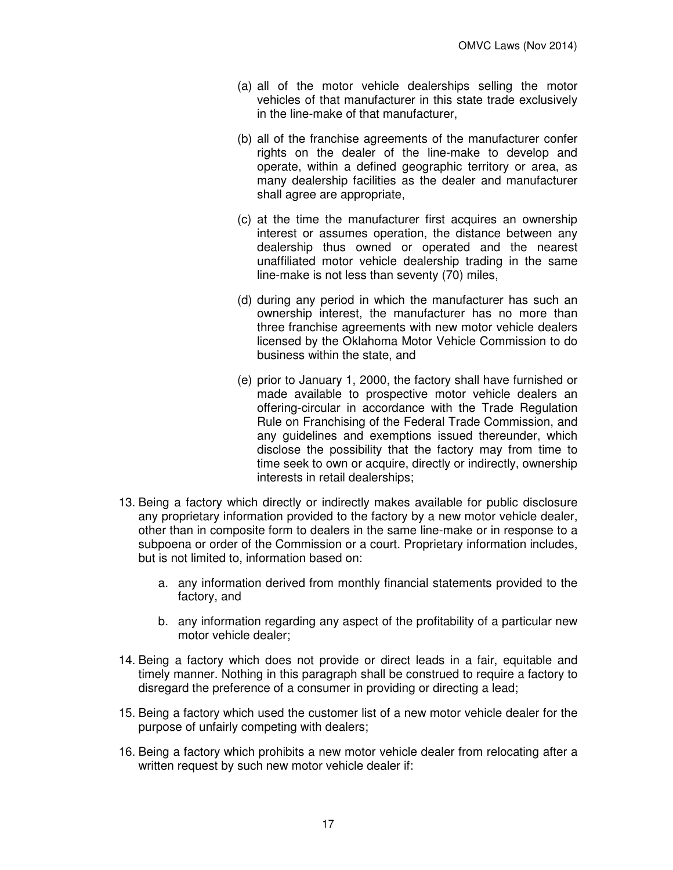- (a) all of the motor vehicle dealerships selling the motor vehicles of that manufacturer in this state trade exclusively in the line-make of that manufacturer,
- (b) all of the franchise agreements of the manufacturer confer rights on the dealer of the line-make to develop and operate, within a defined geographic territory or area, as many dealership facilities as the dealer and manufacturer shall agree are appropriate,
- (c) at the time the manufacturer first acquires an ownership interest or assumes operation, the distance between any dealership thus owned or operated and the nearest unaffiliated motor vehicle dealership trading in the same line-make is not less than seventy (70) miles,
- (d) during any period in which the manufacturer has such an ownership interest, the manufacturer has no more than three franchise agreements with new motor vehicle dealers licensed by the Oklahoma Motor Vehicle Commission to do business within the state, and
- (e) prior to January 1, 2000, the factory shall have furnished or made available to prospective motor vehicle dealers an offering-circular in accordance with the Trade Regulation Rule on Franchising of the Federal Trade Commission, and any guidelines and exemptions issued thereunder, which disclose the possibility that the factory may from time to time seek to own or acquire, directly or indirectly, ownership interests in retail dealerships;
- 13. Being a factory which directly or indirectly makes available for public disclosure any proprietary information provided to the factory by a new motor vehicle dealer, other than in composite form to dealers in the same line-make or in response to a subpoena or order of the Commission or a court. Proprietary information includes, but is not limited to, information based on:
	- a. any information derived from monthly financial statements provided to the factory, and
	- b. any information regarding any aspect of the profitability of a particular new motor vehicle dealer;
- 14. Being a factory which does not provide or direct leads in a fair, equitable and timely manner. Nothing in this paragraph shall be construed to require a factory to disregard the preference of a consumer in providing or directing a lead;
- 15. Being a factory which used the customer list of a new motor vehicle dealer for the purpose of unfairly competing with dealers;
- 16. Being a factory which prohibits a new motor vehicle dealer from relocating after a written request by such new motor vehicle dealer if: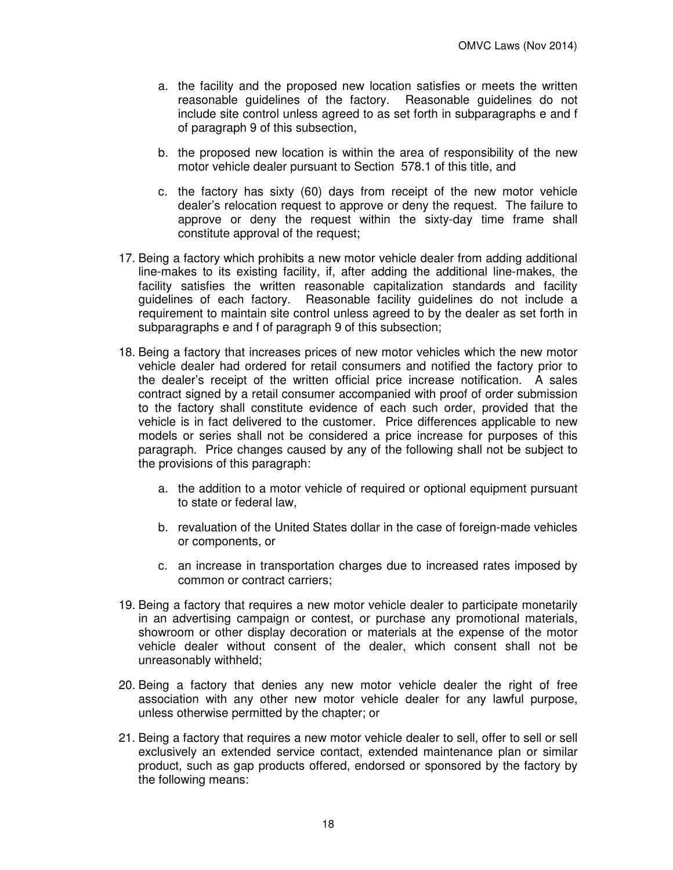- a. the facility and the proposed new location satisfies or meets the written reasonable guidelines of the factory. Reasonable guidelines do not include site control unless agreed to as set forth in subparagraphs e and f of paragraph 9 of this subsection,
- b. the proposed new location is within the area of responsibility of the new motor vehicle dealer pursuant to Section 578.1 of this title, and
- c. the factory has sixty (60) days from receipt of the new motor vehicle dealer's relocation request to approve or deny the request. The failure to approve or deny the request within the sixty-day time frame shall constitute approval of the request;
- 17. Being a factory which prohibits a new motor vehicle dealer from adding additional line-makes to its existing facility, if, after adding the additional line-makes, the facility satisfies the written reasonable capitalization standards and facility guidelines of each factory. Reasonable facility guidelines do not include a requirement to maintain site control unless agreed to by the dealer as set forth in subparagraphs e and f of paragraph 9 of this subsection;
- 18. Being a factory that increases prices of new motor vehicles which the new motor vehicle dealer had ordered for retail consumers and notified the factory prior to the dealer's receipt of the written official price increase notification. A sales contract signed by a retail consumer accompanied with proof of order submission to the factory shall constitute evidence of each such order, provided that the vehicle is in fact delivered to the customer. Price differences applicable to new models or series shall not be considered a price increase for purposes of this paragraph. Price changes caused by any of the following shall not be subject to the provisions of this paragraph:
	- a. the addition to a motor vehicle of required or optional equipment pursuant to state or federal law,
	- b. revaluation of the United States dollar in the case of foreign-made vehicles or components, or
	- c. an increase in transportation charges due to increased rates imposed by common or contract carriers;
- 19. Being a factory that requires a new motor vehicle dealer to participate monetarily in an advertising campaign or contest, or purchase any promotional materials, showroom or other display decoration or materials at the expense of the motor vehicle dealer without consent of the dealer, which consent shall not be unreasonably withheld;
- 20. Being a factory that denies any new motor vehicle dealer the right of free association with any other new motor vehicle dealer for any lawful purpose, unless otherwise permitted by the chapter; or
- 21. Being a factory that requires a new motor vehicle dealer to sell, offer to sell or sell exclusively an extended service contact, extended maintenance plan or similar product, such as gap products offered, endorsed or sponsored by the factory by the following means: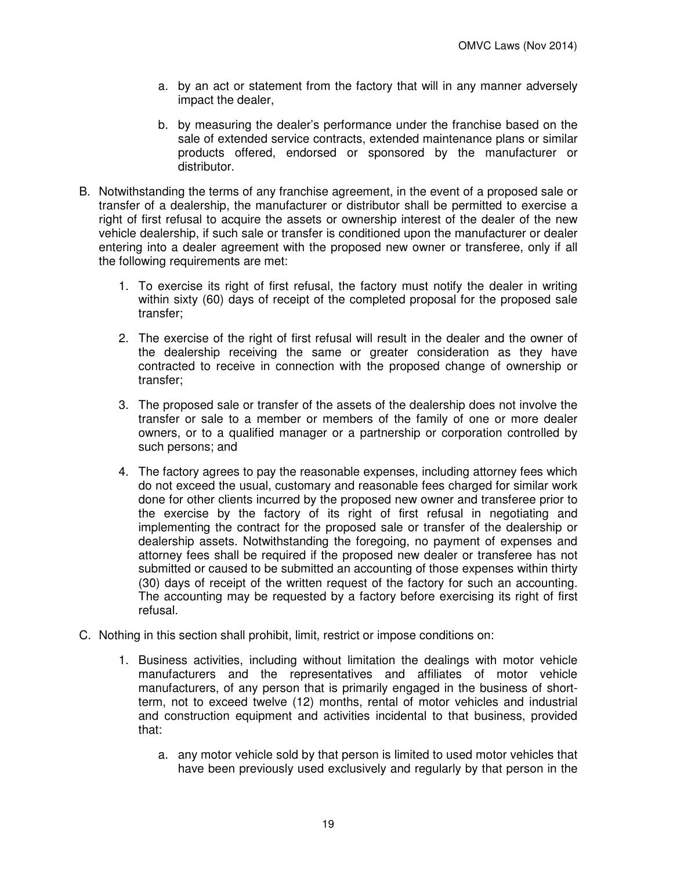- a. by an act or statement from the factory that will in any manner adversely impact the dealer,
- b. by measuring the dealer's performance under the franchise based on the sale of extended service contracts, extended maintenance plans or similar products offered, endorsed or sponsored by the manufacturer or distributor.
- B. Notwithstanding the terms of any franchise agreement, in the event of a proposed sale or transfer of a dealership, the manufacturer or distributor shall be permitted to exercise a right of first refusal to acquire the assets or ownership interest of the dealer of the new vehicle dealership, if such sale or transfer is conditioned upon the manufacturer or dealer entering into a dealer agreement with the proposed new owner or transferee, only if all the following requirements are met:
	- 1. To exercise its right of first refusal, the factory must notify the dealer in writing within sixty (60) days of receipt of the completed proposal for the proposed sale transfer;
	- 2. The exercise of the right of first refusal will result in the dealer and the owner of the dealership receiving the same or greater consideration as they have contracted to receive in connection with the proposed change of ownership or transfer;
	- 3. The proposed sale or transfer of the assets of the dealership does not involve the transfer or sale to a member or members of the family of one or more dealer owners, or to a qualified manager or a partnership or corporation controlled by such persons; and
	- 4. The factory agrees to pay the reasonable expenses, including attorney fees which do not exceed the usual, customary and reasonable fees charged for similar work done for other clients incurred by the proposed new owner and transferee prior to the exercise by the factory of its right of first refusal in negotiating and implementing the contract for the proposed sale or transfer of the dealership or dealership assets. Notwithstanding the foregoing, no payment of expenses and attorney fees shall be required if the proposed new dealer or transferee has not submitted or caused to be submitted an accounting of those expenses within thirty (30) days of receipt of the written request of the factory for such an accounting. The accounting may be requested by a factory before exercising its right of first refusal.
- C. Nothing in this section shall prohibit, limit, restrict or impose conditions on:
	- 1. Business activities, including without limitation the dealings with motor vehicle manufacturers and the representatives and affiliates of motor vehicle manufacturers, of any person that is primarily engaged in the business of shortterm, not to exceed twelve (12) months, rental of motor vehicles and industrial and construction equipment and activities incidental to that business, provided that:
		- a. any motor vehicle sold by that person is limited to used motor vehicles that have been previously used exclusively and regularly by that person in the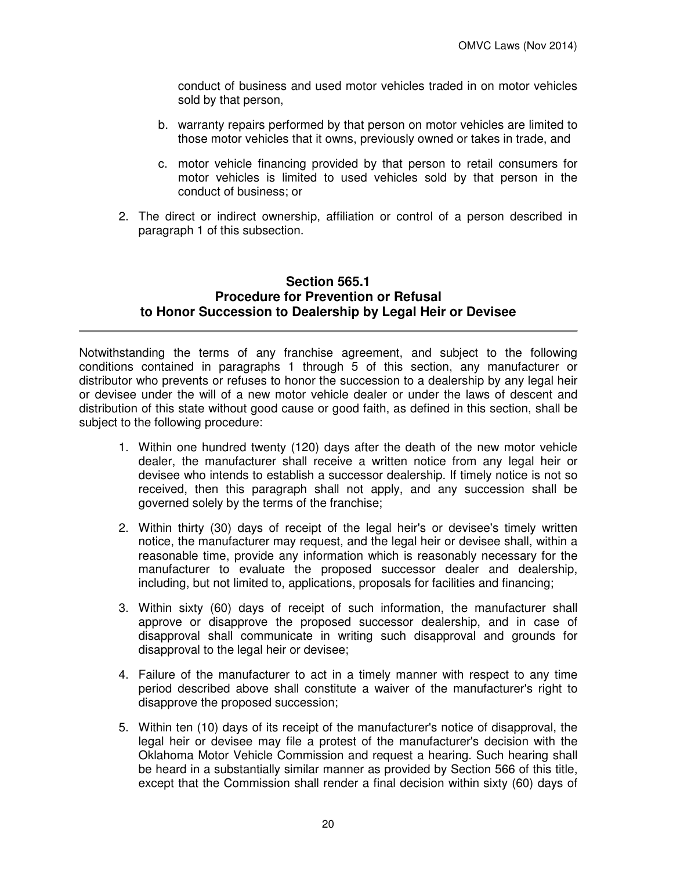conduct of business and used motor vehicles traded in on motor vehicles sold by that person,

- b. warranty repairs performed by that person on motor vehicles are limited to those motor vehicles that it owns, previously owned or takes in trade, and
- c. motor vehicle financing provided by that person to retail consumers for motor vehicles is limited to used vehicles sold by that person in the conduct of business; or
- 2. The direct or indirect ownership, affiliation or control of a person described in paragraph 1 of this subsection.

#### **Section 565.1 Procedure for Prevention or Refusal to Honor Succession to Dealership by Legal Heir or Devisee**

Notwithstanding the terms of any franchise agreement, and subject to the following conditions contained in paragraphs 1 through 5 of this section, any manufacturer or distributor who prevents or refuses to honor the succession to a dealership by any legal heir or devisee under the will of a new motor vehicle dealer or under the laws of descent and distribution of this state without good cause or good faith, as defined in this section, shall be subject to the following procedure:

- 1. Within one hundred twenty (120) days after the death of the new motor vehicle dealer, the manufacturer shall receive a written notice from any legal heir or devisee who intends to establish a successor dealership. If timely notice is not so received, then this paragraph shall not apply, and any succession shall be governed solely by the terms of the franchise;
- 2. Within thirty (30) days of receipt of the legal heir's or devisee's timely written notice, the manufacturer may request, and the legal heir or devisee shall, within a reasonable time, provide any information which is reasonably necessary for the manufacturer to evaluate the proposed successor dealer and dealership, including, but not limited to, applications, proposals for facilities and financing;
- 3. Within sixty (60) days of receipt of such information, the manufacturer shall approve or disapprove the proposed successor dealership, and in case of disapproval shall communicate in writing such disapproval and grounds for disapproval to the legal heir or devisee;
- 4. Failure of the manufacturer to act in a timely manner with respect to any time period described above shall constitute a waiver of the manufacturer's right to disapprove the proposed succession;
- 5. Within ten (10) days of its receipt of the manufacturer's notice of disapproval, the legal heir or devisee may file a protest of the manufacturer's decision with the Oklahoma Motor Vehicle Commission and request a hearing. Such hearing shall be heard in a substantially similar manner as provided by Section 566 of this title, except that the Commission shall render a final decision within sixty (60) days of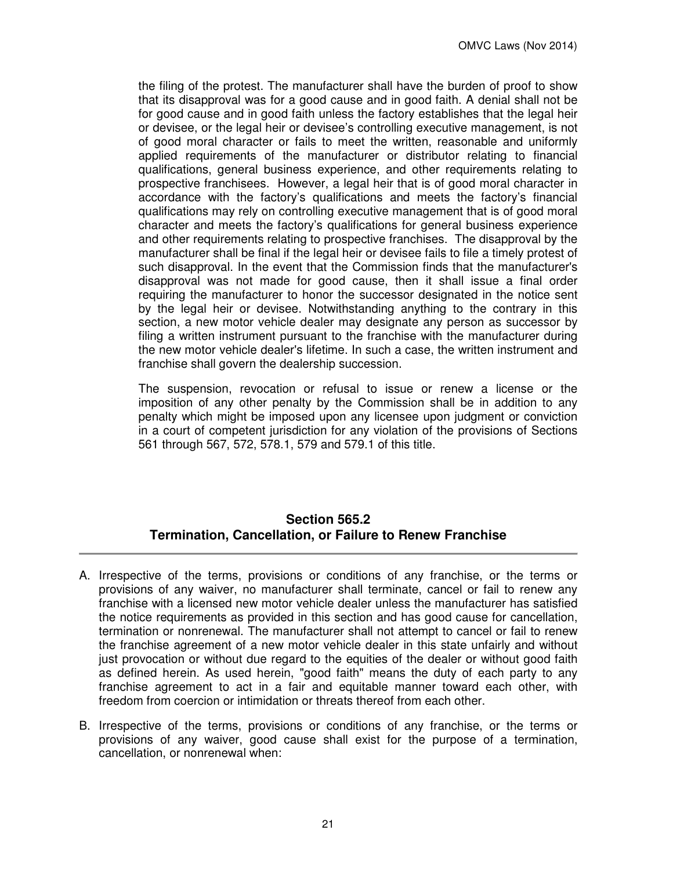the filing of the protest. The manufacturer shall have the burden of proof to show that its disapproval was for a good cause and in good faith. A denial shall not be for good cause and in good faith unless the factory establishes that the legal heir or devisee, or the legal heir or devisee's controlling executive management, is not of good moral character or fails to meet the written, reasonable and uniformly applied requirements of the manufacturer or distributor relating to financial qualifications, general business experience, and other requirements relating to prospective franchisees. However, a legal heir that is of good moral character in accordance with the factory's qualifications and meets the factory's financial qualifications may rely on controlling executive management that is of good moral character and meets the factory's qualifications for general business experience and other requirements relating to prospective franchises. The disapproval by the manufacturer shall be final if the legal heir or devisee fails to file a timely protest of such disapproval. In the event that the Commission finds that the manufacturer's disapproval was not made for good cause, then it shall issue a final order requiring the manufacturer to honor the successor designated in the notice sent by the legal heir or devisee. Notwithstanding anything to the contrary in this section, a new motor vehicle dealer may designate any person as successor by filing a written instrument pursuant to the franchise with the manufacturer during the new motor vehicle dealer's lifetime. In such a case, the written instrument and franchise shall govern the dealership succession.

The suspension, revocation or refusal to issue or renew a license or the imposition of any other penalty by the Commission shall be in addition to any penalty which might be imposed upon any licensee upon judgment or conviction in a court of competent jurisdiction for any violation of the provisions of Sections 561 through 567, 572, 578.1, 579 and 579.1 of this title.

# **Section 565.2 Termination, Cancellation, or Failure to Renew Franchise**

- A. Irrespective of the terms, provisions or conditions of any franchise, or the terms or provisions of any waiver, no manufacturer shall terminate, cancel or fail to renew any franchise with a licensed new motor vehicle dealer unless the manufacturer has satisfied the notice requirements as provided in this section and has good cause for cancellation, termination or nonrenewal. The manufacturer shall not attempt to cancel or fail to renew the franchise agreement of a new motor vehicle dealer in this state unfairly and without just provocation or without due regard to the equities of the dealer or without good faith as defined herein. As used herein, "good faith" means the duty of each party to any franchise agreement to act in a fair and equitable manner toward each other, with freedom from coercion or intimidation or threats thereof from each other.
- B. Irrespective of the terms, provisions or conditions of any franchise, or the terms or provisions of any waiver, good cause shall exist for the purpose of a termination, cancellation, or nonrenewal when: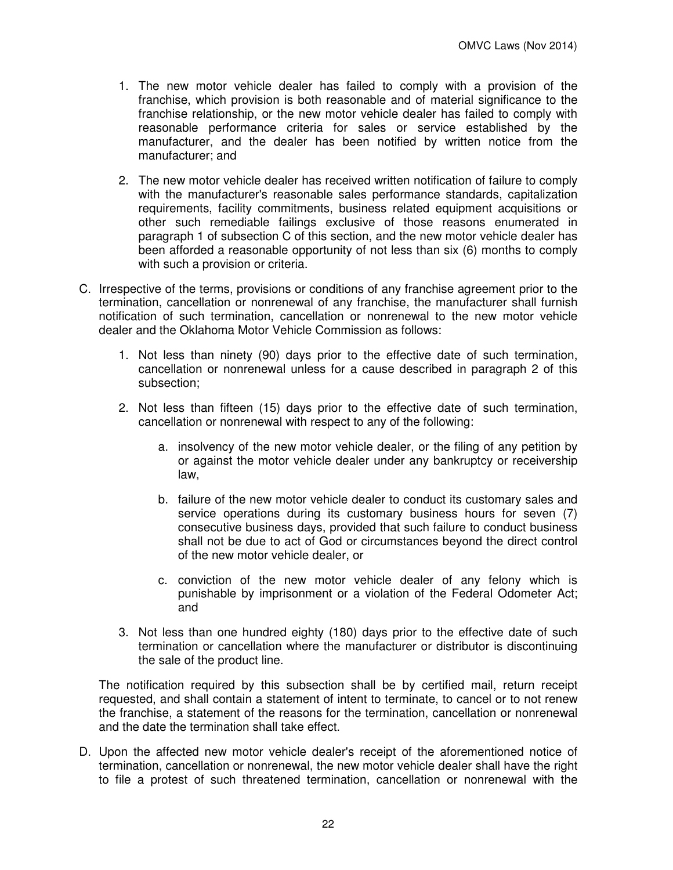- 1. The new motor vehicle dealer has failed to comply with a provision of the franchise, which provision is both reasonable and of material significance to the franchise relationship, or the new motor vehicle dealer has failed to comply with reasonable performance criteria for sales or service established by the manufacturer, and the dealer has been notified by written notice from the manufacturer; and
- 2. The new motor vehicle dealer has received written notification of failure to comply with the manufacturer's reasonable sales performance standards, capitalization requirements, facility commitments, business related equipment acquisitions or other such remediable failings exclusive of those reasons enumerated in paragraph 1 of subsection C of this section, and the new motor vehicle dealer has been afforded a reasonable opportunity of not less than six (6) months to comply with such a provision or criteria.
- C. Irrespective of the terms, provisions or conditions of any franchise agreement prior to the termination, cancellation or nonrenewal of any franchise, the manufacturer shall furnish notification of such termination, cancellation or nonrenewal to the new motor vehicle dealer and the Oklahoma Motor Vehicle Commission as follows:
	- 1. Not less than ninety (90) days prior to the effective date of such termination, cancellation or nonrenewal unless for a cause described in paragraph 2 of this subsection;
	- 2. Not less than fifteen (15) days prior to the effective date of such termination, cancellation or nonrenewal with respect to any of the following:
		- a. insolvency of the new motor vehicle dealer, or the filing of any petition by or against the motor vehicle dealer under any bankruptcy or receivership law,
		- b. failure of the new motor vehicle dealer to conduct its customary sales and service operations during its customary business hours for seven (7) consecutive business days, provided that such failure to conduct business shall not be due to act of God or circumstances beyond the direct control of the new motor vehicle dealer, or
		- c. conviction of the new motor vehicle dealer of any felony which is punishable by imprisonment or a violation of the Federal Odometer Act; and
	- 3. Not less than one hundred eighty (180) days prior to the effective date of such termination or cancellation where the manufacturer or distributor is discontinuing the sale of the product line.

The notification required by this subsection shall be by certified mail, return receipt requested, and shall contain a statement of intent to terminate, to cancel or to not renew the franchise, a statement of the reasons for the termination, cancellation or nonrenewal and the date the termination shall take effect.

D. Upon the affected new motor vehicle dealer's receipt of the aforementioned notice of termination, cancellation or nonrenewal, the new motor vehicle dealer shall have the right to file a protest of such threatened termination, cancellation or nonrenewal with the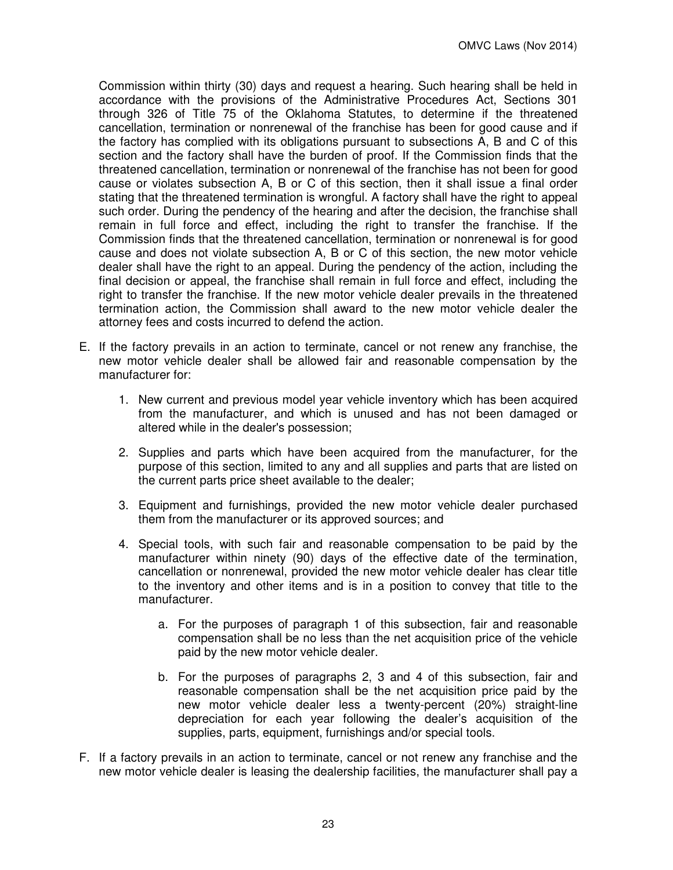Commission within thirty (30) days and request a hearing. Such hearing shall be held in accordance with the provisions of the Administrative Procedures Act, Sections 301 through 326 of Title 75 of the Oklahoma Statutes, to determine if the threatened cancellation, termination or nonrenewal of the franchise has been for good cause and if the factory has complied with its obligations pursuant to subsections A, B and C of this section and the factory shall have the burden of proof. If the Commission finds that the threatened cancellation, termination or nonrenewal of the franchise has not been for good cause or violates subsection A, B or C of this section, then it shall issue a final order stating that the threatened termination is wrongful. A factory shall have the right to appeal such order. During the pendency of the hearing and after the decision, the franchise shall remain in full force and effect, including the right to transfer the franchise. If the Commission finds that the threatened cancellation, termination or nonrenewal is for good cause and does not violate subsection A, B or C of this section, the new motor vehicle dealer shall have the right to an appeal. During the pendency of the action, including the final decision or appeal, the franchise shall remain in full force and effect, including the right to transfer the franchise. If the new motor vehicle dealer prevails in the threatened termination action, the Commission shall award to the new motor vehicle dealer the attorney fees and costs incurred to defend the action.

- E. If the factory prevails in an action to terminate, cancel or not renew any franchise, the new motor vehicle dealer shall be allowed fair and reasonable compensation by the manufacturer for:
	- 1. New current and previous model year vehicle inventory which has been acquired from the manufacturer, and which is unused and has not been damaged or altered while in the dealer's possession;
	- 2. Supplies and parts which have been acquired from the manufacturer, for the purpose of this section, limited to any and all supplies and parts that are listed on the current parts price sheet available to the dealer;
	- 3. Equipment and furnishings, provided the new motor vehicle dealer purchased them from the manufacturer or its approved sources; and
	- 4. Special tools, with such fair and reasonable compensation to be paid by the manufacturer within ninety (90) days of the effective date of the termination, cancellation or nonrenewal, provided the new motor vehicle dealer has clear title to the inventory and other items and is in a position to convey that title to the manufacturer.
		- a. For the purposes of paragraph 1 of this subsection, fair and reasonable compensation shall be no less than the net acquisition price of the vehicle paid by the new motor vehicle dealer.
		- b. For the purposes of paragraphs 2, 3 and 4 of this subsection, fair and reasonable compensation shall be the net acquisition price paid by the new motor vehicle dealer less a twenty-percent (20%) straight-line depreciation for each year following the dealer's acquisition of the supplies, parts, equipment, furnishings and/or special tools.
- F. If a factory prevails in an action to terminate, cancel or not renew any franchise and the new motor vehicle dealer is leasing the dealership facilities, the manufacturer shall pay a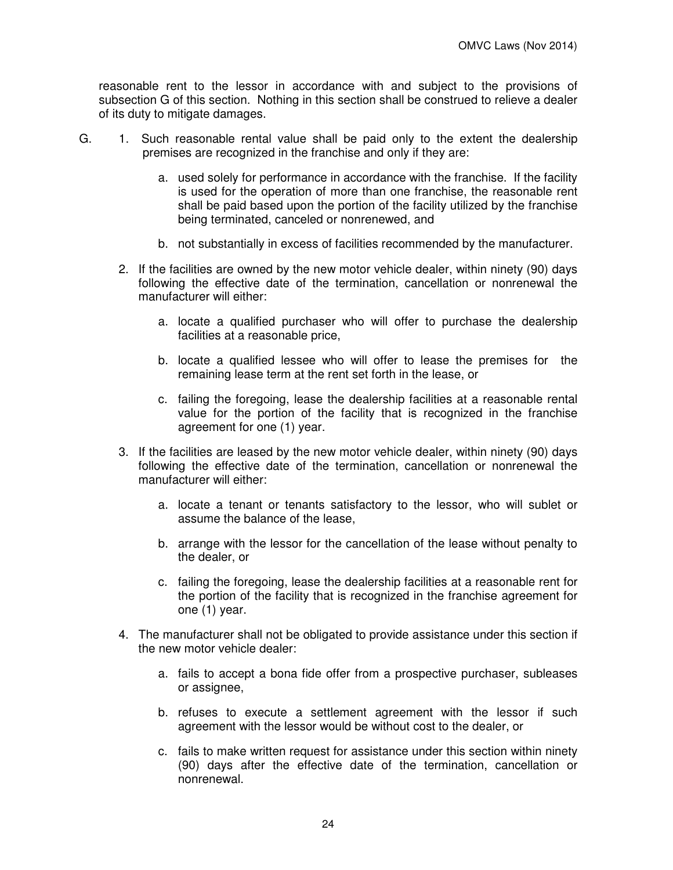reasonable rent to the lessor in accordance with and subject to the provisions of subsection G of this section. Nothing in this section shall be construed to relieve a dealer of its duty to mitigate damages.

- G. 1. Such reasonable rental value shall be paid only to the extent the dealership premises are recognized in the franchise and only if they are:
	- a. used solely for performance in accordance with the franchise. If the facility is used for the operation of more than one franchise, the reasonable rent shall be paid based upon the portion of the facility utilized by the franchise being terminated, canceled or nonrenewed, and
	- b. not substantially in excess of facilities recommended by the manufacturer.
	- 2. If the facilities are owned by the new motor vehicle dealer, within ninety (90) days following the effective date of the termination, cancellation or nonrenewal the manufacturer will either:
		- a. locate a qualified purchaser who will offer to purchase the dealership facilities at a reasonable price,
		- b. locate a qualified lessee who will offer to lease the premises for the remaining lease term at the rent set forth in the lease, or
		- c. failing the foregoing, lease the dealership facilities at a reasonable rental value for the portion of the facility that is recognized in the franchise agreement for one (1) year.
	- 3. If the facilities are leased by the new motor vehicle dealer, within ninety (90) days following the effective date of the termination, cancellation or nonrenewal the manufacturer will either:
		- a. locate a tenant or tenants satisfactory to the lessor, who will sublet or assume the balance of the lease,
		- b. arrange with the lessor for the cancellation of the lease without penalty to the dealer, or
		- c. failing the foregoing, lease the dealership facilities at a reasonable rent for the portion of the facility that is recognized in the franchise agreement for one (1) year.
	- 4. The manufacturer shall not be obligated to provide assistance under this section if the new motor vehicle dealer:
		- a. fails to accept a bona fide offer from a prospective purchaser, subleases or assignee,
		- b. refuses to execute a settlement agreement with the lessor if such agreement with the lessor would be without cost to the dealer, or
		- c. fails to make written request for assistance under this section within ninety (90) days after the effective date of the termination, cancellation or nonrenewal.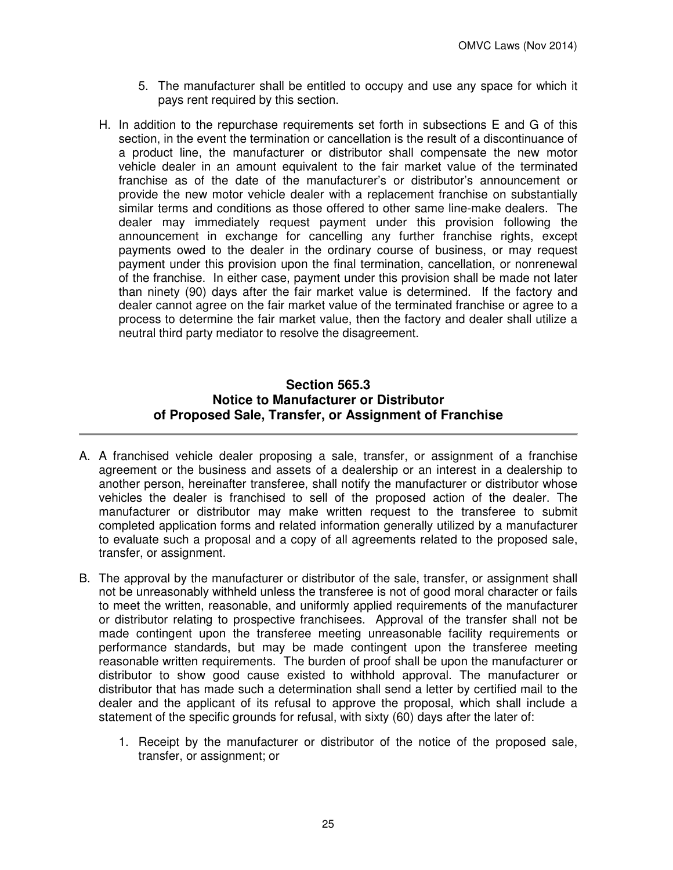- 5. The manufacturer shall be entitled to occupy and use any space for which it pays rent required by this section.
- H. In addition to the repurchase requirements set forth in subsections E and G of this section, in the event the termination or cancellation is the result of a discontinuance of a product line, the manufacturer or distributor shall compensate the new motor vehicle dealer in an amount equivalent to the fair market value of the terminated franchise as of the date of the manufacturer's or distributor's announcement or provide the new motor vehicle dealer with a replacement franchise on substantially similar terms and conditions as those offered to other same line-make dealers. The dealer may immediately request payment under this provision following the announcement in exchange for cancelling any further franchise rights, except payments owed to the dealer in the ordinary course of business, or may request payment under this provision upon the final termination, cancellation, or nonrenewal of the franchise. In either case, payment under this provision shall be made not later than ninety (90) days after the fair market value is determined. If the factory and dealer cannot agree on the fair market value of the terminated franchise or agree to a process to determine the fair market value, then the factory and dealer shall utilize a neutral third party mediator to resolve the disagreement.

# **Section 565.3 Notice to Manufacturer or Distributor of Proposed Sale, Transfer, or Assignment of Franchise**

- A. A franchised vehicle dealer proposing a sale, transfer, or assignment of a franchise agreement or the business and assets of a dealership or an interest in a dealership to another person, hereinafter transferee, shall notify the manufacturer or distributor whose vehicles the dealer is franchised to sell of the proposed action of the dealer. The manufacturer or distributor may make written request to the transferee to submit completed application forms and related information generally utilized by a manufacturer to evaluate such a proposal and a copy of all agreements related to the proposed sale, transfer, or assignment.
- B. The approval by the manufacturer or distributor of the sale, transfer, or assignment shall not be unreasonably withheld unless the transferee is not of good moral character or fails to meet the written, reasonable, and uniformly applied requirements of the manufacturer or distributor relating to prospective franchisees. Approval of the transfer shall not be made contingent upon the transferee meeting unreasonable facility requirements or performance standards, but may be made contingent upon the transferee meeting reasonable written requirements. The burden of proof shall be upon the manufacturer or distributor to show good cause existed to withhold approval. The manufacturer or distributor that has made such a determination shall send a letter by certified mail to the dealer and the applicant of its refusal to approve the proposal, which shall include a statement of the specific grounds for refusal, with sixty (60) days after the later of:
	- 1. Receipt by the manufacturer or distributor of the notice of the proposed sale, transfer, or assignment; or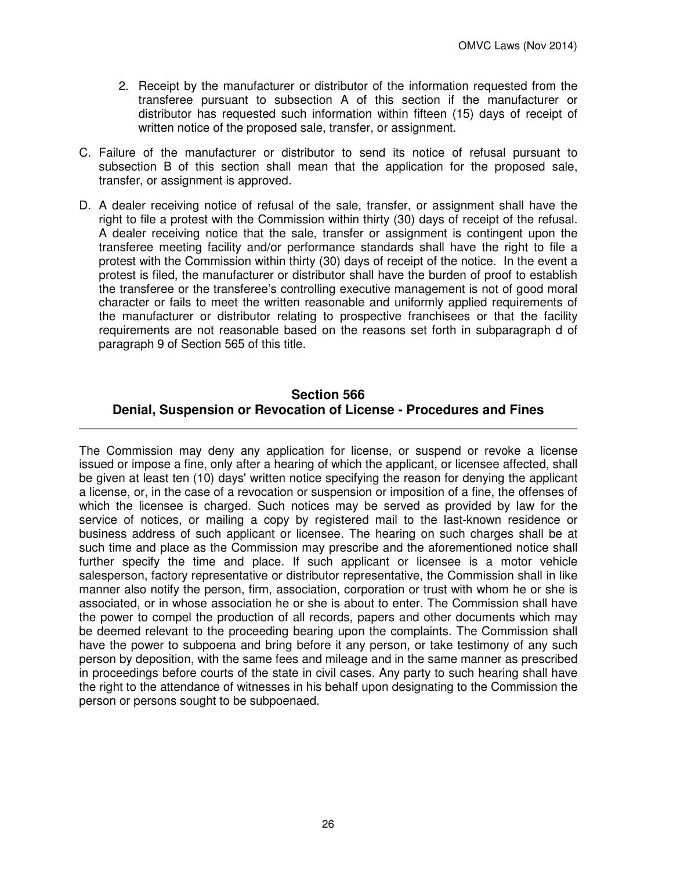- 2. Receipt by the manufacturer or distributor of the information requested from the transferee pursuant to subsection A of this section if the manufacturer or distributor has requested such information within fifteen (15) days of receipt of written notice of the proposed sale, transfer, or assignment.
- C. Failure of the manufacturer or distributor to send its notice of refusal pursuant to subsection B of this section shall mean that the application for the proposed sale, transfer, or assignment is approved.
- D. A dealer receiving notice of refusal of the sale, transfer, or assignment shall have the right to file a protest with the Commission within thirty (30) days of receipt of the refusal. A dealer receiving notice that the sale, transfer or assignment is contingent upon the transferee meeting facility and/or performance standards shall have the right to file a protest with the Commission within thirty (30) days of receipt of the notice. In the event a protest is filed, the manufacturer or distributor shall have the burden of proof to establish the transferee or the transferee's controlling executive management is not of good moral character or fails to meet the written reasonable and uniformly applied requirements of the manufacturer or distributor relating to prospective franchisees or that the facility requirements are not reasonable based on the reasons set forth in subparagraph d of paragraph 9 of Section 565 of this title.

# **Section 566 Denial, Suspension or Revocation of License - Procedures and Fines**

The Commission may deny any application for license, or suspend or revoke a license issued or impose a fine, only after a hearing of which the applicant, or licensee affected, shall be given at least ten (10) days' written notice specifying the reason for denying the applicant a license, or, in the case of a revocation or suspension or imposition of a fine, the offenses of which the licensee is charged. Such notices may be served as provided by law for the service of notices, or mailing a copy by registered mail to the last-known residence or business address of such applicant or licensee. The hearing on such charges shall be at such time and place as the Commission may prescribe and the aforementioned notice shall further specify the time and place. If such applicant or licensee is a motor vehicle salesperson, factory representative or distributor representative, the Commission shall in like manner also notify the person, firm, association, corporation or trust with whom he or she is associated, or in whose association he or she is about to enter. The Commission shall have the power to compel the production of all records, papers and other documents which may be deemed relevant to the proceeding bearing upon the complaints. The Commission shall have the power to subpoena and bring before it any person, or take testimony of any such person by deposition, with the same fees and mileage and in the same manner as prescribed in proceedings before courts of the state in civil cases. Any party to such hearing shall have the right to the attendance of witnesses in his behalf upon designating to the Commission the person or persons sought to be subpoenaed.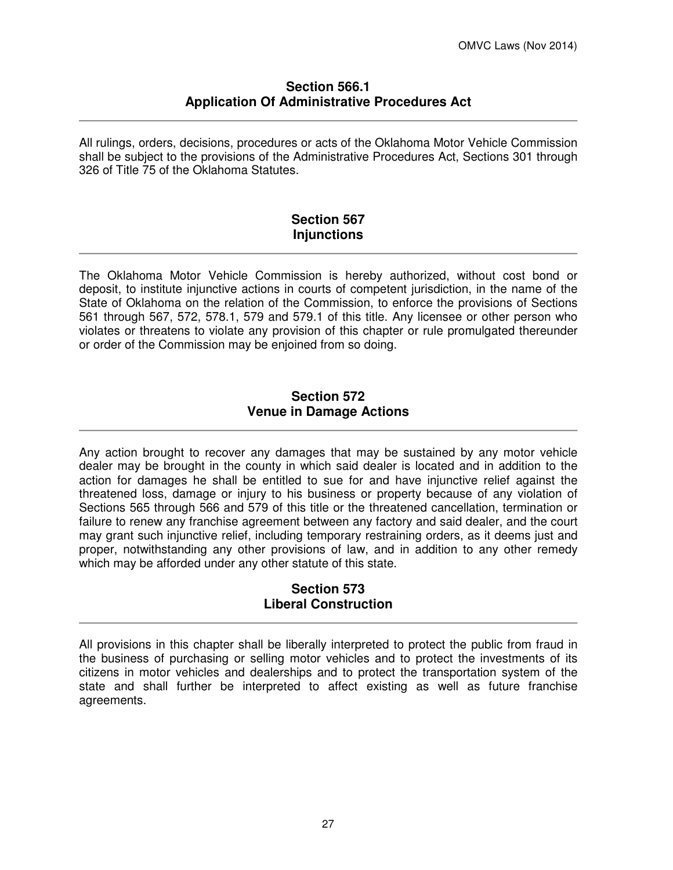### **Section 566.1 Application Of Administrative Procedures Act**

All rulings, orders, decisions, procedures or acts of the Oklahoma Motor Vehicle Commission shall be subject to the provisions of the Administrative Procedures Act, Sections 301 through 326 of Title 75 of the Oklahoma Statutes.

# **Section 567 Injunctions**

The Oklahoma Motor Vehicle Commission is hereby authorized, without cost bond or deposit, to institute injunctive actions in courts of competent jurisdiction, in the name of the State of Oklahoma on the relation of the Commission, to enforce the provisions of Sections 561 through 567, 572, 578.1, 579 and 579.1 of this title. Any licensee or other person who violates or threatens to violate any provision of this chapter or rule promulgated thereunder or order of the Commission may be enjoined from so doing.

## **Section 572 Venue in Damage Actions**

Any action brought to recover any damages that may be sustained by any motor vehicle dealer may be brought in the county in which said dealer is located and in addition to the action for damages he shall be entitled to sue for and have injunctive relief against the threatened loss, damage or injury to his business or property because of any violation of Sections 565 through 566 and 579 of this title or the threatened cancellation, termination or failure to renew any franchise agreement between any factory and said dealer, and the court may grant such injunctive relief, including temporary restraining orders, as it deems just and proper, notwithstanding any other provisions of law, and in addition to any other remedy which may be afforded under any other statute of this state.

# **Section 573 Liberal Construction**

All provisions in this chapter shall be liberally interpreted to protect the public from fraud in the business of purchasing or selling motor vehicles and to protect the investments of its citizens in motor vehicles and dealerships and to protect the transportation system of the state and shall further be interpreted to affect existing as well as future franchise agreements.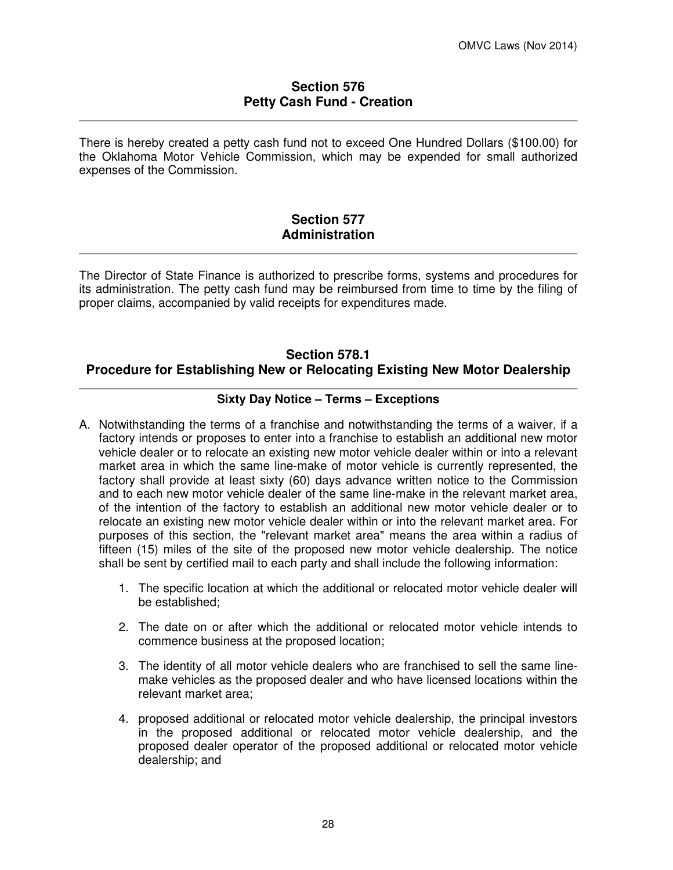### **Section 576 Petty Cash Fund - Creation**

There is hereby created a petty cash fund not to exceed One Hundred Dollars (\$100.00) for the Oklahoma Motor Vehicle Commission, which may be expended for small authorized expenses of the Commission.

## **Section 577 Administration**

The Director of State Finance is authorized to prescribe forms, systems and procedures for its administration. The petty cash fund may be reimbursed from time to time by the filing of proper claims, accompanied by valid receipts for expenditures made.

# **Section 578.1 Procedure for Establishing New or Relocating Existing New Motor Dealership**

# **Sixty Day Notice – Terms – Exceptions**

- A. Notwithstanding the terms of a franchise and notwithstanding the terms of a waiver, if a factory intends or proposes to enter into a franchise to establish an additional new motor vehicle dealer or to relocate an existing new motor vehicle dealer within or into a relevant market area in which the same line-make of motor vehicle is currently represented, the factory shall provide at least sixty (60) days advance written notice to the Commission and to each new motor vehicle dealer of the same line-make in the relevant market area, of the intention of the factory to establish an additional new motor vehicle dealer or to relocate an existing new motor vehicle dealer within or into the relevant market area. For purposes of this section, the "relevant market area" means the area within a radius of fifteen (15) miles of the site of the proposed new motor vehicle dealership. The notice shall be sent by certified mail to each party and shall include the following information:
	- 1. The specific location at which the additional or relocated motor vehicle dealer will be established;
	- 2. The date on or after which the additional or relocated motor vehicle intends to commence business at the proposed location;
	- 3. The identity of all motor vehicle dealers who are franchised to sell the same linemake vehicles as the proposed dealer and who have licensed locations within the relevant market area;
	- 4. proposed additional or relocated motor vehicle dealership, the principal investors in the proposed additional or relocated motor vehicle dealership, and the proposed dealer operator of the proposed additional or relocated motor vehicle dealership; and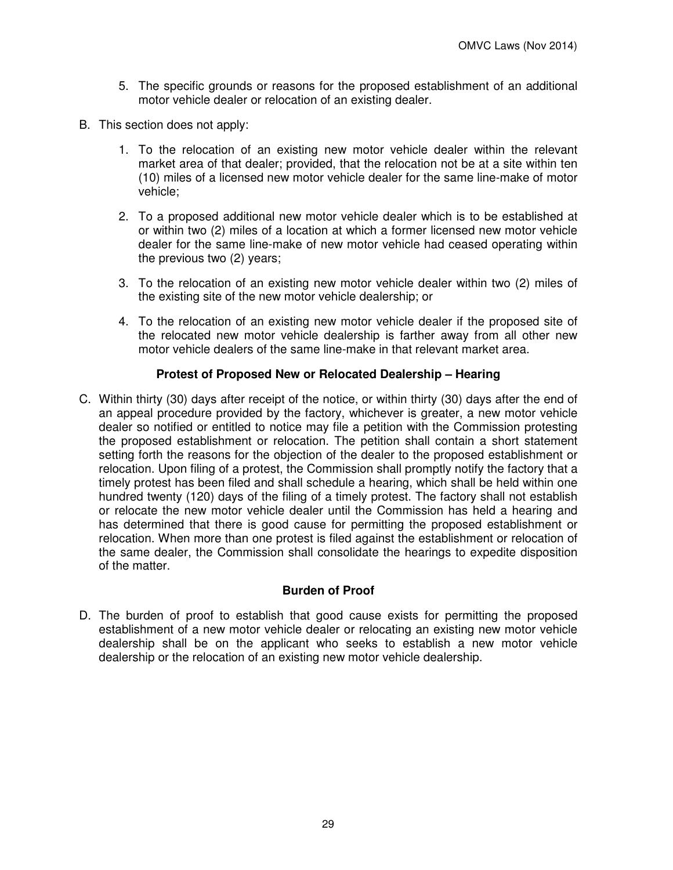- 5. The specific grounds or reasons for the proposed establishment of an additional motor vehicle dealer or relocation of an existing dealer.
- B. This section does not apply:
	- 1. To the relocation of an existing new motor vehicle dealer within the relevant market area of that dealer; provided, that the relocation not be at a site within ten (10) miles of a licensed new motor vehicle dealer for the same line-make of motor vehicle;
	- 2. To a proposed additional new motor vehicle dealer which is to be established at or within two (2) miles of a location at which a former licensed new motor vehicle dealer for the same line-make of new motor vehicle had ceased operating within the previous two (2) years;
	- 3. To the relocation of an existing new motor vehicle dealer within two (2) miles of the existing site of the new motor vehicle dealership; or
	- 4. To the relocation of an existing new motor vehicle dealer if the proposed site of the relocated new motor vehicle dealership is farther away from all other new motor vehicle dealers of the same line-make in that relevant market area.

### **Protest of Proposed New or Relocated Dealership – Hearing**

C. Within thirty (30) days after receipt of the notice, or within thirty (30) days after the end of an appeal procedure provided by the factory, whichever is greater, a new motor vehicle dealer so notified or entitled to notice may file a petition with the Commission protesting the proposed establishment or relocation. The petition shall contain a short statement setting forth the reasons for the objection of the dealer to the proposed establishment or relocation. Upon filing of a protest, the Commission shall promptly notify the factory that a timely protest has been filed and shall schedule a hearing, which shall be held within one hundred twenty (120) days of the filing of a timely protest. The factory shall not establish or relocate the new motor vehicle dealer until the Commission has held a hearing and has determined that there is good cause for permitting the proposed establishment or relocation. When more than one protest is filed against the establishment or relocation of the same dealer, the Commission shall consolidate the hearings to expedite disposition of the matter.

#### **Burden of Proof**

D. The burden of proof to establish that good cause exists for permitting the proposed establishment of a new motor vehicle dealer or relocating an existing new motor vehicle dealership shall be on the applicant who seeks to establish a new motor vehicle dealership or the relocation of an existing new motor vehicle dealership.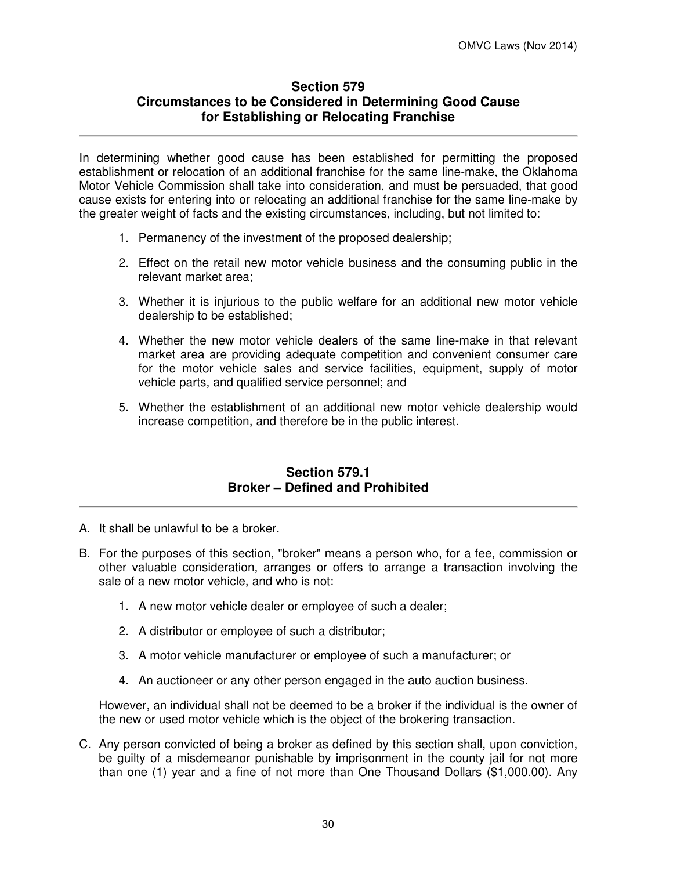# **Section 579 Circumstances to be Considered in Determining Good Cause for Establishing or Relocating Franchise**

In determining whether good cause has been established for permitting the proposed establishment or relocation of an additional franchise for the same line-make, the Oklahoma Motor Vehicle Commission shall take into consideration, and must be persuaded, that good cause exists for entering into or relocating an additional franchise for the same line-make by the greater weight of facts and the existing circumstances, including, but not limited to:

- 1. Permanency of the investment of the proposed dealership;
- 2. Effect on the retail new motor vehicle business and the consuming public in the relevant market area;
- 3. Whether it is injurious to the public welfare for an additional new motor vehicle dealership to be established;
- 4. Whether the new motor vehicle dealers of the same line-make in that relevant market area are providing adequate competition and convenient consumer care for the motor vehicle sales and service facilities, equipment, supply of motor vehicle parts, and qualified service personnel; and
- 5. Whether the establishment of an additional new motor vehicle dealership would increase competition, and therefore be in the public interest.

## **Section 579.1 Broker – Defined and Prohibited**

- A. It shall be unlawful to be a broker.
- B. For the purposes of this section, "broker" means a person who, for a fee, commission or other valuable consideration, arranges or offers to arrange a transaction involving the sale of a new motor vehicle, and who is not:
	- 1. A new motor vehicle dealer or employee of such a dealer;
	- 2. A distributor or employee of such a distributor;
	- 3. A motor vehicle manufacturer or employee of such a manufacturer; or
	- 4. An auctioneer or any other person engaged in the auto auction business.

However, an individual shall not be deemed to be a broker if the individual is the owner of the new or used motor vehicle which is the object of the brokering transaction.

C. Any person convicted of being a broker as defined by this section shall, upon conviction, be guilty of a misdemeanor punishable by imprisonment in the county jail for not more than one (1) year and a fine of not more than One Thousand Dollars (\$1,000.00). Any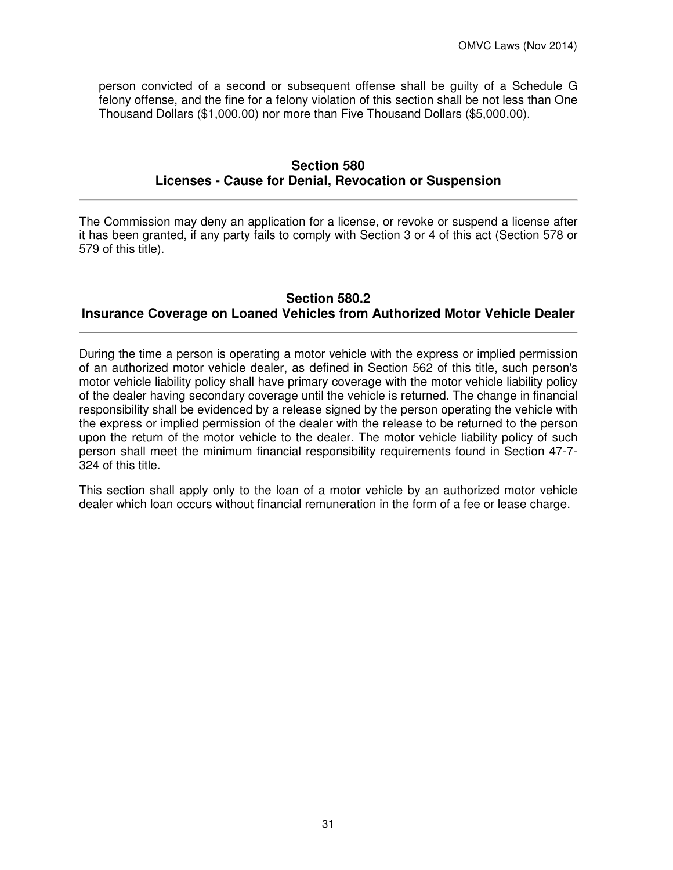person convicted of a second or subsequent offense shall be guilty of a Schedule G felony offense, and the fine for a felony violation of this section shall be not less than One Thousand Dollars (\$1,000.00) nor more than Five Thousand Dollars (\$5,000.00).

# **Section 580 Licenses - Cause for Denial, Revocation or Suspension**

The Commission may deny an application for a license, or revoke or suspend a license after it has been granted, if any party fails to comply with Section 3 or 4 of this act (Section 578 or 579 of this title).

# **Section 580.2 Insurance Coverage on Loaned Vehicles from Authorized Motor Vehicle Dealer**

During the time a person is operating a motor vehicle with the express or implied permission of an authorized motor vehicle dealer, as defined in Section 562 of this title, such person's motor vehicle liability policy shall have primary coverage with the motor vehicle liability policy of the dealer having secondary coverage until the vehicle is returned. The change in financial responsibility shall be evidenced by a release signed by the person operating the vehicle with the express or implied permission of the dealer with the release to be returned to the person upon the return of the motor vehicle to the dealer. The motor vehicle liability policy of such person shall meet the minimum financial responsibility requirements found in Section 47-7- 324 of this title.

This section shall apply only to the loan of a motor vehicle by an authorized motor vehicle dealer which loan occurs without financial remuneration in the form of a fee or lease charge.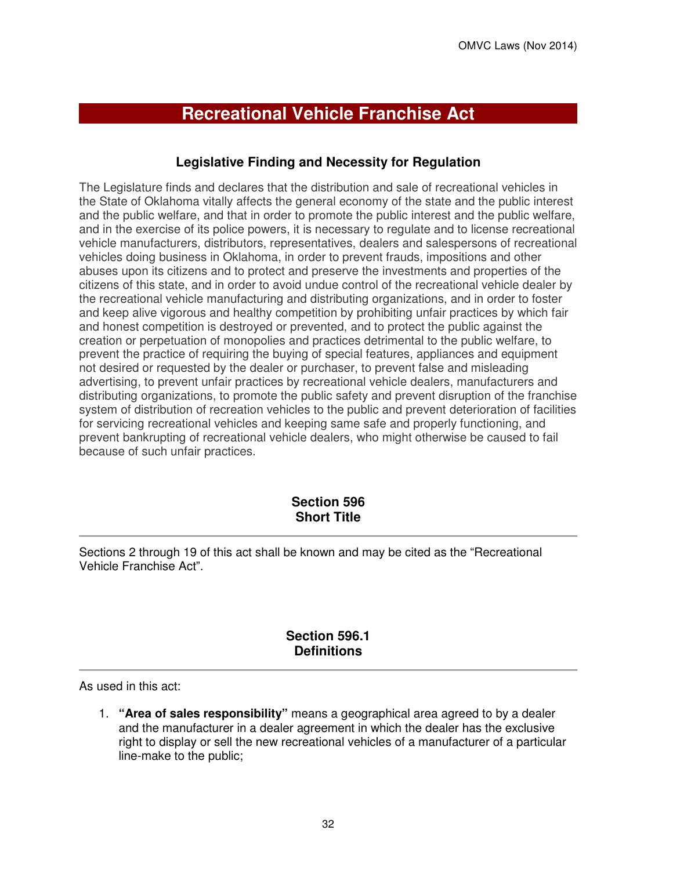# **Recreational Vehicle Franchise Act**

# **Legislative Finding and Necessity for Regulation**

The Legislature finds and declares that the distribution and sale of recreational vehicles in the State of Oklahoma vitally affects the general economy of the state and the public interest and the public welfare, and that in order to promote the public interest and the public welfare, and in the exercise of its police powers, it is necessary to regulate and to license recreational vehicle manufacturers, distributors, representatives, dealers and salespersons of recreational vehicles doing business in Oklahoma, in order to prevent frauds, impositions and other abuses upon its citizens and to protect and preserve the investments and properties of the citizens of this state, and in order to avoid undue control of the recreational vehicle dealer by the recreational vehicle manufacturing and distributing organizations, and in order to foster and keep alive vigorous and healthy competition by prohibiting unfair practices by which fair and honest competition is destroyed or prevented, and to protect the public against the creation or perpetuation of monopolies and practices detrimental to the public welfare, to prevent the practice of requiring the buying of special features, appliances and equipment not desired or requested by the dealer or purchaser, to prevent false and misleading advertising, to prevent unfair practices by recreational vehicle dealers, manufacturers and distributing organizations, to promote the public safety and prevent disruption of the franchise system of distribution of recreation vehicles to the public and prevent deterioration of facilities for servicing recreational vehicles and keeping same safe and properly functioning, and prevent bankrupting of recreational vehicle dealers, who might otherwise be caused to fail because of such unfair practices.

# **Section 596 Short Title**

Sections 2 through 19 of this act shall be known and may be cited as the "Recreational Vehicle Franchise Act".

# **Section 596.1 Definitions**

As used in this act:

1. **"Area of sales responsibility"** means a geographical area agreed to by a dealer and the manufacturer in a dealer agreement in which the dealer has the exclusive right to display or sell the new recreational vehicles of a manufacturer of a particular line-make to the public;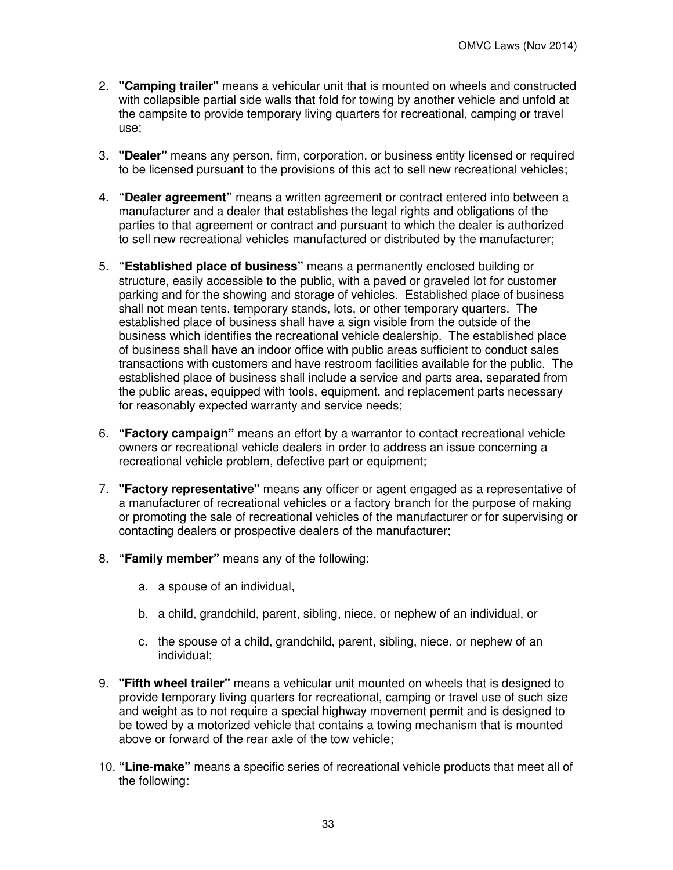- 2. **"Camping trailer"** means a vehicular unit that is mounted on wheels and constructed with collapsible partial side walls that fold for towing by another vehicle and unfold at the campsite to provide temporary living quarters for recreational, camping or travel use;
- 3. **"Dealer"** means any person, firm, corporation, or business entity licensed or required to be licensed pursuant to the provisions of this act to sell new recreational vehicles;
- 4. **"Dealer agreement"** means a written agreement or contract entered into between a manufacturer and a dealer that establishes the legal rights and obligations of the parties to that agreement or contract and pursuant to which the dealer is authorized to sell new recreational vehicles manufactured or distributed by the manufacturer;
- 5. **"Established place of business"** means a permanently enclosed building or structure, easily accessible to the public, with a paved or graveled lot for customer parking and for the showing and storage of vehicles. Established place of business shall not mean tents, temporary stands, lots, or other temporary quarters. The established place of business shall have a sign visible from the outside of the business which identifies the recreational vehicle dealership. The established place of business shall have an indoor office with public areas sufficient to conduct sales transactions with customers and have restroom facilities available for the public. The established place of business shall include a service and parts area, separated from the public areas, equipped with tools, equipment, and replacement parts necessary for reasonably expected warranty and service needs;
- 6. **"Factory campaign"** means an effort by a warrantor to contact recreational vehicle owners or recreational vehicle dealers in order to address an issue concerning a recreational vehicle problem, defective part or equipment;
- 7. **"Factory representative"** means any officer or agent engaged as a representative of a manufacturer of recreational vehicles or a factory branch for the purpose of making or promoting the sale of recreational vehicles of the manufacturer or for supervising or contacting dealers or prospective dealers of the manufacturer;
- 8. **"Family member"** means any of the following:
	- a. a spouse of an individual,
	- b. a child, grandchild, parent, sibling, niece, or nephew of an individual, or
	- c. the spouse of a child, grandchild, parent, sibling, niece, or nephew of an individual;
- 9. **"Fifth wheel trailer"** means a vehicular unit mounted on wheels that is designed to provide temporary living quarters for recreational, camping or travel use of such size and weight as to not require a special highway movement permit and is designed to be towed by a motorized vehicle that contains a towing mechanism that is mounted above or forward of the rear axle of the tow vehicle;
- 10. **"Line-make"** means a specific series of recreational vehicle products that meet all of the following: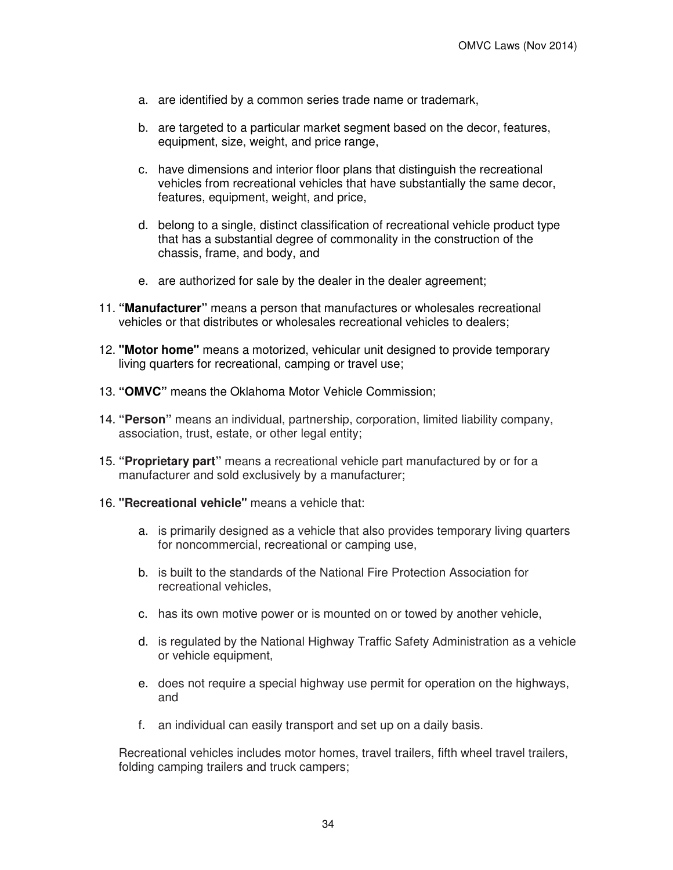- a. are identified by a common series trade name or trademark,
- b. are targeted to a particular market segment based on the decor, features, equipment, size, weight, and price range,
- c. have dimensions and interior floor plans that distinguish the recreational vehicles from recreational vehicles that have substantially the same decor, features, equipment, weight, and price,
- d. belong to a single, distinct classification of recreational vehicle product type that has a substantial degree of commonality in the construction of the chassis, frame, and body, and
- e. are authorized for sale by the dealer in the dealer agreement;
- 11. **"Manufacturer"** means a person that manufactures or wholesales recreational vehicles or that distributes or wholesales recreational vehicles to dealers;
- 12. **"Motor home"** means a motorized, vehicular unit designed to provide temporary living quarters for recreational, camping or travel use;
- 13. **"OMVC"** means the Oklahoma Motor Vehicle Commission;
- 14. **"Person"** means an individual, partnership, corporation, limited liability company, association, trust, estate, or other legal entity;
- 15. **"Proprietary part"** means a recreational vehicle part manufactured by or for a manufacturer and sold exclusively by a manufacturer;
- 16. **"Recreational vehicle"** means a vehicle that:
	- a. is primarily designed as a vehicle that also provides temporary living quarters for noncommercial, recreational or camping use,
	- b. is built to the standards of the National Fire Protection Association for recreational vehicles,
	- c. has its own motive power or is mounted on or towed by another vehicle,
	- d. is regulated by the National Highway Traffic Safety Administration as a vehicle or vehicle equipment,
	- e. does not require a special highway use permit for operation on the highways, and
	- f. an individual can easily transport and set up on a daily basis.

Recreational vehicles includes motor homes, travel trailers, fifth wheel travel trailers, folding camping trailers and truck campers;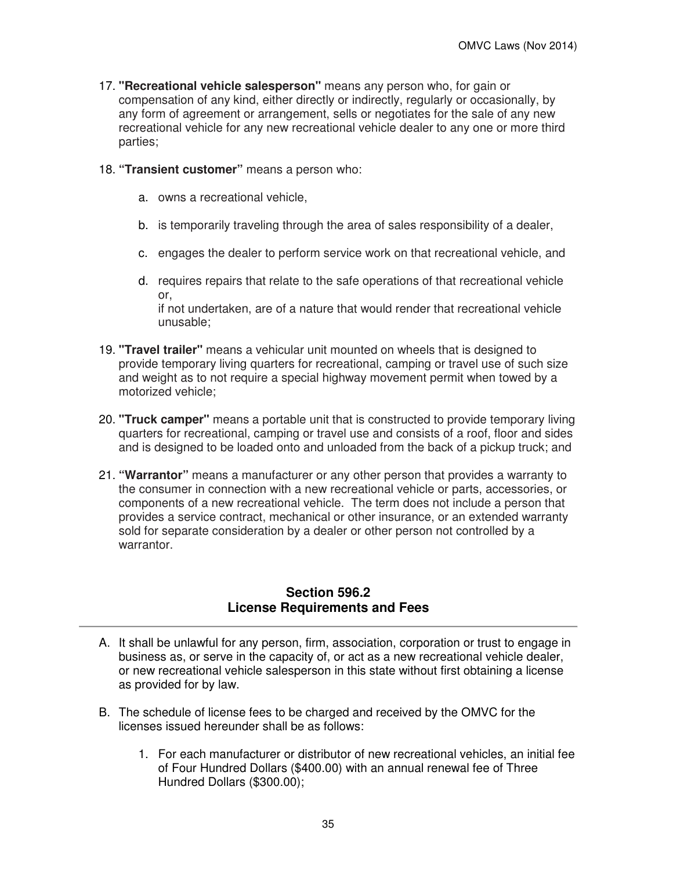- 17. **"Recreational vehicle salesperson"** means any person who, for gain or compensation of any kind, either directly or indirectly, regularly or occasionally, by any form of agreement or arrangement, sells or negotiates for the sale of any new recreational vehicle for any new recreational vehicle dealer to any one or more third parties;
- 18. **"Transient customer"** means a person who:
	- a. owns a recreational vehicle,
	- b. is temporarily traveling through the area of sales responsibility of a dealer,
	- c. engages the dealer to perform service work on that recreational vehicle, and
	- d. requires repairs that relate to the safe operations of that recreational vehicle or, if not undertaken, are of a nature that would render that recreational vehicle unusable;
- 19. **"Travel trailer"** means a vehicular unit mounted on wheels that is designed to provide temporary living quarters for recreational, camping or travel use of such size and weight as to not require a special highway movement permit when towed by a motorized vehicle;
- 20. **"Truck camper"** means a portable unit that is constructed to provide temporary living quarters for recreational, camping or travel use and consists of a roof, floor and sides and is designed to be loaded onto and unloaded from the back of a pickup truck; and
- 21. **"Warrantor"** means a manufacturer or any other person that provides a warranty to the consumer in connection with a new recreational vehicle or parts, accessories, or components of a new recreational vehicle. The term does not include a person that provides a service contract, mechanical or other insurance, or an extended warranty sold for separate consideration by a dealer or other person not controlled by a warrantor.

### **Section 596.2 License Requirements and Fees**

- A. It shall be unlawful for any person, firm, association, corporation or trust to engage in business as, or serve in the capacity of, or act as a new recreational vehicle dealer, or new recreational vehicle salesperson in this state without first obtaining a license as provided for by law.
- B. The schedule of license fees to be charged and received by the OMVC for the licenses issued hereunder shall be as follows:
	- 1. For each manufacturer or distributor of new recreational vehicles, an initial fee of Four Hundred Dollars (\$400.00) with an annual renewal fee of Three Hundred Dollars (\$300.00);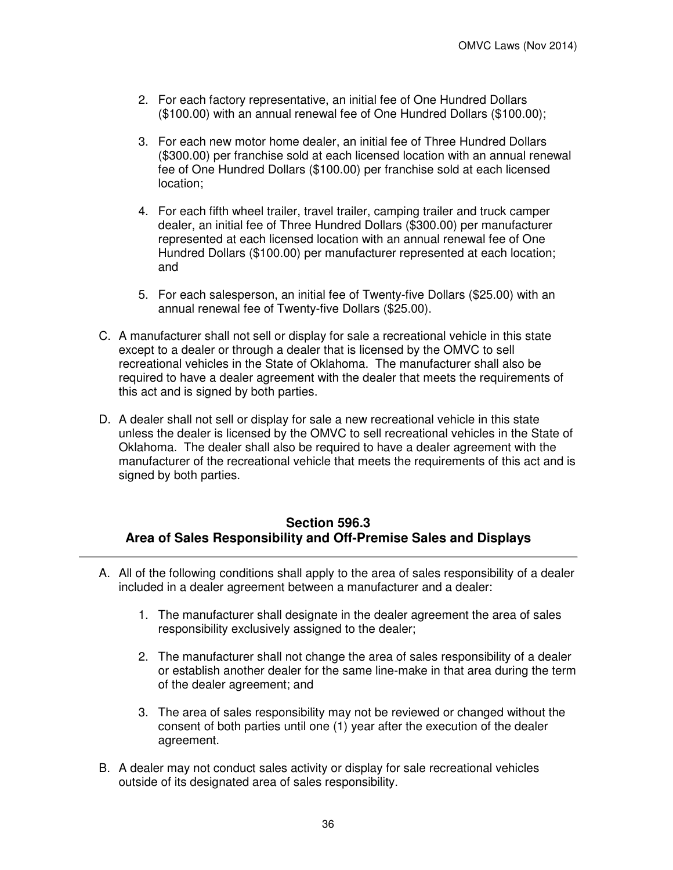- 2. For each factory representative, an initial fee of One Hundred Dollars (\$100.00) with an annual renewal fee of One Hundred Dollars (\$100.00);
- 3. For each new motor home dealer, an initial fee of Three Hundred Dollars (\$300.00) per franchise sold at each licensed location with an annual renewal fee of One Hundred Dollars (\$100.00) per franchise sold at each licensed location;
- 4. For each fifth wheel trailer, travel trailer, camping trailer and truck camper dealer, an initial fee of Three Hundred Dollars (\$300.00) per manufacturer represented at each licensed location with an annual renewal fee of One Hundred Dollars (\$100.00) per manufacturer represented at each location; and
- 5. For each salesperson, an initial fee of Twenty-five Dollars (\$25.00) with an annual renewal fee of Twenty-five Dollars (\$25.00).
- C. A manufacturer shall not sell or display for sale a recreational vehicle in this state except to a dealer or through a dealer that is licensed by the OMVC to sell recreational vehicles in the State of Oklahoma. The manufacturer shall also be required to have a dealer agreement with the dealer that meets the requirements of this act and is signed by both parties.
- D. A dealer shall not sell or display for sale a new recreational vehicle in this state unless the dealer is licensed by the OMVC to sell recreational vehicles in the State of Oklahoma. The dealer shall also be required to have a dealer agreement with the manufacturer of the recreational vehicle that meets the requirements of this act and is signed by both parties.

# **Section 596.3 Area of Sales Responsibility and Off-Premise Sales and Displays**

- A. All of the following conditions shall apply to the area of sales responsibility of a dealer included in a dealer agreement between a manufacturer and a dealer:
	- 1. The manufacturer shall designate in the dealer agreement the area of sales responsibility exclusively assigned to the dealer;
	- 2. The manufacturer shall not change the area of sales responsibility of a dealer or establish another dealer for the same line-make in that area during the term of the dealer agreement; and
	- 3. The area of sales responsibility may not be reviewed or changed without the consent of both parties until one (1) year after the execution of the dealer agreement.
- B. A dealer may not conduct sales activity or display for sale recreational vehicles outside of its designated area of sales responsibility.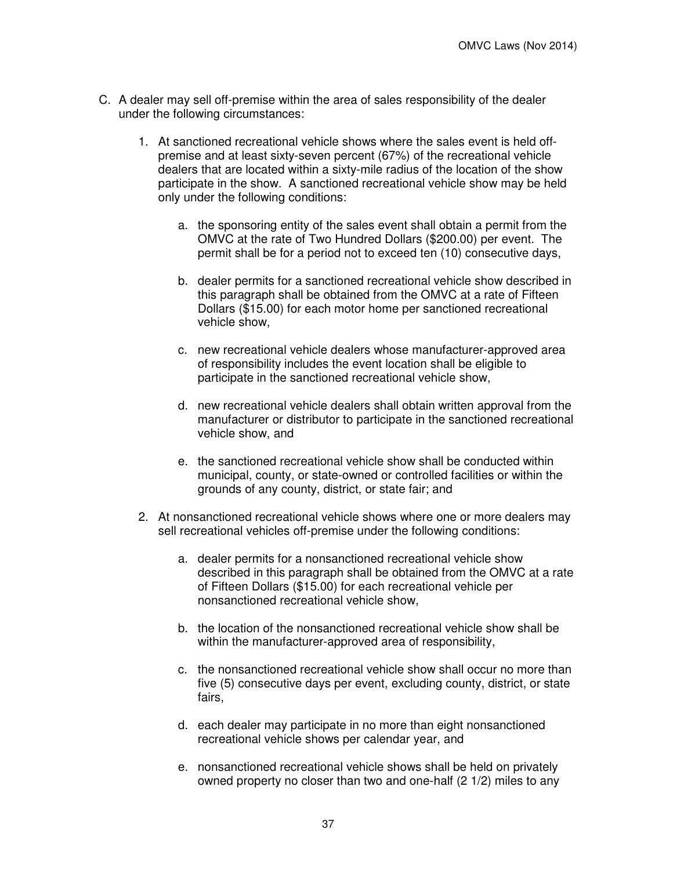- C. A dealer may sell off-premise within the area of sales responsibility of the dealer under the following circumstances:
	- 1. At sanctioned recreational vehicle shows where the sales event is held offpremise and at least sixty-seven percent (67%) of the recreational vehicle dealers that are located within a sixty-mile radius of the location of the show participate in the show. A sanctioned recreational vehicle show may be held only under the following conditions:
		- a. the sponsoring entity of the sales event shall obtain a permit from the OMVC at the rate of Two Hundred Dollars (\$200.00) per event. The permit shall be for a period not to exceed ten (10) consecutive days,
		- b. dealer permits for a sanctioned recreational vehicle show described in this paragraph shall be obtained from the OMVC at a rate of Fifteen Dollars (\$15.00) for each motor home per sanctioned recreational vehicle show,
		- c. new recreational vehicle dealers whose manufacturer-approved area of responsibility includes the event location shall be eligible to participate in the sanctioned recreational vehicle show,
		- d. new recreational vehicle dealers shall obtain written approval from the manufacturer or distributor to participate in the sanctioned recreational vehicle show, and
		- e. the sanctioned recreational vehicle show shall be conducted within municipal, county, or state-owned or controlled facilities or within the grounds of any county, district, or state fair; and
	- 2. At nonsanctioned recreational vehicle shows where one or more dealers may sell recreational vehicles off-premise under the following conditions:
		- a. dealer permits for a nonsanctioned recreational vehicle show described in this paragraph shall be obtained from the OMVC at a rate of Fifteen Dollars (\$15.00) for each recreational vehicle per nonsanctioned recreational vehicle show,
		- b. the location of the nonsanctioned recreational vehicle show shall be within the manufacturer-approved area of responsibility,
		- c. the nonsanctioned recreational vehicle show shall occur no more than five (5) consecutive days per event, excluding county, district, or state fairs,
		- d. each dealer may participate in no more than eight nonsanctioned recreational vehicle shows per calendar year, and
		- e. nonsanctioned recreational vehicle shows shall be held on privately owned property no closer than two and one-half (2 1/2) miles to any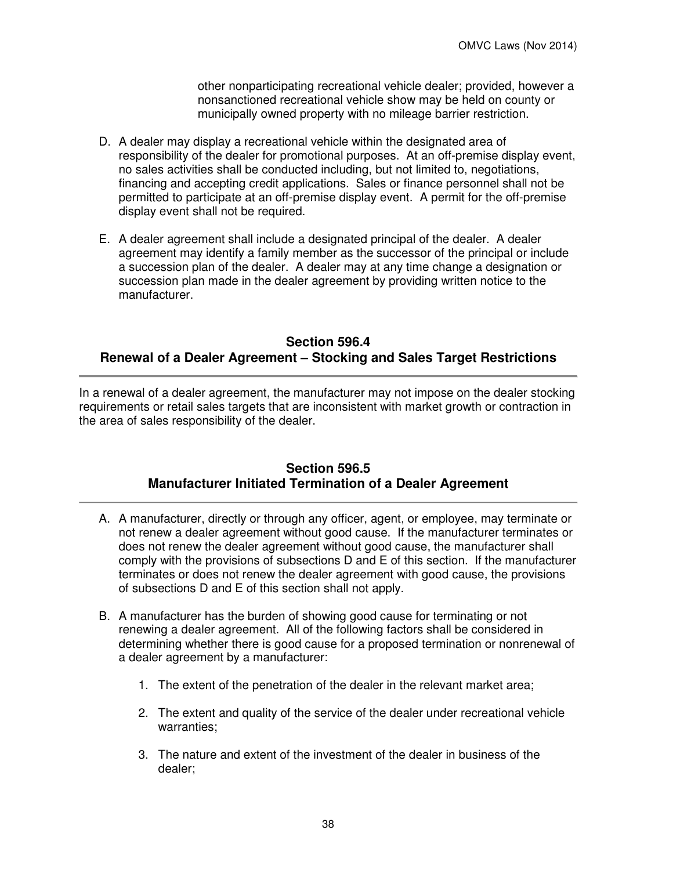other nonparticipating recreational vehicle dealer; provided, however a nonsanctioned recreational vehicle show may be held on county or municipally owned property with no mileage barrier restriction.

- D. A dealer may display a recreational vehicle within the designated area of responsibility of the dealer for promotional purposes. At an off-premise display event, no sales activities shall be conducted including, but not limited to, negotiations, financing and accepting credit applications. Sales or finance personnel shall not be permitted to participate at an off-premise display event. A permit for the off-premise display event shall not be required.
- E. A dealer agreement shall include a designated principal of the dealer. A dealer agreement may identify a family member as the successor of the principal or include a succession plan of the dealer. A dealer may at any time change a designation or succession plan made in the dealer agreement by providing written notice to the manufacturer.

## **Section 596.4 Renewal of a Dealer Agreement – Stocking and Sales Target Restrictions**

In a renewal of a dealer agreement, the manufacturer may not impose on the dealer stocking requirements or retail sales targets that are inconsistent with market growth or contraction in the area of sales responsibility of the dealer.

# **Section 596.5 Manufacturer Initiated Termination of a Dealer Agreement**

- A. A manufacturer, directly or through any officer, agent, or employee, may terminate or not renew a dealer agreement without good cause. If the manufacturer terminates or does not renew the dealer agreement without good cause, the manufacturer shall comply with the provisions of subsections D and E of this section. If the manufacturer terminates or does not renew the dealer agreement with good cause, the provisions of subsections D and E of this section shall not apply.
- B. A manufacturer has the burden of showing good cause for terminating or not renewing a dealer agreement. All of the following factors shall be considered in determining whether there is good cause for a proposed termination or nonrenewal of a dealer agreement by a manufacturer:
	- 1. The extent of the penetration of the dealer in the relevant market area;
	- 2. The extent and quality of the service of the dealer under recreational vehicle warranties;
	- 3. The nature and extent of the investment of the dealer in business of the dealer;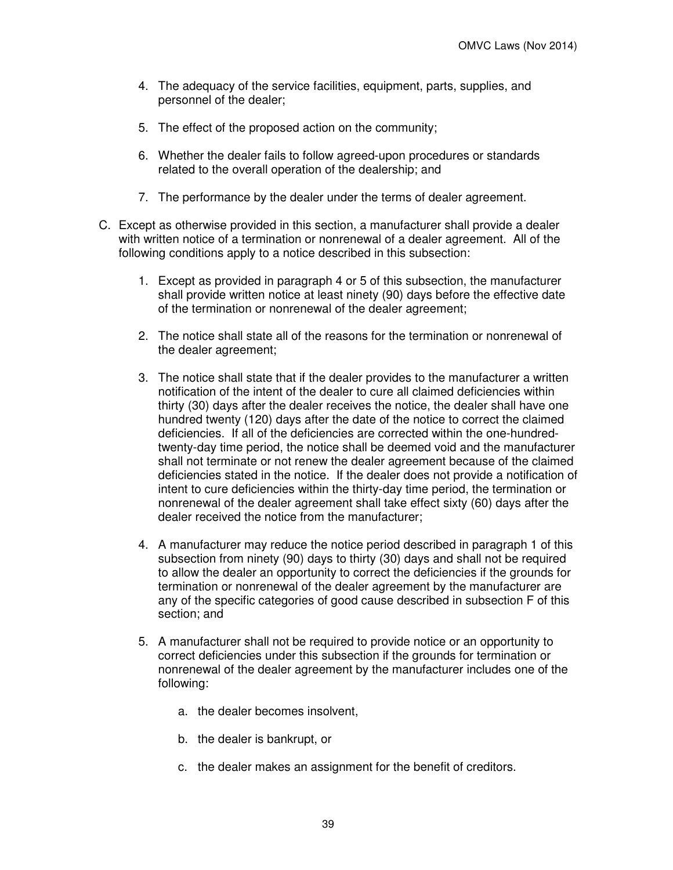- 4. The adequacy of the service facilities, equipment, parts, supplies, and personnel of the dealer;
- 5. The effect of the proposed action on the community;
- 6. Whether the dealer fails to follow agreed-upon procedures or standards related to the overall operation of the dealership; and
- 7. The performance by the dealer under the terms of dealer agreement.
- C. Except as otherwise provided in this section, a manufacturer shall provide a dealer with written notice of a termination or nonrenewal of a dealer agreement. All of the following conditions apply to a notice described in this subsection:
	- 1. Except as provided in paragraph 4 or 5 of this subsection, the manufacturer shall provide written notice at least ninety (90) days before the effective date of the termination or nonrenewal of the dealer agreement;
	- 2. The notice shall state all of the reasons for the termination or nonrenewal of the dealer agreement;
	- 3. The notice shall state that if the dealer provides to the manufacturer a written notification of the intent of the dealer to cure all claimed deficiencies within thirty (30) days after the dealer receives the notice, the dealer shall have one hundred twenty (120) days after the date of the notice to correct the claimed deficiencies. If all of the deficiencies are corrected within the one-hundredtwenty-day time period, the notice shall be deemed void and the manufacturer shall not terminate or not renew the dealer agreement because of the claimed deficiencies stated in the notice. If the dealer does not provide a notification of intent to cure deficiencies within the thirty-day time period, the termination or nonrenewal of the dealer agreement shall take effect sixty (60) days after the dealer received the notice from the manufacturer;
	- 4. A manufacturer may reduce the notice period described in paragraph 1 of this subsection from ninety (90) days to thirty (30) days and shall not be required to allow the dealer an opportunity to correct the deficiencies if the grounds for termination or nonrenewal of the dealer agreement by the manufacturer are any of the specific categories of good cause described in subsection F of this section; and
	- 5. A manufacturer shall not be required to provide notice or an opportunity to correct deficiencies under this subsection if the grounds for termination or nonrenewal of the dealer agreement by the manufacturer includes one of the following:
		- a. the dealer becomes insolvent,
		- b. the dealer is bankrupt, or
		- c. the dealer makes an assignment for the benefit of creditors.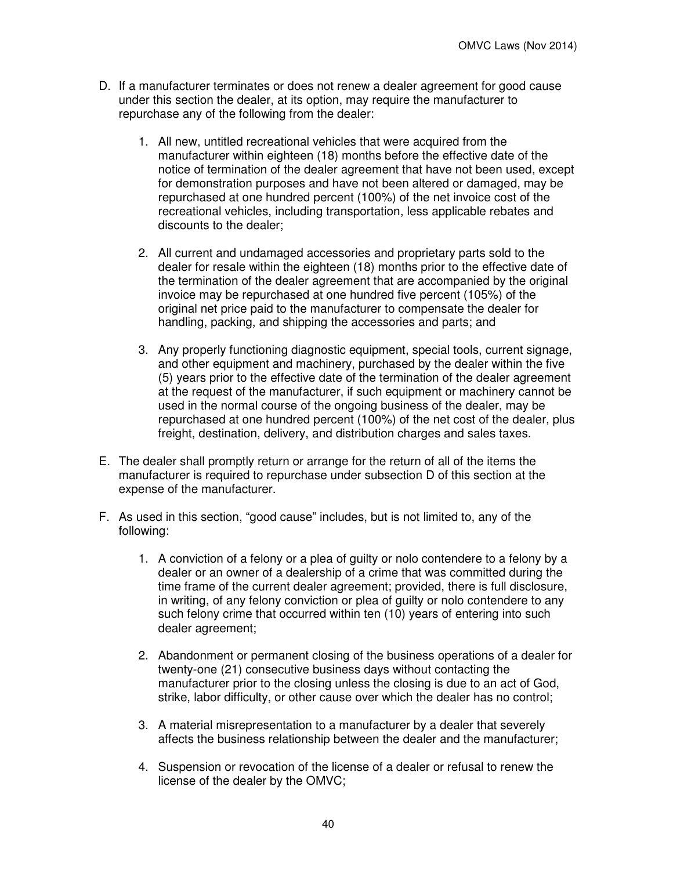- D. If a manufacturer terminates or does not renew a dealer agreement for good cause under this section the dealer, at its option, may require the manufacturer to repurchase any of the following from the dealer:
	- 1. All new, untitled recreational vehicles that were acquired from the manufacturer within eighteen (18) months before the effective date of the notice of termination of the dealer agreement that have not been used, except for demonstration purposes and have not been altered or damaged, may be repurchased at one hundred percent (100%) of the net invoice cost of the recreational vehicles, including transportation, less applicable rebates and discounts to the dealer;
	- 2. All current and undamaged accessories and proprietary parts sold to the dealer for resale within the eighteen (18) months prior to the effective date of the termination of the dealer agreement that are accompanied by the original invoice may be repurchased at one hundred five percent (105%) of the original net price paid to the manufacturer to compensate the dealer for handling, packing, and shipping the accessories and parts; and
	- 3. Any properly functioning diagnostic equipment, special tools, current signage, and other equipment and machinery, purchased by the dealer within the five (5) years prior to the effective date of the termination of the dealer agreement at the request of the manufacturer, if such equipment or machinery cannot be used in the normal course of the ongoing business of the dealer, may be repurchased at one hundred percent (100%) of the net cost of the dealer, plus freight, destination, delivery, and distribution charges and sales taxes.
- E. The dealer shall promptly return or arrange for the return of all of the items the manufacturer is required to repurchase under subsection D of this section at the expense of the manufacturer.
- F. As used in this section, "good cause" includes, but is not limited to, any of the following:
	- 1. A conviction of a felony or a plea of guilty or nolo contendere to a felony by a dealer or an owner of a dealership of a crime that was committed during the time frame of the current dealer agreement; provided, there is full disclosure, in writing, of any felony conviction or plea of guilty or nolo contendere to any such felony crime that occurred within ten (10) years of entering into such dealer agreement;
	- 2. Abandonment or permanent closing of the business operations of a dealer for twenty-one (21) consecutive business days without contacting the manufacturer prior to the closing unless the closing is due to an act of God, strike, labor difficulty, or other cause over which the dealer has no control;
	- 3. A material misrepresentation to a manufacturer by a dealer that severely affects the business relationship between the dealer and the manufacturer;
	- 4. Suspension or revocation of the license of a dealer or refusal to renew the license of the dealer by the OMVC;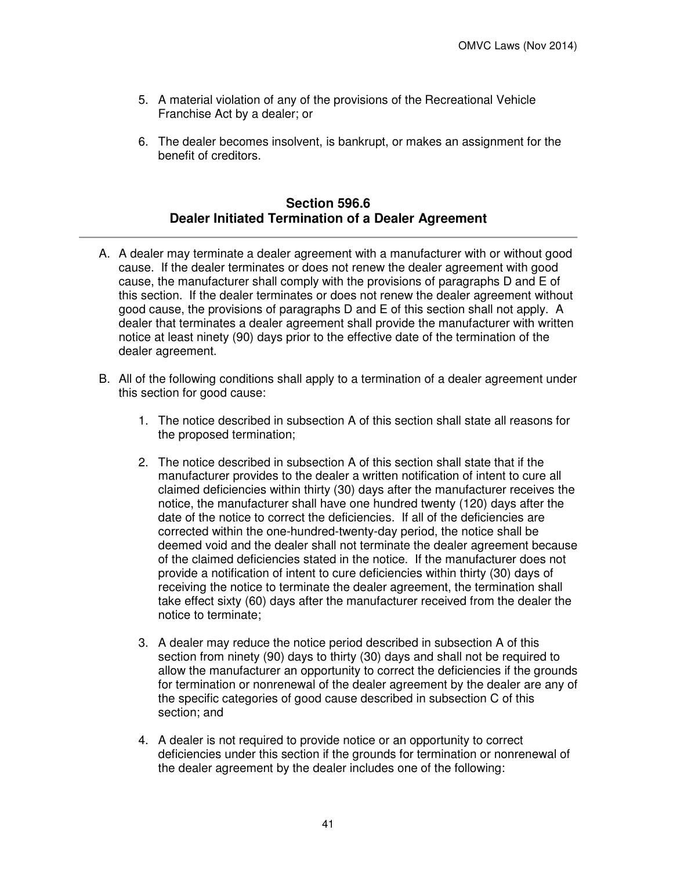- 5. A material violation of any of the provisions of the Recreational Vehicle Franchise Act by a dealer; or
- 6. The dealer becomes insolvent, is bankrupt, or makes an assignment for the benefit of creditors.

# **Section 596.6 Dealer Initiated Termination of a Dealer Agreement**

- A. A dealer may terminate a dealer agreement with a manufacturer with or without good cause. If the dealer terminates or does not renew the dealer agreement with good cause, the manufacturer shall comply with the provisions of paragraphs D and E of this section. If the dealer terminates or does not renew the dealer agreement without good cause, the provisions of paragraphs D and E of this section shall not apply. A dealer that terminates a dealer agreement shall provide the manufacturer with written notice at least ninety (90) days prior to the effective date of the termination of the dealer agreement.
- B. All of the following conditions shall apply to a termination of a dealer agreement under this section for good cause:
	- 1. The notice described in subsection A of this section shall state all reasons for the proposed termination;
	- 2. The notice described in subsection A of this section shall state that if the manufacturer provides to the dealer a written notification of intent to cure all claimed deficiencies within thirty (30) days after the manufacturer receives the notice, the manufacturer shall have one hundred twenty (120) days after the date of the notice to correct the deficiencies. If all of the deficiencies are corrected within the one-hundred-twenty-day period, the notice shall be deemed void and the dealer shall not terminate the dealer agreement because of the claimed deficiencies stated in the notice. If the manufacturer does not provide a notification of intent to cure deficiencies within thirty (30) days of receiving the notice to terminate the dealer agreement, the termination shall take effect sixty (60) days after the manufacturer received from the dealer the notice to terminate;
	- 3. A dealer may reduce the notice period described in subsection A of this section from ninety (90) days to thirty (30) days and shall not be required to allow the manufacturer an opportunity to correct the deficiencies if the grounds for termination or nonrenewal of the dealer agreement by the dealer are any of the specific categories of good cause described in subsection C of this section; and
	- 4. A dealer is not required to provide notice or an opportunity to correct deficiencies under this section if the grounds for termination or nonrenewal of the dealer agreement by the dealer includes one of the following: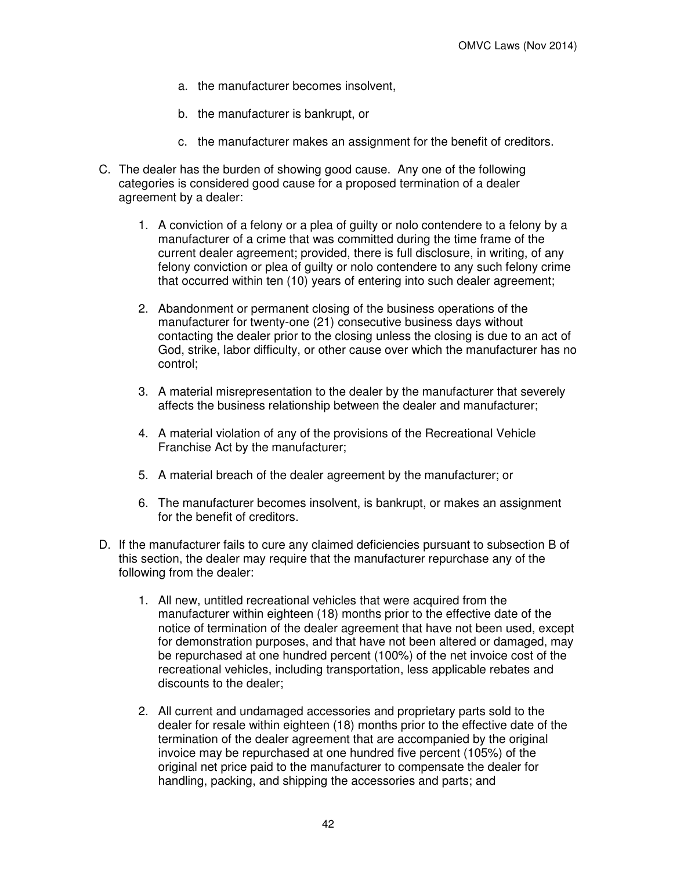- a. the manufacturer becomes insolvent,
- b. the manufacturer is bankrupt, or
- c. the manufacturer makes an assignment for the benefit of creditors.
- C. The dealer has the burden of showing good cause. Any one of the following categories is considered good cause for a proposed termination of a dealer agreement by a dealer:
	- 1. A conviction of a felony or a plea of guilty or nolo contendere to a felony by a manufacturer of a crime that was committed during the time frame of the current dealer agreement; provided, there is full disclosure, in writing, of any felony conviction or plea of guilty or nolo contendere to any such felony crime that occurred within ten (10) years of entering into such dealer agreement;
	- 2. Abandonment or permanent closing of the business operations of the manufacturer for twenty-one (21) consecutive business days without contacting the dealer prior to the closing unless the closing is due to an act of God, strike, labor difficulty, or other cause over which the manufacturer has no control;
	- 3. A material misrepresentation to the dealer by the manufacturer that severely affects the business relationship between the dealer and manufacturer;
	- 4. A material violation of any of the provisions of the Recreational Vehicle Franchise Act by the manufacturer;
	- 5. A material breach of the dealer agreement by the manufacturer; or
	- 6. The manufacturer becomes insolvent, is bankrupt, or makes an assignment for the benefit of creditors.
- D. If the manufacturer fails to cure any claimed deficiencies pursuant to subsection B of this section, the dealer may require that the manufacturer repurchase any of the following from the dealer:
	- 1. All new, untitled recreational vehicles that were acquired from the manufacturer within eighteen (18) months prior to the effective date of the notice of termination of the dealer agreement that have not been used, except for demonstration purposes, and that have not been altered or damaged, may be repurchased at one hundred percent (100%) of the net invoice cost of the recreational vehicles, including transportation, less applicable rebates and discounts to the dealer;
	- 2. All current and undamaged accessories and proprietary parts sold to the dealer for resale within eighteen (18) months prior to the effective date of the termination of the dealer agreement that are accompanied by the original invoice may be repurchased at one hundred five percent (105%) of the original net price paid to the manufacturer to compensate the dealer for handling, packing, and shipping the accessories and parts; and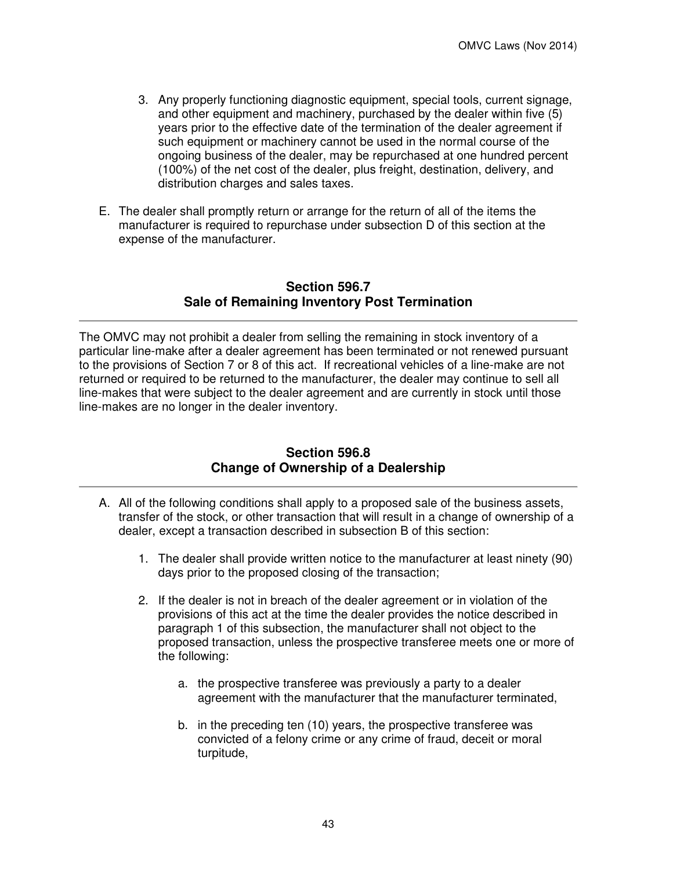- 3. Any properly functioning diagnostic equipment, special tools, current signage, and other equipment and machinery, purchased by the dealer within five (5) years prior to the effective date of the termination of the dealer agreement if such equipment or machinery cannot be used in the normal course of the ongoing business of the dealer, may be repurchased at one hundred percent (100%) of the net cost of the dealer, plus freight, destination, delivery, and distribution charges and sales taxes.
- E. The dealer shall promptly return or arrange for the return of all of the items the manufacturer is required to repurchase under subsection D of this section at the expense of the manufacturer.

# **Section 596.7 Sale of Remaining Inventory Post Termination**

The OMVC may not prohibit a dealer from selling the remaining in stock inventory of a particular line-make after a dealer agreement has been terminated or not renewed pursuant to the provisions of Section 7 or 8 of this act. If recreational vehicles of a line-make are not returned or required to be returned to the manufacturer, the dealer may continue to sell all line-makes that were subject to the dealer agreement and are currently in stock until those line-makes are no longer in the dealer inventory.

### **Section 596.8 Change of Ownership of a Dealership**

- A. All of the following conditions shall apply to a proposed sale of the business assets, transfer of the stock, or other transaction that will result in a change of ownership of a dealer, except a transaction described in subsection B of this section:
	- 1. The dealer shall provide written notice to the manufacturer at least ninety (90) days prior to the proposed closing of the transaction;
	- 2. If the dealer is not in breach of the dealer agreement or in violation of the provisions of this act at the time the dealer provides the notice described in paragraph 1 of this subsection, the manufacturer shall not object to the proposed transaction, unless the prospective transferee meets one or more of the following:
		- a. the prospective transferee was previously a party to a dealer agreement with the manufacturer that the manufacturer terminated,
		- b. in the preceding ten (10) years, the prospective transferee was convicted of a felony crime or any crime of fraud, deceit or moral turpitude,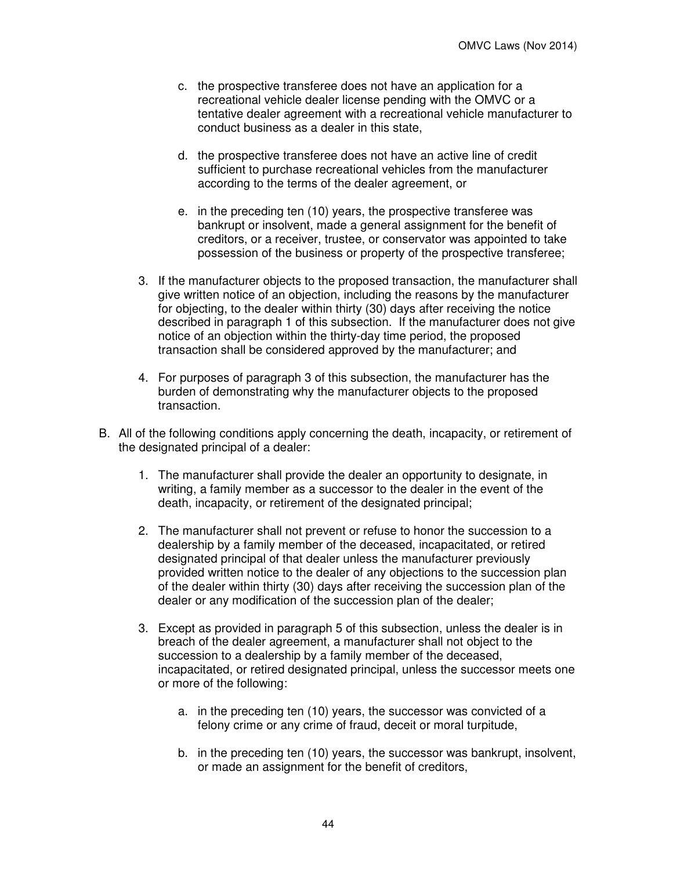- c. the prospective transferee does not have an application for a recreational vehicle dealer license pending with the OMVC or a tentative dealer agreement with a recreational vehicle manufacturer to conduct business as a dealer in this state,
- d. the prospective transferee does not have an active line of credit sufficient to purchase recreational vehicles from the manufacturer according to the terms of the dealer agreement, or
- e. in the preceding ten (10) years, the prospective transferee was bankrupt or insolvent, made a general assignment for the benefit of creditors, or a receiver, trustee, or conservator was appointed to take possession of the business or property of the prospective transferee;
- 3. If the manufacturer objects to the proposed transaction, the manufacturer shall give written notice of an objection, including the reasons by the manufacturer for objecting, to the dealer within thirty (30) days after receiving the notice described in paragraph 1 of this subsection. If the manufacturer does not give notice of an objection within the thirty-day time period, the proposed transaction shall be considered approved by the manufacturer; and
- 4. For purposes of paragraph 3 of this subsection, the manufacturer has the burden of demonstrating why the manufacturer objects to the proposed transaction.
- B. All of the following conditions apply concerning the death, incapacity, or retirement of the designated principal of a dealer:
	- 1. The manufacturer shall provide the dealer an opportunity to designate, in writing, a family member as a successor to the dealer in the event of the death, incapacity, or retirement of the designated principal;
	- 2. The manufacturer shall not prevent or refuse to honor the succession to a dealership by a family member of the deceased, incapacitated, or retired designated principal of that dealer unless the manufacturer previously provided written notice to the dealer of any objections to the succession plan of the dealer within thirty (30) days after receiving the succession plan of the dealer or any modification of the succession plan of the dealer;
	- 3. Except as provided in paragraph 5 of this subsection, unless the dealer is in breach of the dealer agreement, a manufacturer shall not object to the succession to a dealership by a family member of the deceased, incapacitated, or retired designated principal, unless the successor meets one or more of the following:
		- a. in the preceding ten (10) years, the successor was convicted of a felony crime or any crime of fraud, deceit or moral turpitude,
		- b. in the preceding ten (10) years, the successor was bankrupt, insolvent, or made an assignment for the benefit of creditors,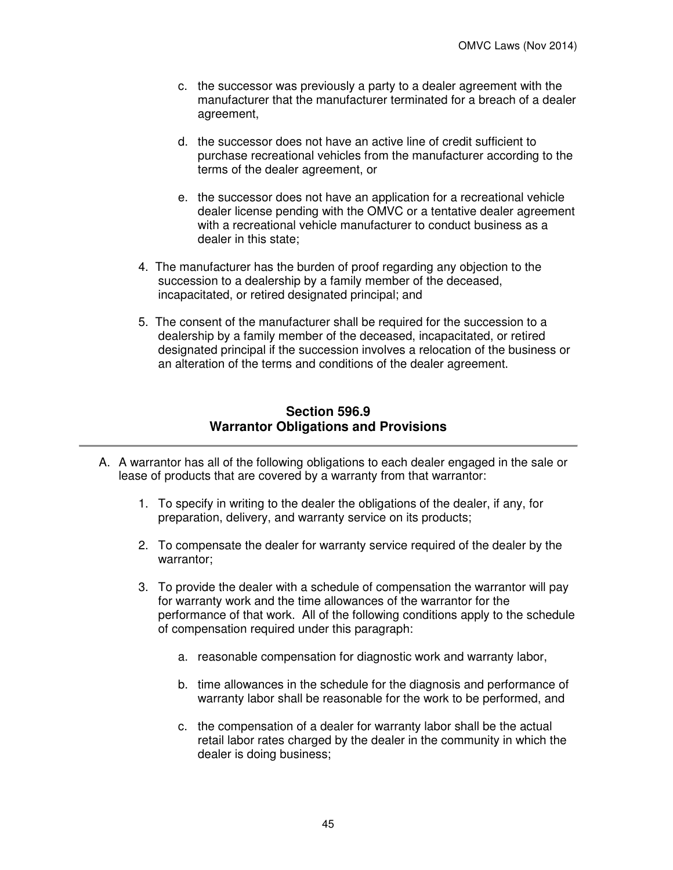- c. the successor was previously a party to a dealer agreement with the manufacturer that the manufacturer terminated for a breach of a dealer agreement,
- d. the successor does not have an active line of credit sufficient to purchase recreational vehicles from the manufacturer according to the terms of the dealer agreement, or
- e. the successor does not have an application for a recreational vehicle dealer license pending with the OMVC or a tentative dealer agreement with a recreational vehicle manufacturer to conduct business as a dealer in this state;
- 4. The manufacturer has the burden of proof regarding any objection to the succession to a dealership by a family member of the deceased, incapacitated, or retired designated principal; and
- 5. The consent of the manufacturer shall be required for the succession to a dealership by a family member of the deceased, incapacitated, or retired designated principal if the succession involves a relocation of the business or an alteration of the terms and conditions of the dealer agreement.

## **Section 596.9 Warrantor Obligations and Provisions**

- A. A warrantor has all of the following obligations to each dealer engaged in the sale or lease of products that are covered by a warranty from that warrantor:
	- 1. To specify in writing to the dealer the obligations of the dealer, if any, for preparation, delivery, and warranty service on its products;
	- 2. To compensate the dealer for warranty service required of the dealer by the warrantor;
	- 3. To provide the dealer with a schedule of compensation the warrantor will pay for warranty work and the time allowances of the warrantor for the performance of that work. All of the following conditions apply to the schedule of compensation required under this paragraph:
		- a. reasonable compensation for diagnostic work and warranty labor,
		- b. time allowances in the schedule for the diagnosis and performance of warranty labor shall be reasonable for the work to be performed, and
		- c. the compensation of a dealer for warranty labor shall be the actual retail labor rates charged by the dealer in the community in which the dealer is doing business;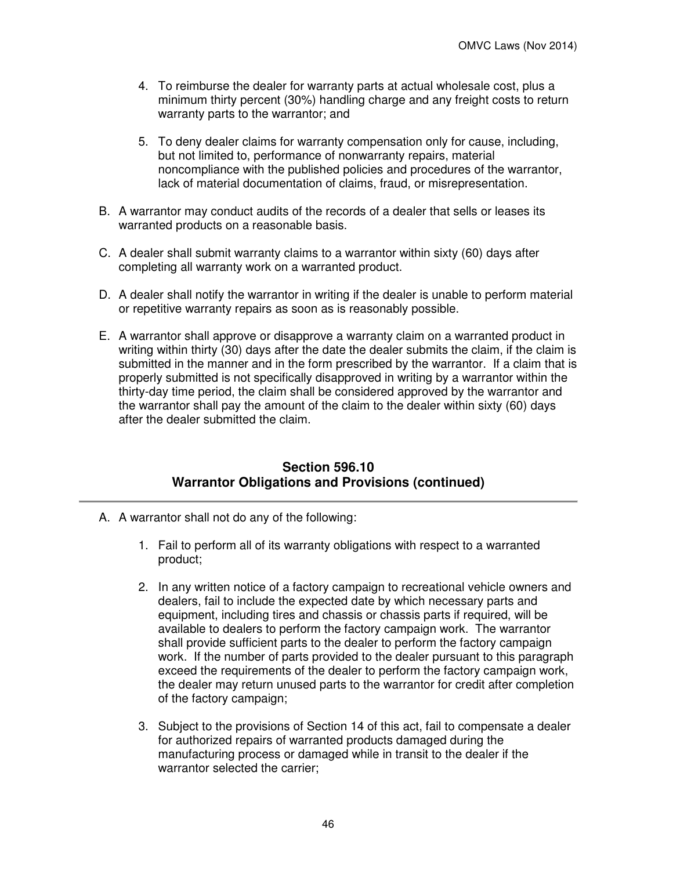- 4. To reimburse the dealer for warranty parts at actual wholesale cost, plus a minimum thirty percent (30%) handling charge and any freight costs to return warranty parts to the warrantor; and
- 5. To deny dealer claims for warranty compensation only for cause, including, but not limited to, performance of nonwarranty repairs, material noncompliance with the published policies and procedures of the warrantor, lack of material documentation of claims, fraud, or misrepresentation.
- B. A warrantor may conduct audits of the records of a dealer that sells or leases its warranted products on a reasonable basis.
- C. A dealer shall submit warranty claims to a warrantor within sixty (60) days after completing all warranty work on a warranted product.
- D. A dealer shall notify the warrantor in writing if the dealer is unable to perform material or repetitive warranty repairs as soon as is reasonably possible.
- E. A warrantor shall approve or disapprove a warranty claim on a warranted product in writing within thirty (30) days after the date the dealer submits the claim, if the claim is submitted in the manner and in the form prescribed by the warrantor. If a claim that is properly submitted is not specifically disapproved in writing by a warrantor within the thirty-day time period, the claim shall be considered approved by the warrantor and the warrantor shall pay the amount of the claim to the dealer within sixty (60) days after the dealer submitted the claim.

### **Section 596.10 Warrantor Obligations and Provisions (continued)**

- A. A warrantor shall not do any of the following:
	- 1. Fail to perform all of its warranty obligations with respect to a warranted product;
	- 2. In any written notice of a factory campaign to recreational vehicle owners and dealers, fail to include the expected date by which necessary parts and equipment, including tires and chassis or chassis parts if required, will be available to dealers to perform the factory campaign work. The warrantor shall provide sufficient parts to the dealer to perform the factory campaign work. If the number of parts provided to the dealer pursuant to this paragraph exceed the requirements of the dealer to perform the factory campaign work, the dealer may return unused parts to the warrantor for credit after completion of the factory campaign;
	- 3. Subject to the provisions of Section 14 of this act, fail to compensate a dealer for authorized repairs of warranted products damaged during the manufacturing process or damaged while in transit to the dealer if the warrantor selected the carrier;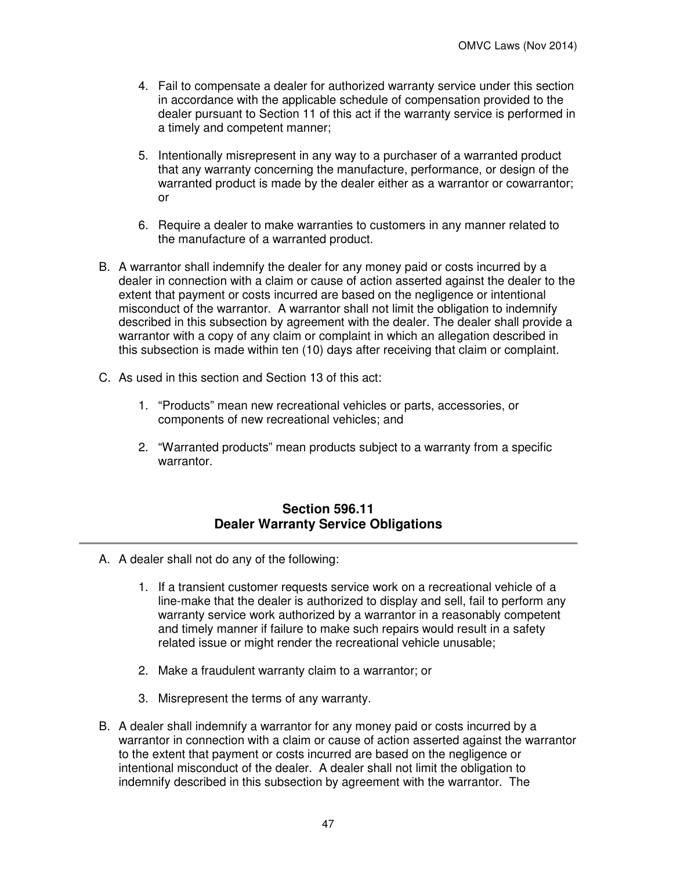- 4. Fail to compensate a dealer for authorized warranty service under this section in accordance with the applicable schedule of compensation provided to the dealer pursuant to Section 11 of this act if the warranty service is performed in a timely and competent manner;
- 5. Intentionally misrepresent in any way to a purchaser of a warranted product that any warranty concerning the manufacture, performance, or design of the warranted product is made by the dealer either as a warrantor or cowarrantor; or
- 6. Require a dealer to make warranties to customers in any manner related to the manufacture of a warranted product.
- B. A warrantor shall indemnify the dealer for any money paid or costs incurred by a dealer in connection with a claim or cause of action asserted against the dealer to the extent that payment or costs incurred are based on the negligence or intentional misconduct of the warrantor. A warrantor shall not limit the obligation to indemnify described in this subsection by agreement with the dealer. The dealer shall provide a warrantor with a copy of any claim or complaint in which an allegation described in this subsection is made within ten (10) days after receiving that claim or complaint.
- C. As used in this section and Section 13 of this act:
	- 1. "Products" mean new recreational vehicles or parts, accessories, or components of new recreational vehicles; and
	- 2. "Warranted products" mean products subject to a warranty from a specific warrantor.

### **Section 596.11 Dealer Warranty Service Obligations**

- A. A dealer shall not do any of the following:
	- 1. If a transient customer requests service work on a recreational vehicle of a line-make that the dealer is authorized to display and sell, fail to perform any warranty service work authorized by a warrantor in a reasonably competent and timely manner if failure to make such repairs would result in a safety related issue or might render the recreational vehicle unusable;
	- 2. Make a fraudulent warranty claim to a warrantor; or
	- 3. Misrepresent the terms of any warranty.
- B. A dealer shall indemnify a warrantor for any money paid or costs incurred by a warrantor in connection with a claim or cause of action asserted against the warrantor to the extent that payment or costs incurred are based on the negligence or intentional misconduct of the dealer. A dealer shall not limit the obligation to indemnify described in this subsection by agreement with the warrantor. The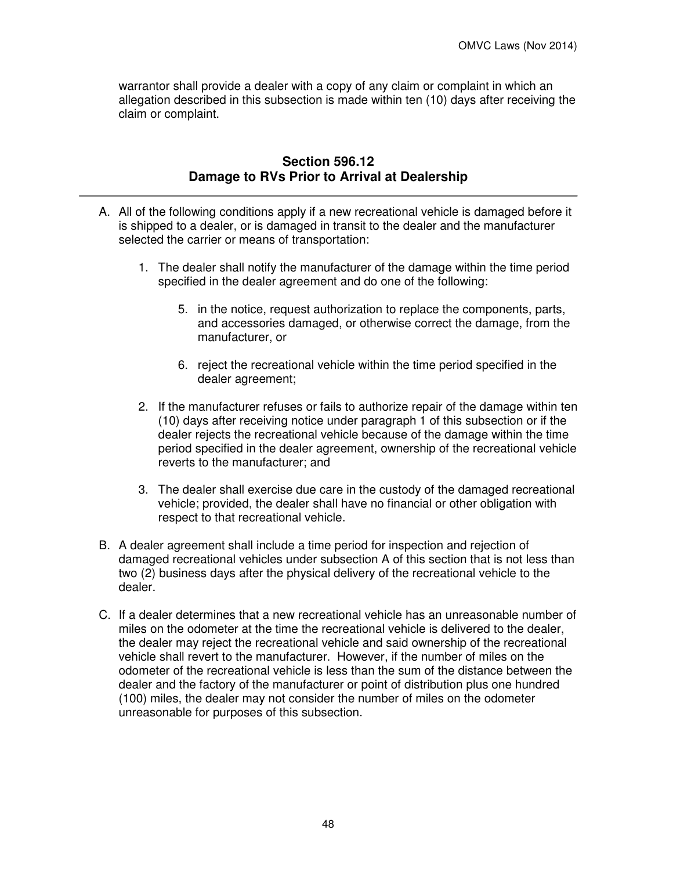warrantor shall provide a dealer with a copy of any claim or complaint in which an allegation described in this subsection is made within ten (10) days after receiving the claim or complaint.

# **Section 596.12 Damage to RVs Prior to Arrival at Dealership**

- A. All of the following conditions apply if a new recreational vehicle is damaged before it is shipped to a dealer, or is damaged in transit to the dealer and the manufacturer selected the carrier or means of transportation:
	- 1. The dealer shall notify the manufacturer of the damage within the time period specified in the dealer agreement and do one of the following:
		- 5. in the notice, request authorization to replace the components, parts, and accessories damaged, or otherwise correct the damage, from the manufacturer, or
		- 6. reject the recreational vehicle within the time period specified in the dealer agreement;
	- 2. If the manufacturer refuses or fails to authorize repair of the damage within ten (10) days after receiving notice under paragraph 1 of this subsection or if the dealer rejects the recreational vehicle because of the damage within the time period specified in the dealer agreement, ownership of the recreational vehicle reverts to the manufacturer; and
	- 3. The dealer shall exercise due care in the custody of the damaged recreational vehicle; provided, the dealer shall have no financial or other obligation with respect to that recreational vehicle.
- B. A dealer agreement shall include a time period for inspection and rejection of damaged recreational vehicles under subsection A of this section that is not less than two (2) business days after the physical delivery of the recreational vehicle to the dealer.
- C. If a dealer determines that a new recreational vehicle has an unreasonable number of miles on the odometer at the time the recreational vehicle is delivered to the dealer, the dealer may reject the recreational vehicle and said ownership of the recreational vehicle shall revert to the manufacturer. However, if the number of miles on the odometer of the recreational vehicle is less than the sum of the distance between the dealer and the factory of the manufacturer or point of distribution plus one hundred (100) miles, the dealer may not consider the number of miles on the odometer unreasonable for purposes of this subsection.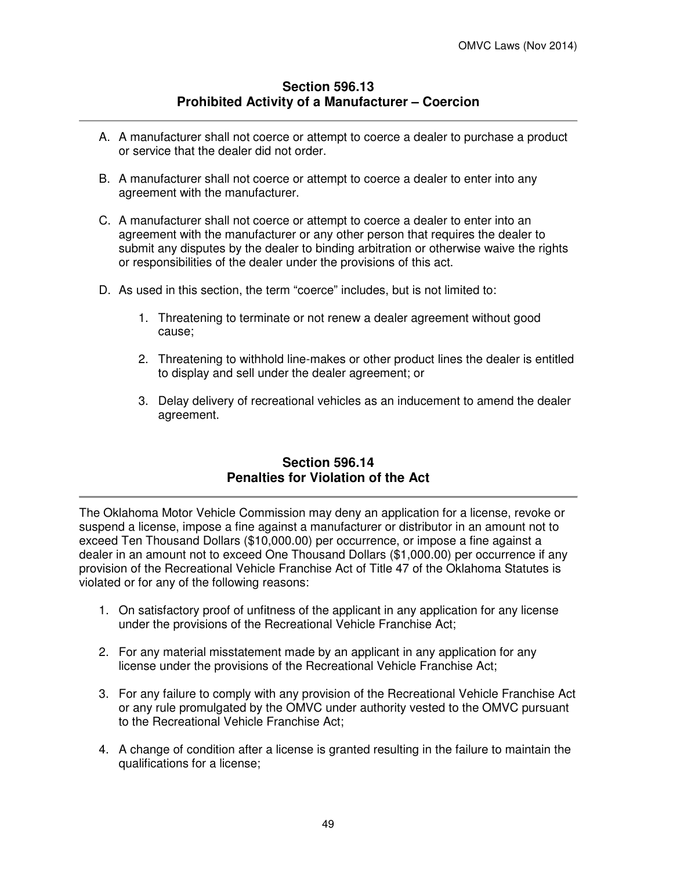# **Section 596.13 Prohibited Activity of a Manufacturer – Coercion**

- A. A manufacturer shall not coerce or attempt to coerce a dealer to purchase a product or service that the dealer did not order.
- B. A manufacturer shall not coerce or attempt to coerce a dealer to enter into any agreement with the manufacturer.
- C. A manufacturer shall not coerce or attempt to coerce a dealer to enter into an agreement with the manufacturer or any other person that requires the dealer to submit any disputes by the dealer to binding arbitration or otherwise waive the rights or responsibilities of the dealer under the provisions of this act.
- D. As used in this section, the term "coerce" includes, but is not limited to:
	- 1. Threatening to terminate or not renew a dealer agreement without good cause;
	- 2. Threatening to withhold line-makes or other product lines the dealer is entitled to display and sell under the dealer agreement; or
	- 3. Delay delivery of recreational vehicles as an inducement to amend the dealer agreement.

# **Section 596.14 Penalties for Violation of the Act**

The Oklahoma Motor Vehicle Commission may deny an application for a license, revoke or suspend a license, impose a fine against a manufacturer or distributor in an amount not to exceed Ten Thousand Dollars (\$10,000.00) per occurrence, or impose a fine against a dealer in an amount not to exceed One Thousand Dollars (\$1,000.00) per occurrence if any provision of the Recreational Vehicle Franchise Act of Title 47 of the Oklahoma Statutes is violated or for any of the following reasons:

- 1. On satisfactory proof of unfitness of the applicant in any application for any license under the provisions of the Recreational Vehicle Franchise Act;
- 2. For any material misstatement made by an applicant in any application for any license under the provisions of the Recreational Vehicle Franchise Act;
- 3. For any failure to comply with any provision of the Recreational Vehicle Franchise Act or any rule promulgated by the OMVC under authority vested to the OMVC pursuant to the Recreational Vehicle Franchise Act;
- 4. A change of condition after a license is granted resulting in the failure to maintain the qualifications for a license;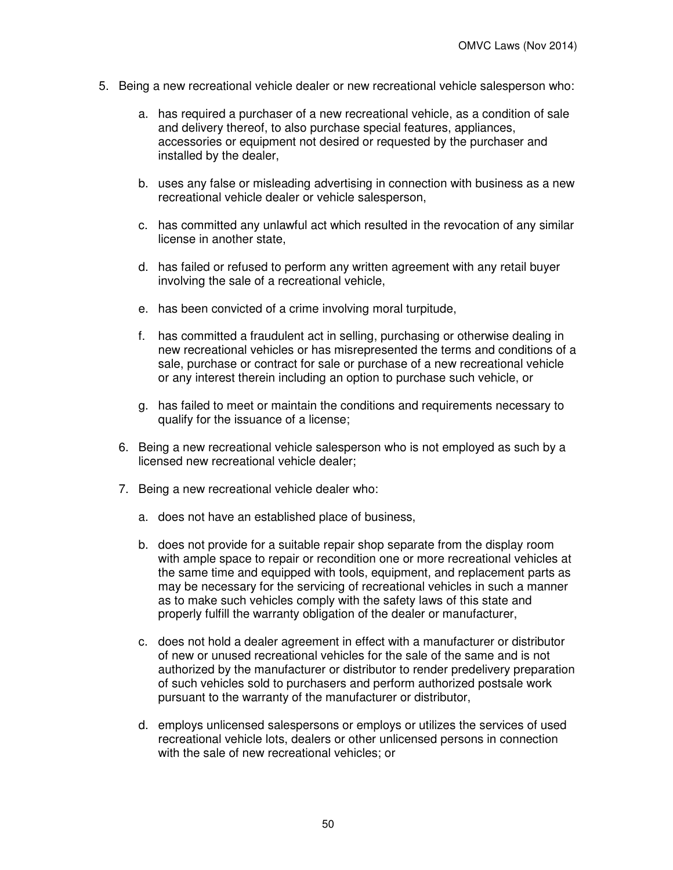- 5. Being a new recreational vehicle dealer or new recreational vehicle salesperson who:
	- a. has required a purchaser of a new recreational vehicle, as a condition of sale and delivery thereof, to also purchase special features, appliances, accessories or equipment not desired or requested by the purchaser and installed by the dealer,
	- b. uses any false or misleading advertising in connection with business as a new recreational vehicle dealer or vehicle salesperson,
	- c. has committed any unlawful act which resulted in the revocation of any similar license in another state,
	- d. has failed or refused to perform any written agreement with any retail buyer involving the sale of a recreational vehicle,
	- e. has been convicted of a crime involving moral turpitude,
	- f. has committed a fraudulent act in selling, purchasing or otherwise dealing in new recreational vehicles or has misrepresented the terms and conditions of a sale, purchase or contract for sale or purchase of a new recreational vehicle or any interest therein including an option to purchase such vehicle, or
	- g. has failed to meet or maintain the conditions and requirements necessary to qualify for the issuance of a license;
	- 6. Being a new recreational vehicle salesperson who is not employed as such by a licensed new recreational vehicle dealer;
	- 7. Being a new recreational vehicle dealer who:
		- a. does not have an established place of business,
		- b. does not provide for a suitable repair shop separate from the display room with ample space to repair or recondition one or more recreational vehicles at the same time and equipped with tools, equipment, and replacement parts as may be necessary for the servicing of recreational vehicles in such a manner as to make such vehicles comply with the safety laws of this state and properly fulfill the warranty obligation of the dealer or manufacturer,
		- c. does not hold a dealer agreement in effect with a manufacturer or distributor of new or unused recreational vehicles for the sale of the same and is not authorized by the manufacturer or distributor to render predelivery preparation of such vehicles sold to purchasers and perform authorized postsale work pursuant to the warranty of the manufacturer or distributor,
		- d. employs unlicensed salespersons or employs or utilizes the services of used recreational vehicle lots, dealers or other unlicensed persons in connection with the sale of new recreational vehicles; or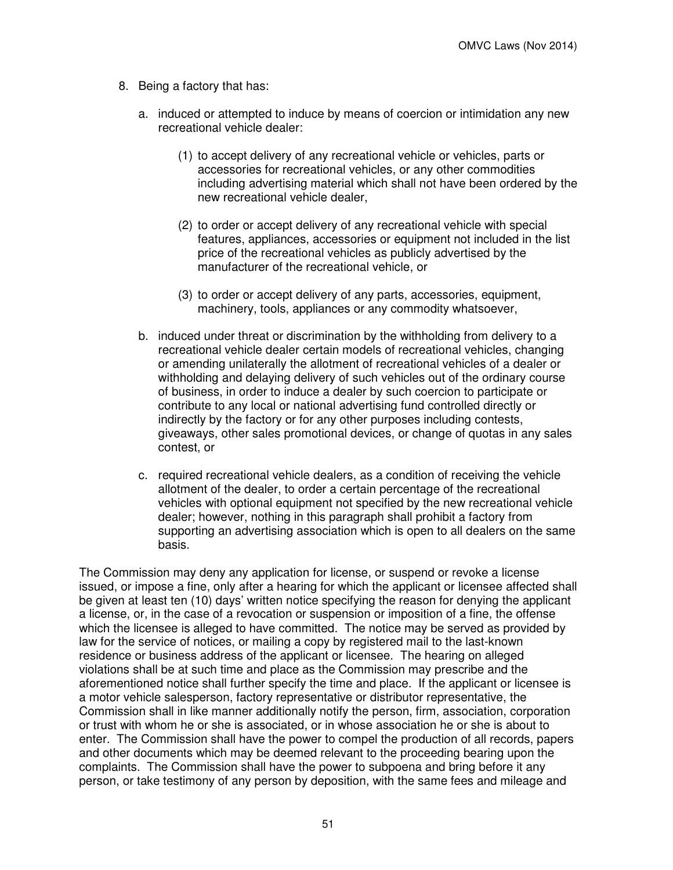- 8. Being a factory that has:
	- a. induced or attempted to induce by means of coercion or intimidation any new recreational vehicle dealer:
		- (1) to accept delivery of any recreational vehicle or vehicles, parts or accessories for recreational vehicles, or any other commodities including advertising material which shall not have been ordered by the new recreational vehicle dealer,
		- (2) to order or accept delivery of any recreational vehicle with special features, appliances, accessories or equipment not included in the list price of the recreational vehicles as publicly advertised by the manufacturer of the recreational vehicle, or
		- (3) to order or accept delivery of any parts, accessories, equipment, machinery, tools, appliances or any commodity whatsoever,
	- b. induced under threat or discrimination by the withholding from delivery to a recreational vehicle dealer certain models of recreational vehicles, changing or amending unilaterally the allotment of recreational vehicles of a dealer or withholding and delaying delivery of such vehicles out of the ordinary course of business, in order to induce a dealer by such coercion to participate or contribute to any local or national advertising fund controlled directly or indirectly by the factory or for any other purposes including contests, giveaways, other sales promotional devices, or change of quotas in any sales contest, or
	- c. required recreational vehicle dealers, as a condition of receiving the vehicle allotment of the dealer, to order a certain percentage of the recreational vehicles with optional equipment not specified by the new recreational vehicle dealer; however, nothing in this paragraph shall prohibit a factory from supporting an advertising association which is open to all dealers on the same basis.

The Commission may deny any application for license, or suspend or revoke a license issued, or impose a fine, only after a hearing for which the applicant or licensee affected shall be given at least ten (10) days' written notice specifying the reason for denying the applicant a license, or, in the case of a revocation or suspension or imposition of a fine, the offense which the licensee is alleged to have committed. The notice may be served as provided by law for the service of notices, or mailing a copy by registered mail to the last-known residence or business address of the applicant or licensee. The hearing on alleged violations shall be at such time and place as the Commission may prescribe and the aforementioned notice shall further specify the time and place. If the applicant or licensee is a motor vehicle salesperson, factory representative or distributor representative, the Commission shall in like manner additionally notify the person, firm, association, corporation or trust with whom he or she is associated, or in whose association he or she is about to enter. The Commission shall have the power to compel the production of all records, papers and other documents which may be deemed relevant to the proceeding bearing upon the complaints. The Commission shall have the power to subpoena and bring before it any person, or take testimony of any person by deposition, with the same fees and mileage and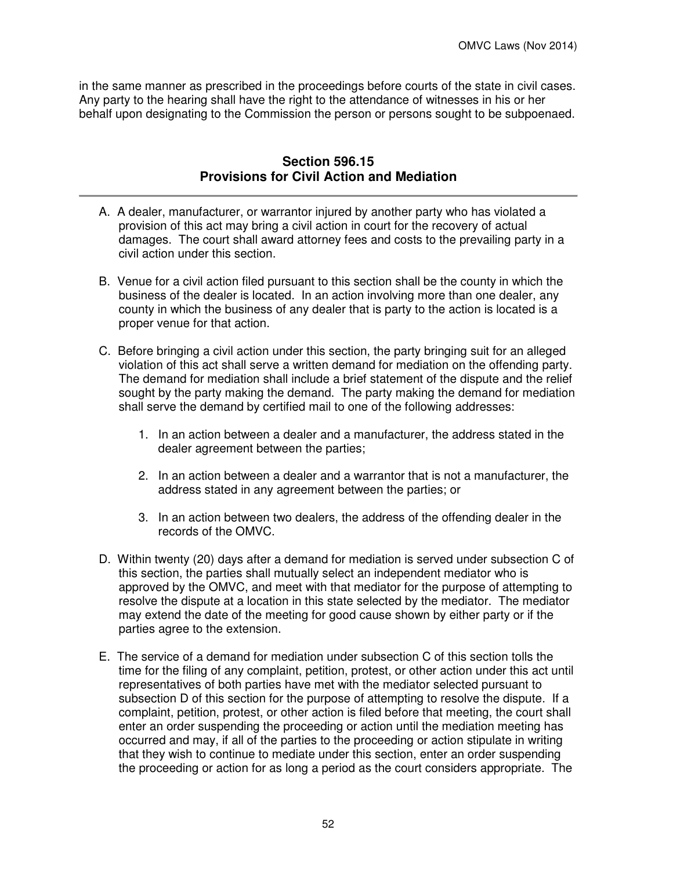in the same manner as prescribed in the proceedings before courts of the state in civil cases. Any party to the hearing shall have the right to the attendance of witnesses in his or her behalf upon designating to the Commission the person or persons sought to be subpoenaed.

## **Section 596.15 Provisions for Civil Action and Mediation**

- A. A dealer, manufacturer, or warrantor injured by another party who has violated a provision of this act may bring a civil action in court for the recovery of actual damages. The court shall award attorney fees and costs to the prevailing party in a civil action under this section.
- B. Venue for a civil action filed pursuant to this section shall be the county in which the business of the dealer is located. In an action involving more than one dealer, any county in which the business of any dealer that is party to the action is located is a proper venue for that action.
- C. Before bringing a civil action under this section, the party bringing suit for an alleged violation of this act shall serve a written demand for mediation on the offending party. The demand for mediation shall include a brief statement of the dispute and the relief sought by the party making the demand. The party making the demand for mediation shall serve the demand by certified mail to one of the following addresses:
	- 1. In an action between a dealer and a manufacturer, the address stated in the dealer agreement between the parties;
	- 2. In an action between a dealer and a warrantor that is not a manufacturer, the address stated in any agreement between the parties; or
	- 3. In an action between two dealers, the address of the offending dealer in the records of the OMVC.
- D. Within twenty (20) days after a demand for mediation is served under subsection C of this section, the parties shall mutually select an independent mediator who is approved by the OMVC, and meet with that mediator for the purpose of attempting to resolve the dispute at a location in this state selected by the mediator. The mediator may extend the date of the meeting for good cause shown by either party or if the parties agree to the extension.
- E. The service of a demand for mediation under subsection C of this section tolls the time for the filing of any complaint, petition, protest, or other action under this act until representatives of both parties have met with the mediator selected pursuant to subsection D of this section for the purpose of attempting to resolve the dispute. If a complaint, petition, protest, or other action is filed before that meeting, the court shall enter an order suspending the proceeding or action until the mediation meeting has occurred and may, if all of the parties to the proceeding or action stipulate in writing that they wish to continue to mediate under this section, enter an order suspending the proceeding or action for as long a period as the court considers appropriate. The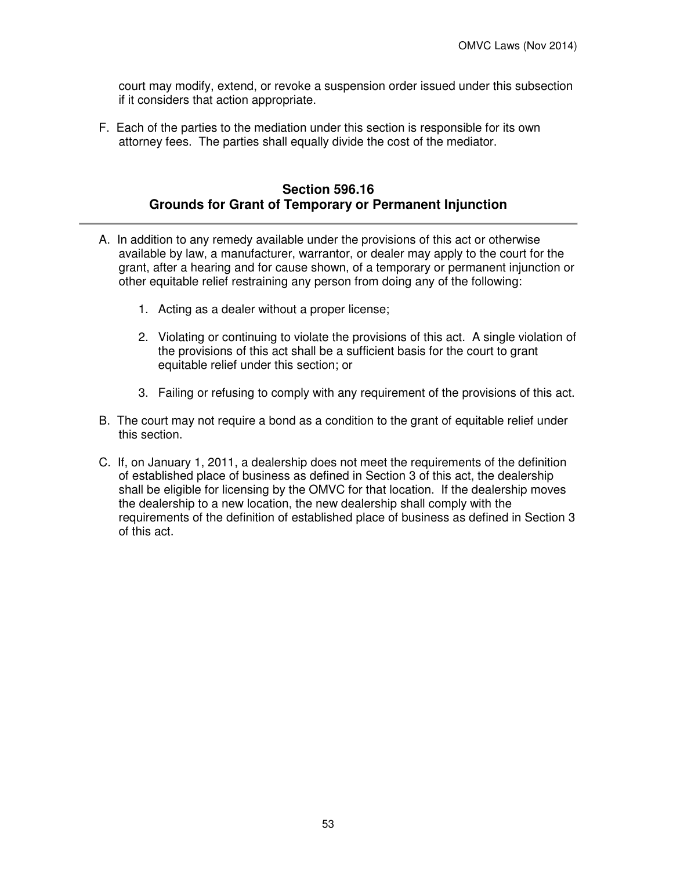court may modify, extend, or revoke a suspension order issued under this subsection if it considers that action appropriate.

F. Each of the parties to the mediation under this section is responsible for its own attorney fees. The parties shall equally divide the cost of the mediator.

# **Section 596.16 Grounds for Grant of Temporary or Permanent Injunction**

- A. In addition to any remedy available under the provisions of this act or otherwise available by law, a manufacturer, warrantor, or dealer may apply to the court for the grant, after a hearing and for cause shown, of a temporary or permanent injunction or other equitable relief restraining any person from doing any of the following:
	- 1. Acting as a dealer without a proper license;
	- 2. Violating or continuing to violate the provisions of this act. A single violation of the provisions of this act shall be a sufficient basis for the court to grant equitable relief under this section; or
	- 3. Failing or refusing to comply with any requirement of the provisions of this act.
- B. The court may not require a bond as a condition to the grant of equitable relief under this section.
- C. If, on January 1, 2011, a dealership does not meet the requirements of the definition of established place of business as defined in Section 3 of this act, the dealership shall be eligible for licensing by the OMVC for that location. If the dealership moves the dealership to a new location, the new dealership shall comply with the requirements of the definition of established place of business as defined in Section 3 of this act.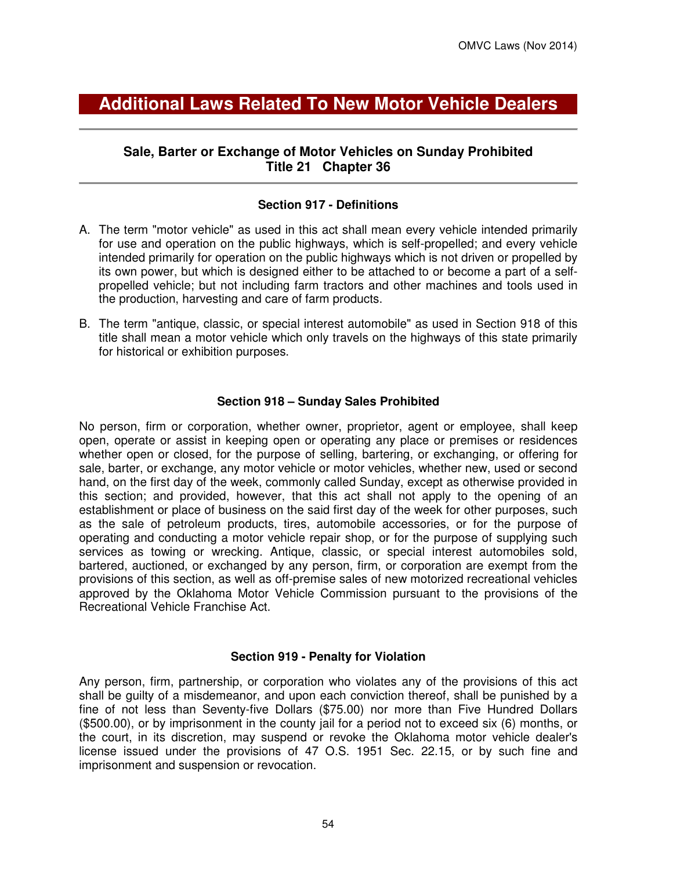# **Additional Laws Related To New Motor Vehicle Dealers**

# **Sale, Barter or Exchange of Motor Vehicles on Sunday Prohibited Title 21 Chapter 36**

#### **Section 917 - Definitions**

- A. The term "motor vehicle" as used in this act shall mean every vehicle intended primarily for use and operation on the public highways, which is self-propelled; and every vehicle intended primarily for operation on the public highways which is not driven or propelled by its own power, but which is designed either to be attached to or become a part of a selfpropelled vehicle; but not including farm tractors and other machines and tools used in the production, harvesting and care of farm products.
- B. The term "antique, classic, or special interest automobile" as used in Section 918 of this title shall mean a motor vehicle which only travels on the highways of this state primarily for historical or exhibition purposes.

#### **Section 918 – Sunday Sales Prohibited**

No person, firm or corporation, whether owner, proprietor, agent or employee, shall keep open, operate or assist in keeping open or operating any place or premises or residences whether open or closed, for the purpose of selling, bartering, or exchanging, or offering for sale, barter, or exchange, any motor vehicle or motor vehicles, whether new, used or second hand, on the first day of the week, commonly called Sunday, except as otherwise provided in this section; and provided, however, that this act shall not apply to the opening of an establishment or place of business on the said first day of the week for other purposes, such as the sale of petroleum products, tires, automobile accessories, or for the purpose of operating and conducting a motor vehicle repair shop, or for the purpose of supplying such services as towing or wrecking. Antique, classic, or special interest automobiles sold, bartered, auctioned, or exchanged by any person, firm, or corporation are exempt from the provisions of this section, as well as off-premise sales of new motorized recreational vehicles approved by the Oklahoma Motor Vehicle Commission pursuant to the provisions of the Recreational Vehicle Franchise Act.

#### **Section 919 - Penalty for Violation**

Any person, firm, partnership, or corporation who violates any of the provisions of this act shall be guilty of a misdemeanor, and upon each conviction thereof, shall be punished by a fine of not less than Seventy-five Dollars (\$75.00) nor more than Five Hundred Dollars (\$500.00), or by imprisonment in the county jail for a period not to exceed six (6) months, or the court, in its discretion, may suspend or revoke the Oklahoma motor vehicle dealer's license issued under the provisions of 47 O.S. 1951 Sec. 22.15, or by such fine and imprisonment and suspension or revocation.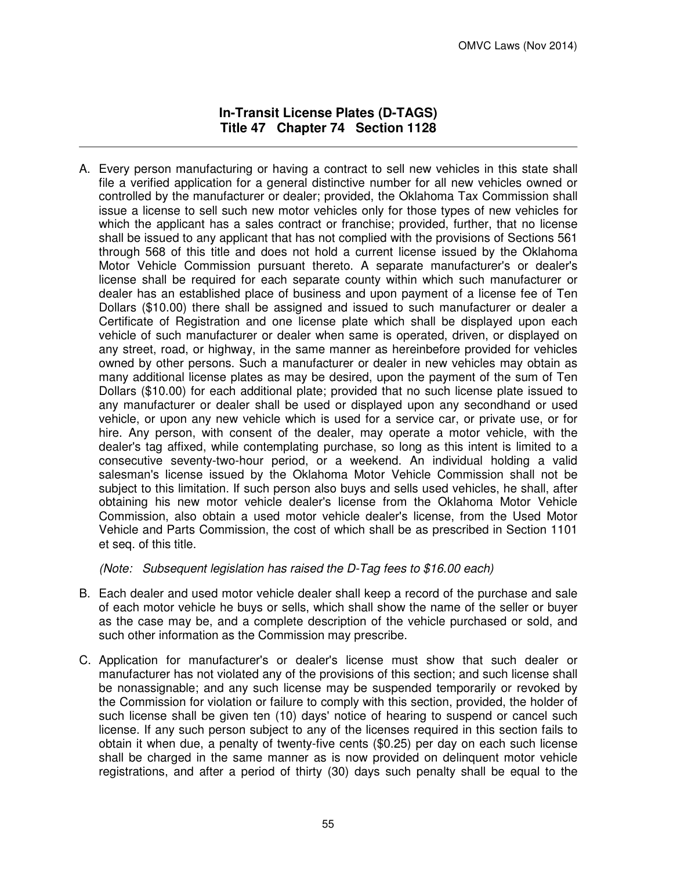### **In-Transit License Plates (D-TAGS) Title 47 Chapter 74 Section 1128**

A. Every person manufacturing or having a contract to sell new vehicles in this state shall file a verified application for a general distinctive number for all new vehicles owned or controlled by the manufacturer or dealer; provided, the Oklahoma Tax Commission shall issue a license to sell such new motor vehicles only for those types of new vehicles for which the applicant has a sales contract or franchise; provided, further, that no license shall be issued to any applicant that has not complied with the provisions of Sections 561 through 568 of this title and does not hold a current license issued by the Oklahoma Motor Vehicle Commission pursuant thereto. A separate manufacturer's or dealer's license shall be required for each separate county within which such manufacturer or dealer has an established place of business and upon payment of a license fee of Ten Dollars (\$10.00) there shall be assigned and issued to such manufacturer or dealer a Certificate of Registration and one license plate which shall be displayed upon each vehicle of such manufacturer or dealer when same is operated, driven, or displayed on any street, road, or highway, in the same manner as hereinbefore provided for vehicles owned by other persons. Such a manufacturer or dealer in new vehicles may obtain as many additional license plates as may be desired, upon the payment of the sum of Ten Dollars (\$10.00) for each additional plate; provided that no such license plate issued to any manufacturer or dealer shall be used or displayed upon any secondhand or used vehicle, or upon any new vehicle which is used for a service car, or private use, or for hire. Any person, with consent of the dealer, may operate a motor vehicle, with the dealer's tag affixed, while contemplating purchase, so long as this intent is limited to a consecutive seventy-two-hour period, or a weekend. An individual holding a valid salesman's license issued by the Oklahoma Motor Vehicle Commission shall not be subject to this limitation. If such person also buys and sells used vehicles, he shall, after obtaining his new motor vehicle dealer's license from the Oklahoma Motor Vehicle Commission, also obtain a used motor vehicle dealer's license, from the Used Motor Vehicle and Parts Commission, the cost of which shall be as prescribed in Section 1101 et seq. of this title.

(Note: Subsequent legislation has raised the D-Tag fees to \$16.00 each)

- B. Each dealer and used motor vehicle dealer shall keep a record of the purchase and sale of each motor vehicle he buys or sells, which shall show the name of the seller or buyer as the case may be, and a complete description of the vehicle purchased or sold, and such other information as the Commission may prescribe.
- C. Application for manufacturer's or dealer's license must show that such dealer or manufacturer has not violated any of the provisions of this section; and such license shall be nonassignable; and any such license may be suspended temporarily or revoked by the Commission for violation or failure to comply with this section, provided, the holder of such license shall be given ten (10) days' notice of hearing to suspend or cancel such license. If any such person subject to any of the licenses required in this section fails to obtain it when due, a penalty of twenty-five cents (\$0.25) per day on each such license shall be charged in the same manner as is now provided on delinquent motor vehicle registrations, and after a period of thirty (30) days such penalty shall be equal to the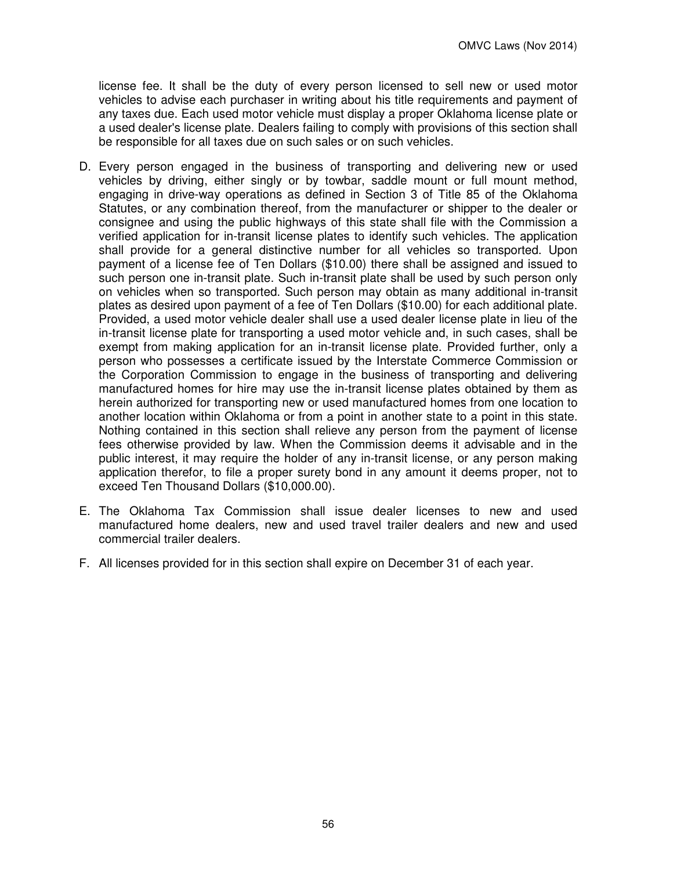license fee. It shall be the duty of every person licensed to sell new or used motor vehicles to advise each purchaser in writing about his title requirements and payment of any taxes due. Each used motor vehicle must display a proper Oklahoma license plate or a used dealer's license plate. Dealers failing to comply with provisions of this section shall be responsible for all taxes due on such sales or on such vehicles.

- D. Every person engaged in the business of transporting and delivering new or used vehicles by driving, either singly or by towbar, saddle mount or full mount method, engaging in drive-way operations as defined in Section 3 of Title 85 of the Oklahoma Statutes, or any combination thereof, from the manufacturer or shipper to the dealer or consignee and using the public highways of this state shall file with the Commission a verified application for in-transit license plates to identify such vehicles. The application shall provide for a general distinctive number for all vehicles so transported. Upon payment of a license fee of Ten Dollars (\$10.00) there shall be assigned and issued to such person one in-transit plate. Such in-transit plate shall be used by such person only on vehicles when so transported. Such person may obtain as many additional in-transit plates as desired upon payment of a fee of Ten Dollars (\$10.00) for each additional plate. Provided, a used motor vehicle dealer shall use a used dealer license plate in lieu of the in-transit license plate for transporting a used motor vehicle and, in such cases, shall be exempt from making application for an in-transit license plate. Provided further, only a person who possesses a certificate issued by the Interstate Commerce Commission or the Corporation Commission to engage in the business of transporting and delivering manufactured homes for hire may use the in-transit license plates obtained by them as herein authorized for transporting new or used manufactured homes from one location to another location within Oklahoma or from a point in another state to a point in this state. Nothing contained in this section shall relieve any person from the payment of license fees otherwise provided by law. When the Commission deems it advisable and in the public interest, it may require the holder of any in-transit license, or any person making application therefor, to file a proper surety bond in any amount it deems proper, not to exceed Ten Thousand Dollars (\$10,000.00).
- E. The Oklahoma Tax Commission shall issue dealer licenses to new and used manufactured home dealers, new and used travel trailer dealers and new and used commercial trailer dealers.
- F. All licenses provided for in this section shall expire on December 31 of each year.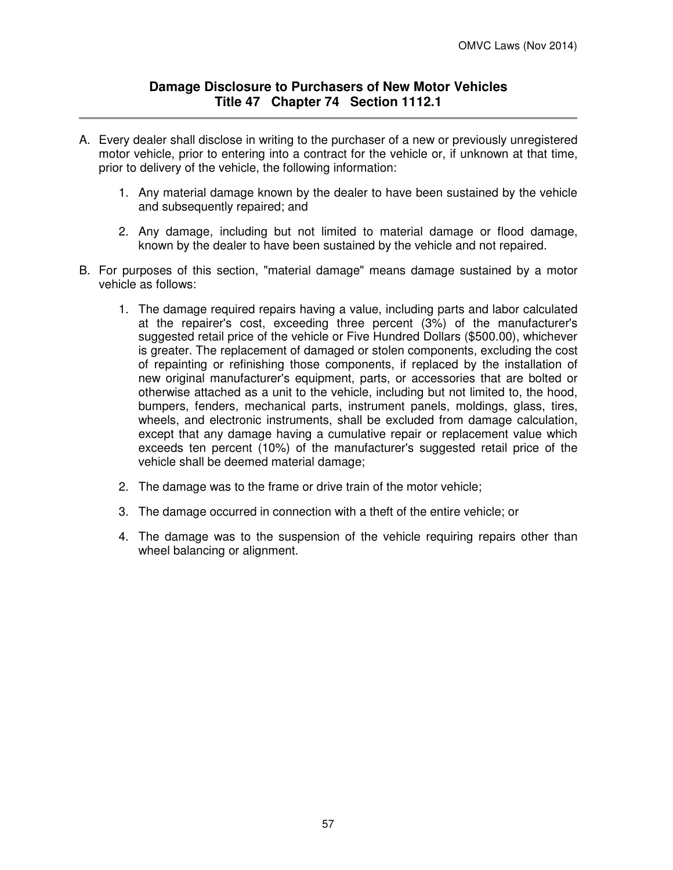### **Damage Disclosure to Purchasers of New Motor Vehicles Title 47 Chapter 74 Section 1112.1**

- A. Every dealer shall disclose in writing to the purchaser of a new or previously unregistered motor vehicle, prior to entering into a contract for the vehicle or, if unknown at that time, prior to delivery of the vehicle, the following information:
	- 1. Any material damage known by the dealer to have been sustained by the vehicle and subsequently repaired; and
	- 2. Any damage, including but not limited to material damage or flood damage, known by the dealer to have been sustained by the vehicle and not repaired.
- B. For purposes of this section, "material damage" means damage sustained by a motor vehicle as follows:
	- 1. The damage required repairs having a value, including parts and labor calculated at the repairer's cost, exceeding three percent (3%) of the manufacturer's suggested retail price of the vehicle or Five Hundred Dollars (\$500.00), whichever is greater. The replacement of damaged or stolen components, excluding the cost of repainting or refinishing those components, if replaced by the installation of new original manufacturer's equipment, parts, or accessories that are bolted or otherwise attached as a unit to the vehicle, including but not limited to, the hood, bumpers, fenders, mechanical parts, instrument panels, moldings, glass, tires, wheels, and electronic instruments, shall be excluded from damage calculation, except that any damage having a cumulative repair or replacement value which exceeds ten percent (10%) of the manufacturer's suggested retail price of the vehicle shall be deemed material damage;
	- 2. The damage was to the frame or drive train of the motor vehicle;
	- 3. The damage occurred in connection with a theft of the entire vehicle; or
	- 4. The damage was to the suspension of the vehicle requiring repairs other than wheel balancing or alignment.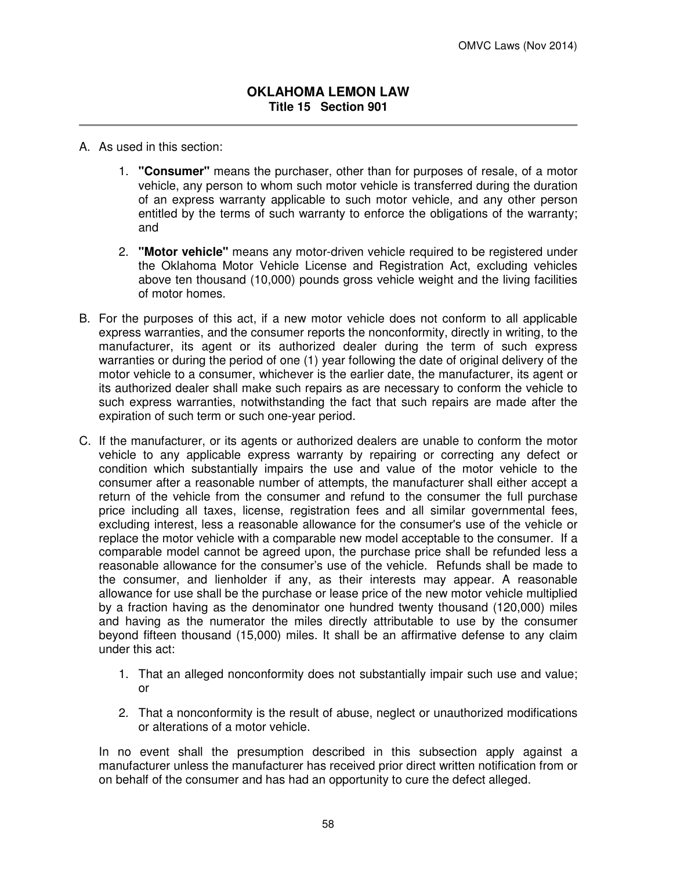- A. As used in this section:
	- 1. **"Consumer"** means the purchaser, other than for purposes of resale, of a motor vehicle, any person to whom such motor vehicle is transferred during the duration of an express warranty applicable to such motor vehicle, and any other person entitled by the terms of such warranty to enforce the obligations of the warranty; and
	- 2. **"Motor vehicle"** means any motor-driven vehicle required to be registered under the Oklahoma Motor Vehicle License and Registration Act, excluding vehicles above ten thousand (10,000) pounds gross vehicle weight and the living facilities of motor homes.
- B. For the purposes of this act, if a new motor vehicle does not conform to all applicable express warranties, and the consumer reports the nonconformity, directly in writing, to the manufacturer, its agent or its authorized dealer during the term of such express warranties or during the period of one (1) year following the date of original delivery of the motor vehicle to a consumer, whichever is the earlier date, the manufacturer, its agent or its authorized dealer shall make such repairs as are necessary to conform the vehicle to such express warranties, notwithstanding the fact that such repairs are made after the expiration of such term or such one-year period.
- C. If the manufacturer, or its agents or authorized dealers are unable to conform the motor vehicle to any applicable express warranty by repairing or correcting any defect or condition which substantially impairs the use and value of the motor vehicle to the consumer after a reasonable number of attempts, the manufacturer shall either accept a return of the vehicle from the consumer and refund to the consumer the full purchase price including all taxes, license, registration fees and all similar governmental fees, excluding interest, less a reasonable allowance for the consumer's use of the vehicle or replace the motor vehicle with a comparable new model acceptable to the consumer. If a comparable model cannot be agreed upon, the purchase price shall be refunded less a reasonable allowance for the consumer's use of the vehicle. Refunds shall be made to the consumer, and lienholder if any, as their interests may appear. A reasonable allowance for use shall be the purchase or lease price of the new motor vehicle multiplied by a fraction having as the denominator one hundred twenty thousand (120,000) miles and having as the numerator the miles directly attributable to use by the consumer beyond fifteen thousand (15,000) miles. It shall be an affirmative defense to any claim under this act:
	- 1. That an alleged nonconformity does not substantially impair such use and value; or
	- 2. That a nonconformity is the result of abuse, neglect or unauthorized modifications or alterations of a motor vehicle.

In no event shall the presumption described in this subsection apply against a manufacturer unless the manufacturer has received prior direct written notification from or on behalf of the consumer and has had an opportunity to cure the defect alleged.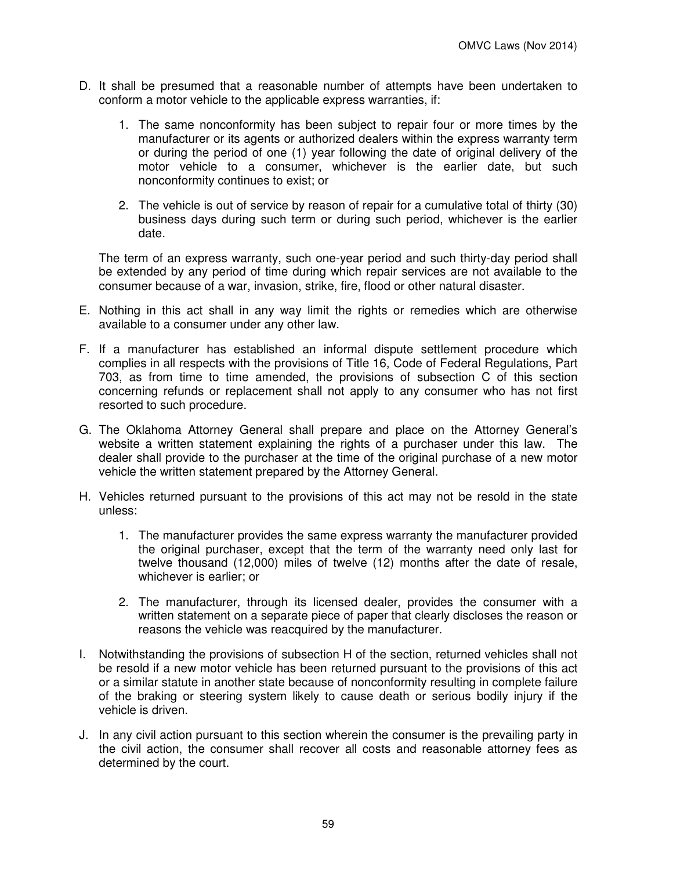- D. It shall be presumed that a reasonable number of attempts have been undertaken to conform a motor vehicle to the applicable express warranties, if:
	- 1. The same nonconformity has been subject to repair four or more times by the manufacturer or its agents or authorized dealers within the express warranty term or during the period of one (1) year following the date of original delivery of the motor vehicle to a consumer, whichever is the earlier date, but such nonconformity continues to exist; or
	- 2. The vehicle is out of service by reason of repair for a cumulative total of thirty (30) business days during such term or during such period, whichever is the earlier date.

The term of an express warranty, such one-year period and such thirty-day period shall be extended by any period of time during which repair services are not available to the consumer because of a war, invasion, strike, fire, flood or other natural disaster.

- E. Nothing in this act shall in any way limit the rights or remedies which are otherwise available to a consumer under any other law.
- F. If a manufacturer has established an informal dispute settlement procedure which complies in all respects with the provisions of Title 16, Code of Federal Regulations, Part 703, as from time to time amended, the provisions of subsection C of this section concerning refunds or replacement shall not apply to any consumer who has not first resorted to such procedure.
- G. The Oklahoma Attorney General shall prepare and place on the Attorney General's website a written statement explaining the rights of a purchaser under this law. The dealer shall provide to the purchaser at the time of the original purchase of a new motor vehicle the written statement prepared by the Attorney General.
- H. Vehicles returned pursuant to the provisions of this act may not be resold in the state unless:
	- 1. The manufacturer provides the same express warranty the manufacturer provided the original purchaser, except that the term of the warranty need only last for twelve thousand (12,000) miles of twelve (12) months after the date of resale, whichever is earlier; or
	- 2. The manufacturer, through its licensed dealer, provides the consumer with a written statement on a separate piece of paper that clearly discloses the reason or reasons the vehicle was reacquired by the manufacturer.
- I. Notwithstanding the provisions of subsection H of the section, returned vehicles shall not be resold if a new motor vehicle has been returned pursuant to the provisions of this act or a similar statute in another state because of nonconformity resulting in complete failure of the braking or steering system likely to cause death or serious bodily injury if the vehicle is driven.
- J. In any civil action pursuant to this section wherein the consumer is the prevailing party in the civil action, the consumer shall recover all costs and reasonable attorney fees as determined by the court.